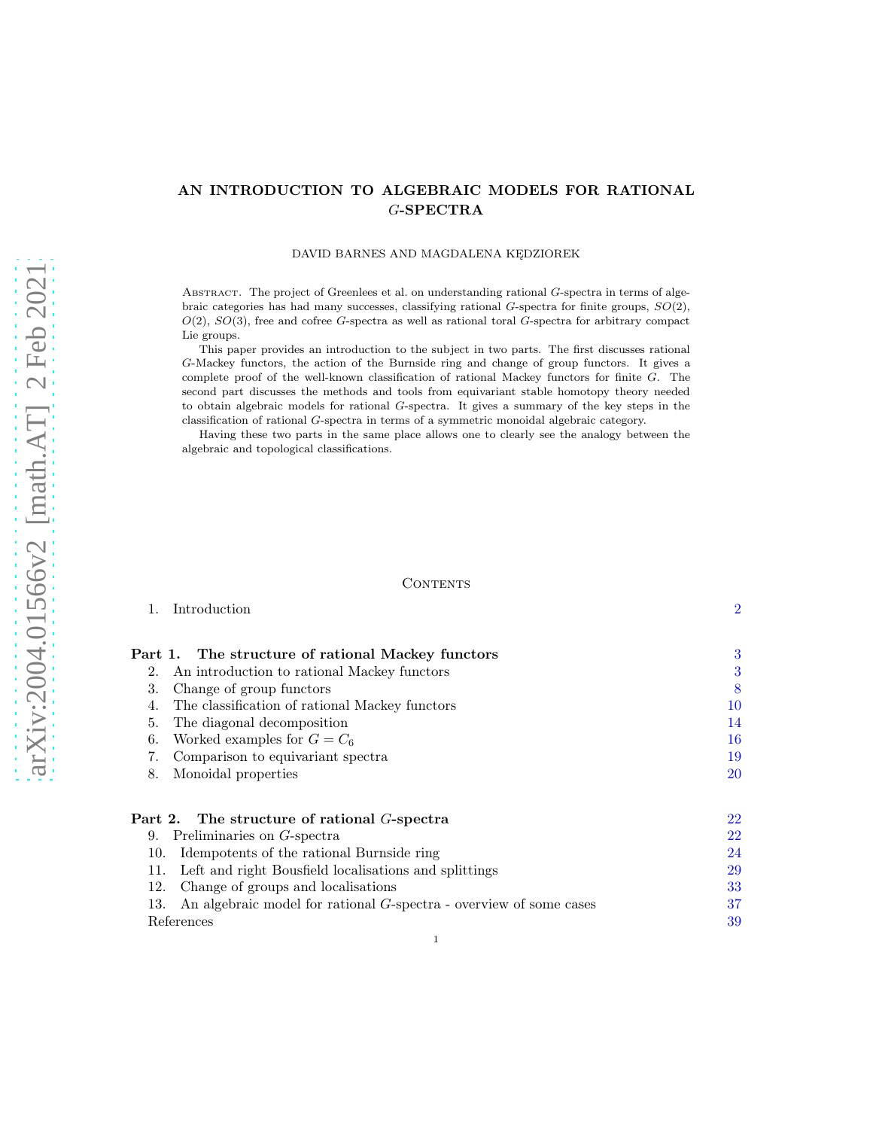# AN INTRODUCTION TO ALGEBRAIC MODELS FOR RATIONAL G-SPECTRA

### DAVID BARNES AND MAGDALENA KĘDZIOREK

ABSTRACT. The project of Greenlees et al. on understanding rational G-spectra in terms of algebraic categories has had many successes, classifying rational  $G$ -spectra for finite groups,  $SO(2)$ ,  $O(2)$ ,  $SO(3)$ , free and cofree G-spectra as well as rational toral G-spectra for arbitrary compact Lie groups.

This paper provides an introduction to the subject in two parts. The first discusses rational G-Mackey functors, the action of the Burnside ring and change of group functors. It gives a complete proof of the well-known classification of rational Mackey functors for finite G. The second part discusses the methods and tools from equivariant stable homotopy theory needed to obtain algebraic models for rational G-spectra. It gives a summary of the key steps in the classification of rational G-spectra in terms of a symmetric monoidal algebraic category.

Having these two parts in the same place allows one to clearly see the analogy between the algebraic and topological classifications.

#### CONTENTS

1. Introduction [2](#page-1-0)

| Part 1. The structure of rational Mackey functors                         | 3         |
|---------------------------------------------------------------------------|-----------|
| An introduction to rational Mackey functors<br>2.                         | 3         |
| 3.<br>Change of group functors                                            | 8         |
| The classification of rational Mackey functors<br>4.                      | 10        |
| 5.<br>The diagonal decomposition                                          | 14        |
| Worked examples for $G = C_6$<br>6.                                       | 16        |
| 7.<br>Comparison to equivariant spectra                                   | 19        |
| 8.<br>Monoidal properties                                                 | <b>20</b> |
|                                                                           |           |
| Part 2. The structure of rational $G$ -spectra                            | 22        |
| Preliminaries on G-spectra<br>9.                                          | 22        |
| Idempotents of the rational Burnside ring<br>10.                          | 24        |
| Left and right Bousfield localisations and splittings<br>11.              | 29        |
| Change of groups and localisations<br>12.                                 | 33        |
| An algebraic model for rational G-spectra - overview of some cases<br>13. | 37        |
| References                                                                | 39        |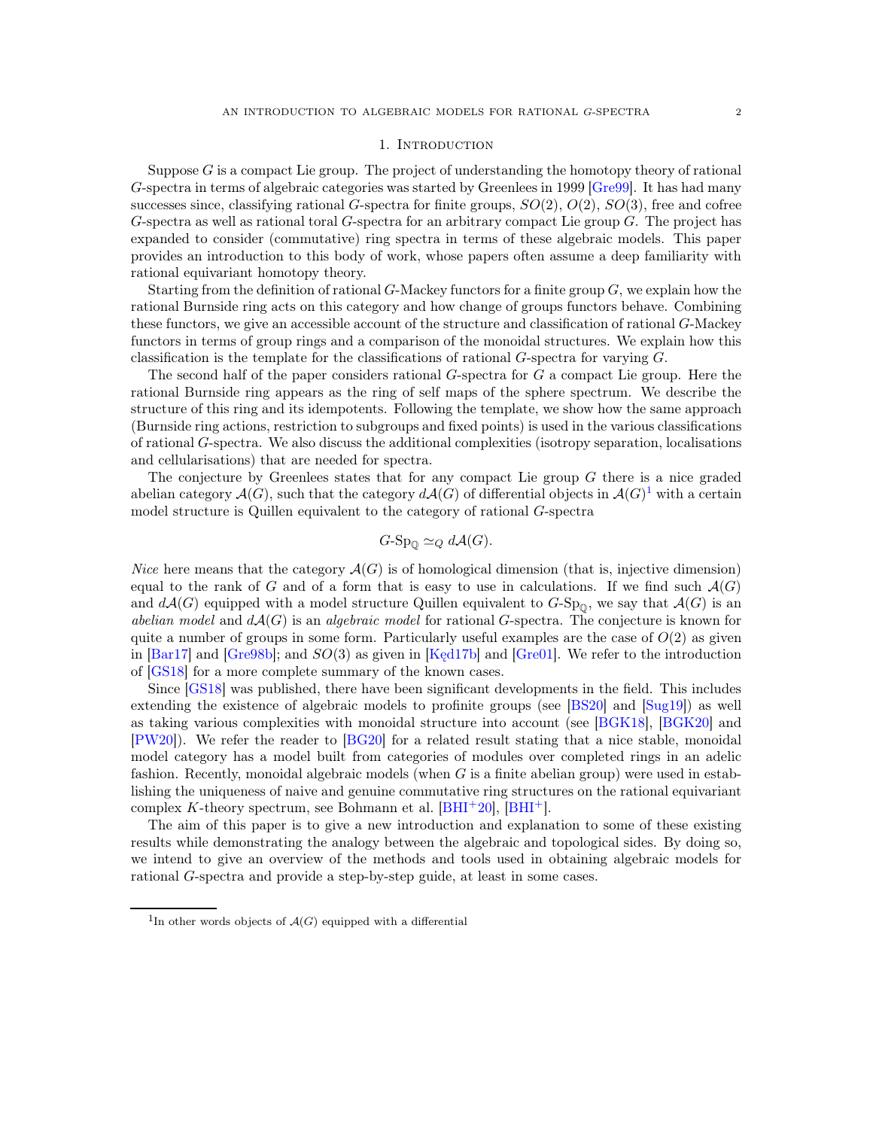#### 1. INTRODUCTION

<span id="page-1-0"></span>Suppose  $G$  is a compact Lie group. The project of understanding the homotopy theory of rational G-spectra in terms of algebraic categories was started by Greenlees in 1999 [\[Gre99\]](#page-39-0). It has had many successes since, classifying rational G-spectra for finite groups,  $SO(2), O(2), SO(3)$ , free and cofree G-spectra as well as rational toral G-spectra for an arbitrary compact Lie group G. The project has expanded to consider (commutative) ring spectra in terms of these algebraic models. This paper provides an introduction to this body of work, whose papers often assume a deep familiarity with rational equivariant homotopy theory.

Starting from the definition of rational  $G$ -Mackey functors for a finite group  $G$ , we explain how the rational Burnside ring acts on this category and how change of groups functors behave. Combining these functors, we give an accessible account of the structure and classification of rational G-Mackey functors in terms of group rings and a comparison of the monoidal structures. We explain how this classification is the template for the classifications of rational G-spectra for varying G.

The second half of the paper considers rational G-spectra for G a compact Lie group. Here the rational Burnside ring appears as the ring of self maps of the sphere spectrum. We describe the structure of this ring and its idempotents. Following the template, we show how the same approach (Burnside ring actions, restriction to subgroups and fixed points) is used in the various classifications of rational G-spectra. We also discuss the additional complexities (isotropy separation, localisations and cellularisations) that are needed for spectra.

The conjecture by Greenlees states that for any compact Lie group G there is a nice graded abelian category  $\mathcal{A}(G)$ , such that the category  $d\mathcal{A}(G)$  of differential objects in  $\mathcal{A}(G)^1$  $\mathcal{A}(G)^1$  with a certain model structure is Quillen equivalent to the category of rational G-spectra

$$
G\text{-}\mathrm{Sp}_{\mathbb{Q}}\simeq_Q d\mathcal{A}(G).
$$

*Nice* here means that the category  $\mathcal{A}(G)$  is of homological dimension (that is, injective dimension) equal to the rank of G and of a form that is easy to use in calculations. If we find such  $\mathcal{A}(G)$ and  $d\mathcal{A}(G)$  equipped with a model structure Quillen equivalent to  $G$ -Sp<sub>0</sub>, we say that  $\mathcal{A}(G)$  is an *abelian model* and dA(G) is an *algebraic model* for rational G-spectra. The conjecture is known for quite a number of groups in some form. Particularly useful examples are the case of  $O(2)$  as given in [\[Bar17\]](#page-38-1) and [\[Gre98b\]](#page-39-1); and SO(3) as given in [Kęd17b] and [\[Gre01\]](#page-39-2). We refer to the introduction of [\[GS18\]](#page-39-3) for a more complete summary of the known cases.

Since [\[GS18\]](#page-39-3) was published, there have been significant developments in the field. This includes extending the existence of algebraic models to profinite groups (see [\[BS20\]](#page-39-4) and [\[Sug19\]](#page-40-0)) as well as taking various complexities with monoidal structure into account (see [\[BGK18\]](#page-38-2), [\[BGK20\]](#page-38-3) and [\[PW20\]](#page-40-1)). We refer the reader to [\[BG20\]](#page-38-4) for a related result stating that a nice stable, monoidal model category has a model built from categories of modules over completed rings in an adelic fashion. Recently, monoidal algebraic models (when  $G$  is a finite abelian group) were used in establishing the uniqueness of naive and genuine commutative ring structures on the rational equivariant complex K-theory spectrum, see Bohmann et al.  $[BHI^+20]$ ,  $[BHI^+]$ .

The aim of this paper is to give a new introduction and explanation to some of these existing results while demonstrating the analogy between the algebraic and topological sides. By doing so, we intend to give an overview of the methods and tools used in obtaining algebraic models for rational G-spectra and provide a step-by-step guide, at least in some cases.

<span id="page-1-1"></span><sup>&</sup>lt;sup>1</sup>In other words objects of  $\mathcal{A}(G)$  equipped with a differential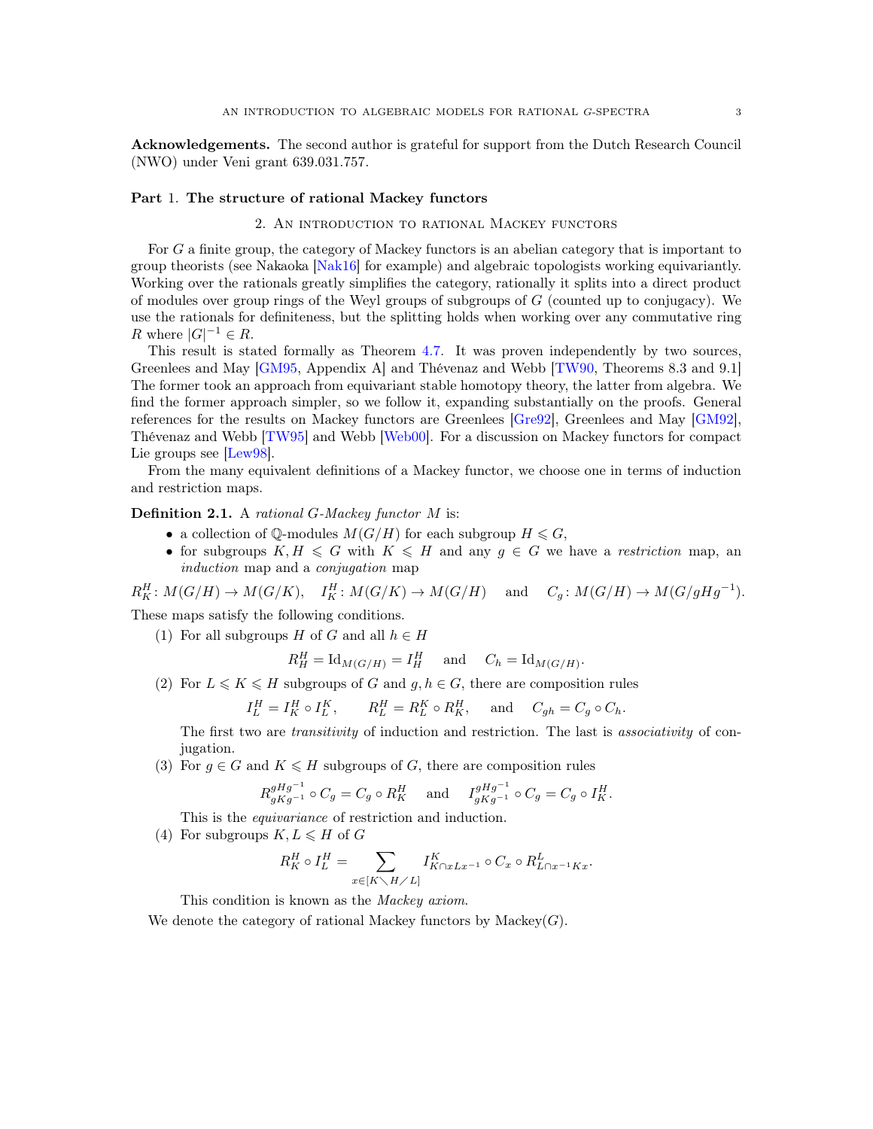Acknowledgements. The second author is grateful for support from the Dutch Research Council (NWO) under Veni grant 639.031.757.

#### <span id="page-2-1"></span><span id="page-2-0"></span>Part 1. The structure of rational Mackey functors

## 2. An introduction to rational Mackey functors

For G a finite group, the category of Mackey functors is an abelian category that is important to group theorists (see Nakaoka [\[Nak16\]](#page-40-2) for example) and algebraic topologists working equivariantly. Working over the rationals greatly simplifies the category, rationally it splits into a direct product of modules over group rings of the Weyl groups of subgroups of  $G$  (counted up to conjugacy). We use the rationals for definiteness, but the splitting holds when working over any commutative ring R where  $|G|^{-1} \in R$ .

This result is stated formally as Theorem [4.7.](#page-12-0) It was proven independently by two sources, Greenlees and May [\[GM95,](#page-39-7) Appendix A] and Thévenaz and Webb [\[TW90,](#page-40-3) Theorems 8.3 and 9.1] The former took an approach from equivariant stable homotopy theory, the latter from algebra. We find the former approach simpler, so we follow it, expanding substantially on the proofs. General references for the results on Mackey functors are Greenlees [\[Gre92\]](#page-39-8), Greenlees and May [\[GM92\]](#page-39-9), Thévenaz and Webb [\[TW95\]](#page-40-4) and Webb [\[Web00\]](#page-40-5). For a discussion on Mackey functors for compact Lie groups see [\[Lew98\]](#page-40-6).

From the many equivalent definitions of a Mackey functor, we choose one in terms of induction and restriction maps.

Definition 2.1. A *rational* G*-Mackey functor* M is:

- a collection of Q-modules  $M(G/H)$  for each subgroup  $H \leq G$ ,
- for subgroups  $K, H \le G$  with  $K \le H$  and any  $g \in G$  we have a *restriction* map, an *induction* map and a *conjugation* map

 $R_K^H: M(G/H) \to M(G/K), \quad I_K^H: M(G/K) \to M(G/H) \quad \text{and} \quad C_g: M(G/H) \to M(G/gHg^{-1}).$ These maps satisfy the following conditions.

(1) For all subgroups H of G and all  $h \in H$ 

$$
R_H^H = \text{Id}_{M(G/H)} = I_H^H \quad \text{ and } \quad C_h = \text{Id}_{M(G/H)}.
$$

(2) For 
$$
L \le K \le H
$$
 subgroups of G and  $g, h \in G$ , there are composition rules

$$
I_L^H = I_K^H \circ I_L^K, \qquad R_L^H = R_L^K \circ R_K^H, \quad \text{ and } \quad C_{gh} = C_g \circ C_h.
$$

The first two are *transitivity* of induction and restriction. The last is *associativity* of conjugation.

(3) For  $g \in G$  and  $K \leq H$  subgroups of G, there are composition rules

$$
R_{gKg^{-1}}^{gHg^{-1}} \circ C_g = C_g \circ R_K^H \quad \text{ and } \quad I_{gKg^{-1}}^{gHg^{-1}} \circ C_g = C_g \circ I_K^H.
$$

This is the *equivariance* of restriction and induction.

(4) For subgroups  $K, L \leq H$  of G

$$
R_K^H \circ I_L^H = \sum_{x \in [K \smallsetminus H \smallsetminus L]} I_{K \cap x L x^{-1}}^K \circ C_x \circ R_{L \cap x^{-1} K x}^L.
$$

This condition is known as the *Mackey axiom*.

We denote the category of rational Mackey functors by Mackey $(G)$ .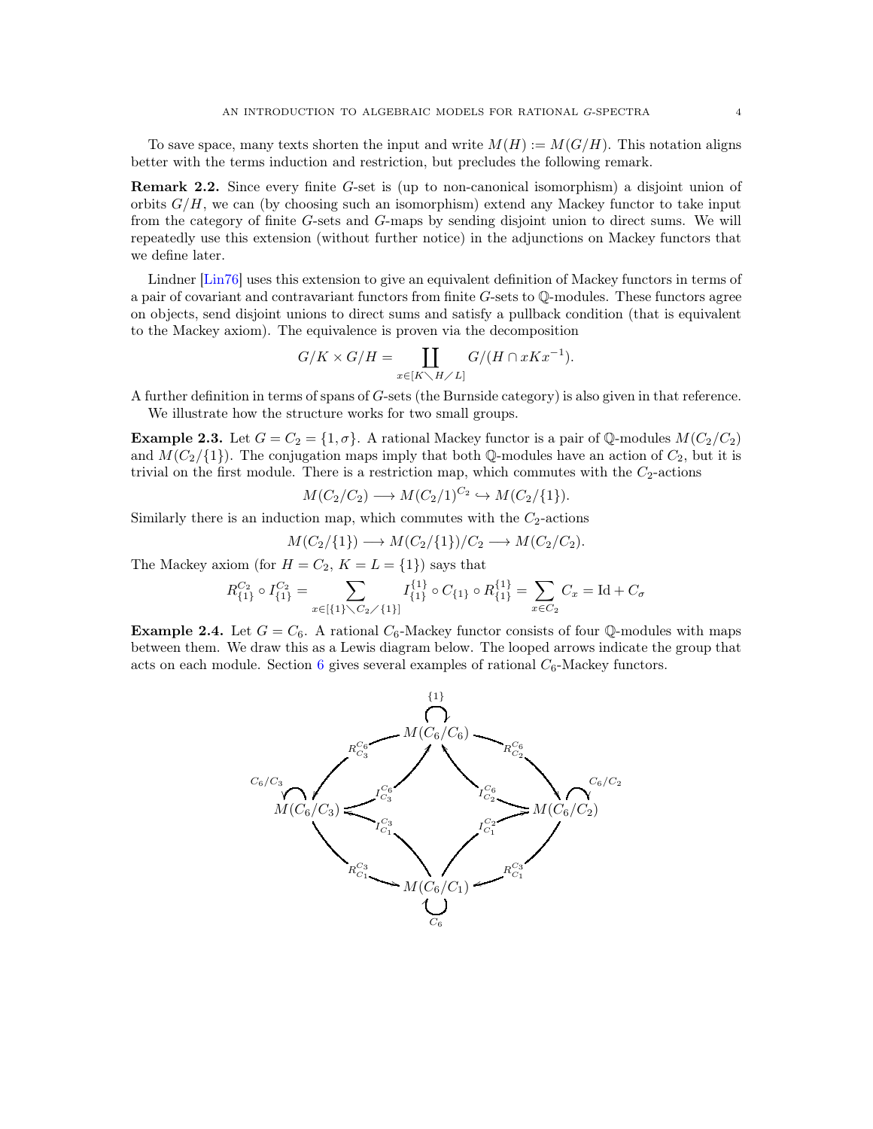To save space, many texts shorten the input and write  $M(H) := M(G/H)$ . This notation aligns better with the terms induction and restriction, but precludes the following remark.

Remark 2.2. Since every finite G-set is (up to non-canonical isomorphism) a disjoint union of orbits  $G/H$ , we can (by choosing such an isomorphism) extend any Mackey functor to take input from the category of finite G-sets and G-maps by sending disjoint union to direct sums. We will repeatedly use this extension (without further notice) in the adjunctions on Mackey functors that we define later.

Lindner [\[Lin76\]](#page-40-7) uses this extension to give an equivalent definition of Mackey functors in terms of a pair of covariant and contravariant functors from finite  $G$ -sets to  $\mathbb{Q}$ -modules. These functors agree on objects, send disjoint unions to direct sums and satisfy a pullback condition (that is equivalent to the Mackey axiom). The equivalence is proven via the decomposition

$$
G/K \times G/H = \coprod_{x \in [K \setminus H \times L]} G/(H \cap xKx^{-1}).
$$

A further definition in terms of spans of G-sets (the Burnside category) is also given in that reference. We illustrate how the structure works for two small groups.

**Example 2.3.** Let  $G = C_2 = \{1, \sigma\}$ . A rational Mackey functor is a pair of Q-modules  $M(C_2/C_2)$ and  $M(C_2/\{1\})$ . The conjugation maps imply that both Q-modules have an action of  $C_2$ , but it is trivial on the first module. There is a restriction map, which commutes with the  $C_2$ -actions

$$
M(C_2/C_2) \longrightarrow M(C_2/1)^{C_2} \hookrightarrow M(C_2/\{1\}).
$$

Similarly there is an induction map, which commutes with the  $C_2$ -actions

$$
M(C_2/\{1\}) \longrightarrow M(C_2/\{1\})/C_2 \longrightarrow M(C_2/C_2).
$$

The Mackey axiom (for  $H = C_2$ ,  $K = L = \{1\}$ ) says that

$$
R_{\{1\}}^{C_2} \circ I_{\{1\}}^{C_2} = \sum_{x \in \{\{1\} \setminus C_2 \setminus \{1\}\}} I_{\{1\}}^{\{1\}} \circ C_{\{1\}} \circ R_{\{1\}}^{\{1\}} = \sum_{x \in C_2} C_x = \text{Id} + C_\sigma
$$

**Example 2.4.** Let  $G = C_6$ . A rational  $C_6$ -Mackey functor consists of four Q-modules with maps between them. We draw this as a Lewis diagram below. The looped arrows indicate the group that acts on each module. Section [6](#page-15-0) gives several examples of rational  $C_6$ -Mackey functors.

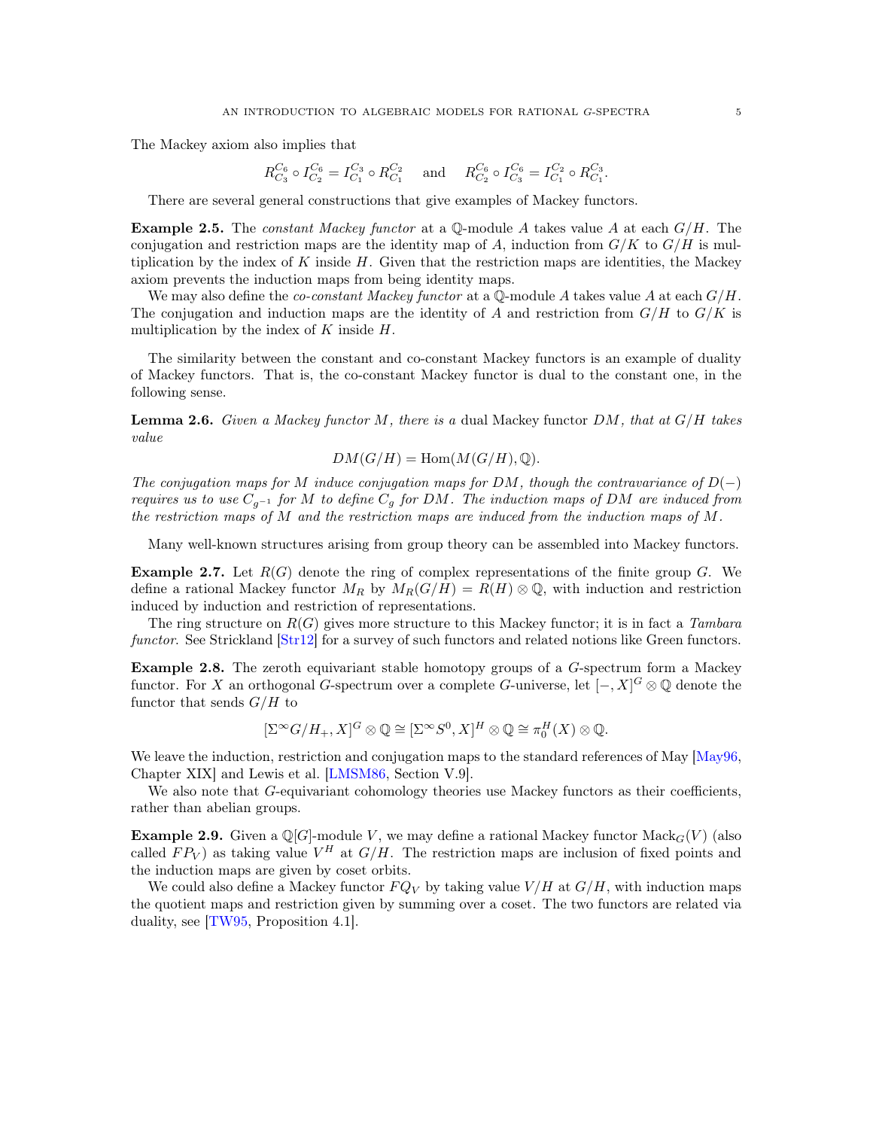The Mackey axiom also implies that

$$
R_{C_3}^{C_6} \circ I_{C_2}^{C_6} = I_{C_1}^{C_3} \circ R_{C_1}^{C_2}
$$
 and  $R_{C_2}^{C_6} \circ I_{C_3}^{C_6} = I_{C_1}^{C_2} \circ R_{C_1}^{C_3}$ .

There are several general constructions that give examples of Mackey functors.

<span id="page-4-0"></span>Example 2.5. The *constant Mackey functor* at a Q-module A takes value A at each G/H. The conjugation and restriction maps are the identity map of A, induction from  $G/K$  to  $G/H$  is multiplication by the index of  $K$  inside  $H$ . Given that the restriction maps are identities, the Mackey axiom prevents the induction maps from being identity maps.

We may also define the *co-constant Mackey functor* at a  $\mathbb{Q}\text{-module } A$  takes value A at each  $G/H$ . The conjugation and induction maps are the identity of A and restriction from  $G/H$  to  $G/K$  is multiplication by the index of  $K$  inside  $H$ .

The similarity between the constant and co-constant Mackey functors is an example of duality of Mackey functors. That is, the co-constant Mackey functor is dual to the constant one, in the following sense.

Lemma 2.6. *Given a Mackey functor* M*, there is a* dual Mackey functor DM*, that at* G/H *takes value*

$$
DM(G/H) = \text{Hom}(M(G/H), \mathbb{Q}).
$$

*The conjugation maps for* M *induce conjugation maps for* DM*, though the contravariance of* D(−) *requires us to use* Cg−<sup>1</sup> *for* M *to define* C<sup>g</sup> *for* DM*. The induction maps of* DM *are induced from the restriction maps of* M *and the restriction maps are induced from the induction maps of* M*.*

Many well-known structures arising from group theory can be assembled into Mackey functors.

**Example 2.7.** Let  $R(G)$  denote the ring of complex representations of the finite group G. We define a rational Mackey functor  $M_R$  by  $M_R(G/H) = R(H) \otimes \mathbb{Q}$ , with induction and restriction induced by induction and restriction of representations.

The ring structure on R(G) gives more structure to this Mackey functor; it is in fact a *Tambara functor*. See Strickland  $[Str12]$  for a survey of such functors and related notions like Green functors.

Example 2.8. The zeroth equivariant stable homotopy groups of a G-spectrum form a Mackey functor. For X an orthogonal G-spectrum over a complete G-universe, let  $[-,X]^G \otimes \mathbb{Q}$  denote the functor that sends  $G/H$  to

$$
[\Sigma^{\infty} G/H_+, X]^G \otimes \mathbb{Q} \cong [\Sigma^{\infty} S^0, X]^H \otimes \mathbb{Q} \cong \pi_0^H(X) \otimes \mathbb{Q}.
$$

We leave the induction, restriction and conjugation maps to the standard references of May [\[May96,](#page-40-9) Chapter XIX] and Lewis et al. [\[LMSM86,](#page-40-10) Section V.9].

We also note that G-equivariant cohomology theories use Mackey functors as their coefficients, rather than abelian groups.

<span id="page-4-1"></span>**Example 2.9.** Given a  $\mathbb{Q}[G]$ -module V, we may define a rational Mackey functor  $\text{Mack}_G(V)$  (also called  $FP_V$ ) as taking value  $V^H$  at  $G/H$ . The restriction maps are inclusion of fixed points and the induction maps are given by coset orbits.

We could also define a Mackey functor  $FQ_V$  by taking value  $V/H$  at  $G/H$ , with induction maps the quotient maps and restriction given by summing over a coset. The two functors are related via duality, see [\[TW95,](#page-40-4) Proposition 4.1].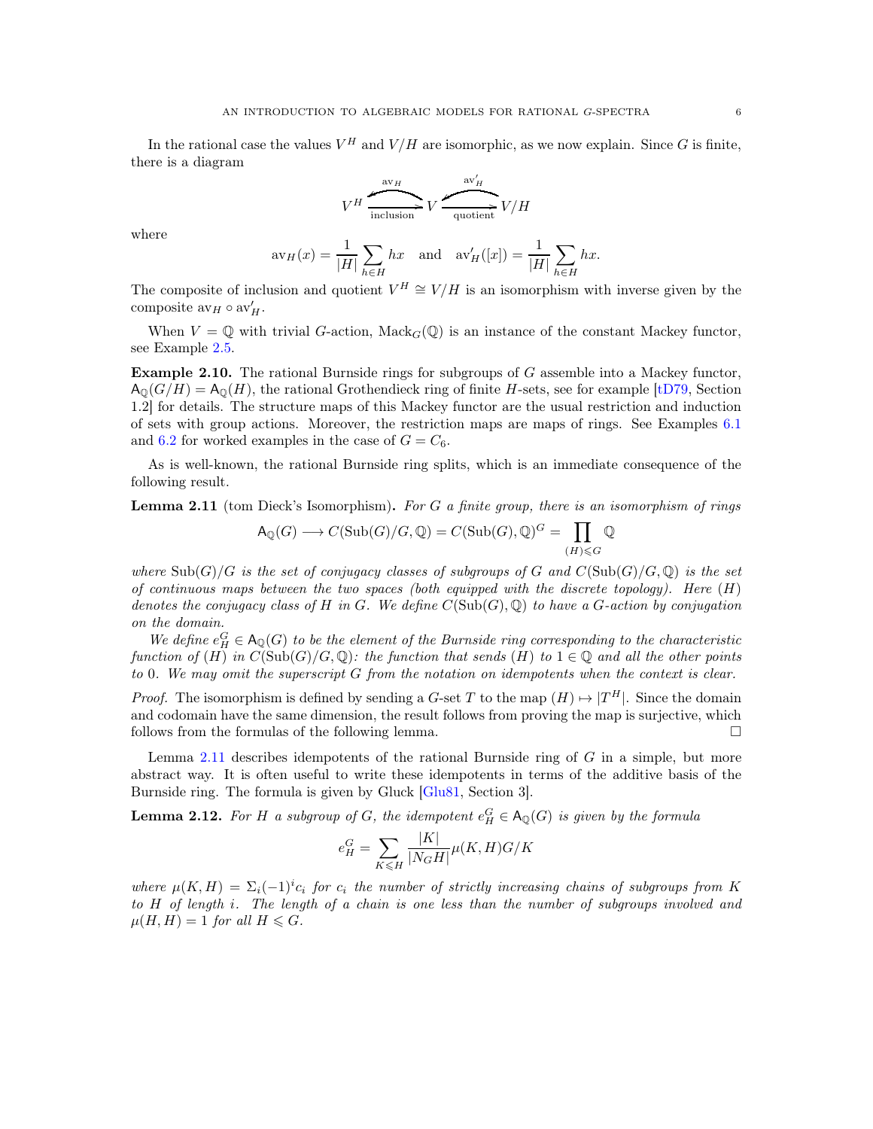$$
V^H \xrightarrow{\text{av}_H} V \xrightarrow{\text{av}'_H} V/H
$$

where

$$
\operatorname{av}_H(x) = \frac{1}{|H|} \sum_{h \in H} hx \quad \text{and} \quad \operatorname{av}'_H([x]) = \frac{1}{|H|} \sum_{h \in H} hx.
$$

The composite of inclusion and quotient  $V^H \cong V/H$  is an isomorphism with inverse given by the composite  $\mathrm{av}_H \circ \mathrm{av}'_H$ .

When  $V = \mathbb{Q}$  with trivial G-action, Mack<sub>G</sub>( $\mathbb{Q}$ ) is an instance of the constant Mackey functor, see Example [2.5.](#page-4-0)

<span id="page-5-2"></span>Example 2.10. The rational Burnside rings for subgroups of G assemble into a Mackey functor,  $A_0(G/H) = A_0(H)$ , the rational Grothendieck ring of finite H-sets, see for example [\[tD79,](#page-40-11) Section] 1.2] for details. The structure maps of this Mackey functor are the usual restriction and induction of sets with group actions. Moreover, the restriction maps are maps of rings. See Examples [6.1](#page-15-1) and [6.2](#page-16-0) for worked examples in the case of  $G = C_6$ .

As is well-known, the rational Burnside ring splits, which is an immediate consequence of the following result.

<span id="page-5-0"></span>Lemma 2.11 (tom Dieck's Isomorphism). *For* G *a finite group, there is an isomorphism of rings*

$$
\mathsf{A}_{\mathbb{Q}}(G) \longrightarrow C(\mathrm{Sub}(G)/G, \mathbb{Q}) = C(\mathrm{Sub}(G), \mathbb{Q})^G = \prod_{(H) \leqslant G} \mathbb{Q}
$$

*where*  $\text{Sub}(G)/G$  *is the set of conjugacy classes of subgroups of* G and  $C(\text{Sub}(G)/G, \mathbb{Q})$  *is the set of continuous maps between the two spaces (both equipped with the discrete topology). Here* (H) *denotes the conjugacy class of* H *in* G*. We define* C(Sub(G), Q) *to have a* G*-action by conjugation on the domain.*

We define  $e_H^G \in A_{\mathbb{Q}}(G)$  to be the element of the Burnside ring corresponding to the characteristic *function of* (H) *in*  $C(\text{Sub}(G)/G, \mathbb{Q})$ : the function that sends (H) to  $1 \in \mathbb{Q}$  and all the other points *to* 0*. We may omit the superscript* G *from the notation on idempotents when the context is clear.*

*Proof.* The isomorphism is defined by sending a G-set T to the map  $(H) \mapsto |T^H|$ . Since the domain and codomain have the same dimension, the result follows from proving the map is surjective, which follows from the formulas of the following lemma.

Lemma [2.11](#page-5-0) describes idempotents of the rational Burnside ring of  $G$  in a simple, but more abstract way. It is often useful to write these idempotents in terms of the additive basis of the Burnside ring. The formula is given by Gluck [\[Glu81,](#page-39-10) Section 3].

<span id="page-5-1"></span>**Lemma 2.12.** For H a subgroup of G, the idempotent  $e_H^G \in A_{\mathbb{Q}}(G)$  is given by the formula

$$
e_H^G = \sum_{K \le H} \frac{|K|}{|N_G H|} \mu(K, H) G/K
$$

where  $\mu(K, H) = \sum_i (-1)^i c_i$  for  $c_i$  the number of strictly increasing chains of subgroups from K *to* H *of length* i*. The length of a chain is one less than the number of subgroups involved and*  $\mu(H, H) = 1$  *for all*  $H \leq G$ *.*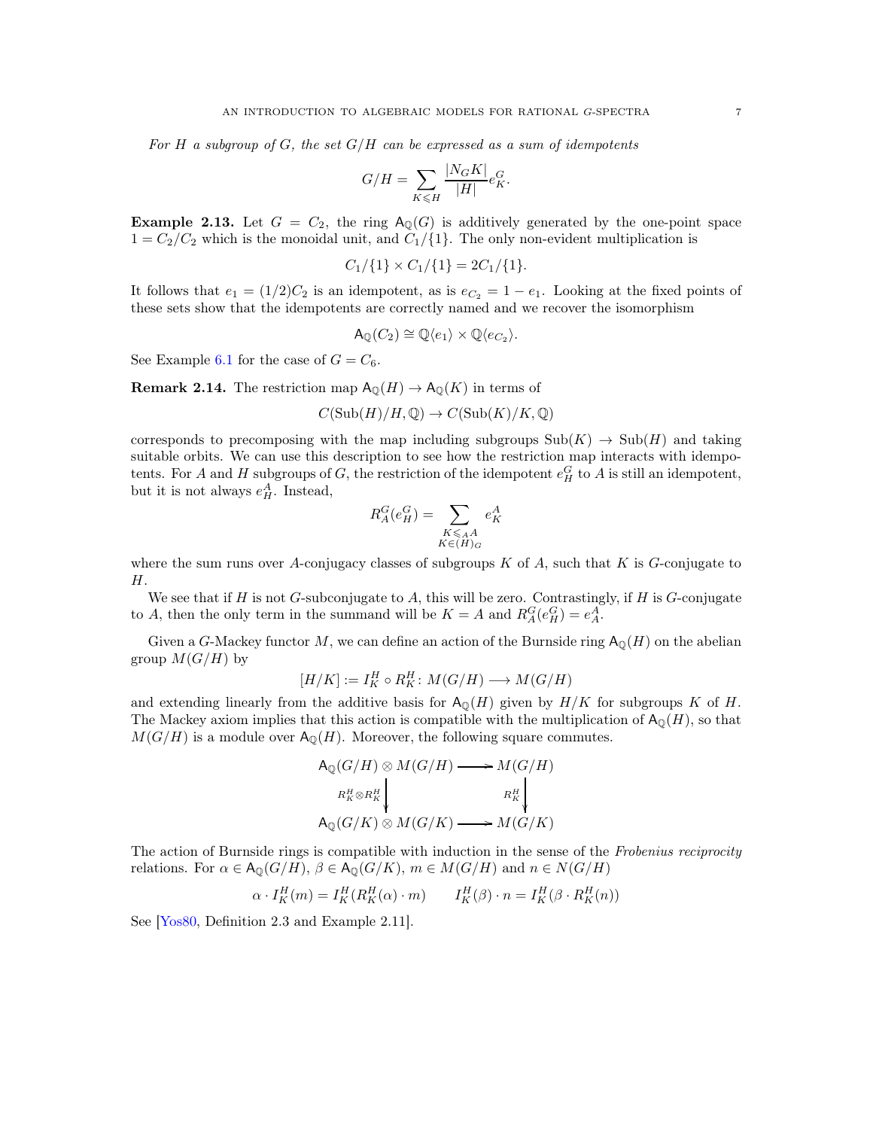*For* H *a subgroup of* G*, the set* G/H *can be expressed as a sum of idempotents*

$$
G/H = \sum_{K \leq H} \frac{|N_G K|}{|H|} e_K^G.
$$

**Example 2.13.** Let  $G = C_2$ , the ring  $A_{\mathbb{Q}}(G)$  is additively generated by the one-point space  $1 = C_2/C_2$  which is the monoidal unit, and  $C_1/\{1\}$ . The only non-evident multiplication is

$$
C_1/\{1\} \times C_1/\{1\} = 2C_1/\{1\}.
$$

It follows that  $e_1 = (1/2)C_2$  is an idempotent, as is  $e_{C_2} = 1 - e_1$ . Looking at the fixed points of these sets show that the idempotents are correctly named and we recover the isomorphism

$$
\mathsf{A}_{\mathbb{Q}}(C_2) \cong \mathbb{Q}\langle e_1 \rangle \times \mathbb{Q}\langle e_{C_2} \rangle.
$$

See Example [6.1](#page-15-1) for the case of  $G = C_6$ .

<span id="page-6-0"></span>**Remark 2.14.** The restriction map  $\mathsf{A}_{\mathbb{Q}}(H) \to \mathsf{A}_{\mathbb{Q}}(K)$  in terms of

$$
C(\mathrm{Sub}(H)/H,\mathbb{Q})\to C(\mathrm{Sub}(K)/K,\mathbb{Q})
$$

corresponds to precomposing with the map including subgroups  $\text{Sub}(K) \to \text{Sub}(H)$  and taking suitable orbits. We can use this description to see how the restriction map interacts with idempotents. For A and H subgroups of G, the restriction of the idempotent  $e_H^G$  to A is still an idempotent, but it is not always  $e_H^A$ . Instead,

$$
R_A^G(e_H^G) = \sum_{\substack{K \leq A \\ K \in (H)_G}} e_K^A
$$

where the sum runs over A-conjugacy classes of subgroups  $K$  of  $A$ , such that  $K$  is  $G$ -conjugate to H.

We see that if H is not G-subconjugate to A, this will be zero. Contrastingly, if H is G-conjugate to A, then the only term in the summand will be  $K = A$  and  $R_A^G(e_H^G) = e_A^A$ .

Given a G-Mackey functor M, we can define an action of the Burnside ring  $A_{\mathbb{Q}}(H)$  on the abelian group  $M(G/H)$  by

$$
[H/K] := I_K^H \circ R_K^H \colon M(G/H) \longrightarrow M(G/H)
$$

and extending linearly from the additive basis for  $A_0(H)$  given by  $H/K$  for subgroups K of H. The Mackey axiom implies that this action is compatible with the multiplication of  $A_0(H)$ , so that  $M(G/H)$  is a module over  $A_0(H)$ . Moreover, the following square commutes.

$$
A_{\mathbb{Q}}(G/H) \otimes M(G/H) \longrightarrow M(G/H)
$$
  
\n
$$
R_K^H \otimes R_K^H \downarrow \qquad R_K^H \downarrow
$$
  
\n
$$
A_{\mathbb{Q}}(G/K) \otimes M(G/K) \longrightarrow M(G/K)
$$

The action of Burnside rings is compatible with induction in the sense of the *Frobenius reciprocity* relations. For  $\alpha \in A_0(G/H)$ ,  $\beta \in A_0(G/K)$ ,  $m \in M(G/H)$  and  $n \in N(G/H)$ 

$$
\alpha \cdot I_K^H(m) = I_K^H(R_K^H(\alpha) \cdot m) \qquad I_K^H(\beta) \cdot n = I_K^H(\beta \cdot R_K^H(n))
$$

See [\[Yos80,](#page-40-12) Definition 2.3 and Example 2.11].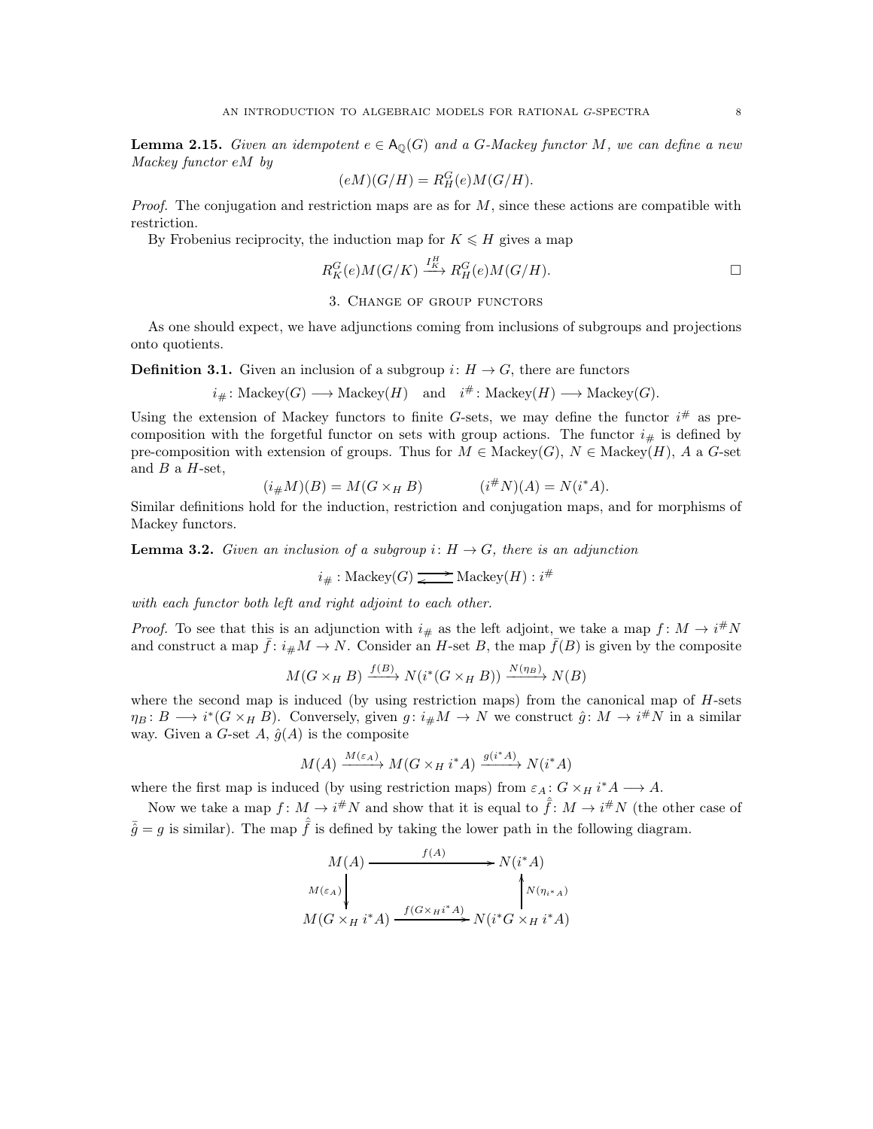**Lemma 2.15.** Given an idempotent  $e \in \mathsf{A}_{\mathbb{Q}}(G)$  and a G-Mackey functor M, we can define a new *Mackey functor* eM *by*

$$
(eM)(G/H) = R_H^G(e)M(G/H).
$$

*Proof.* The conjugation and restriction maps are as for M, since these actions are compatible with restriction.

By Frobenius reciprocity, the induction map for  $K \leq H$  gives a map

$$
R_K^G(e)M(G/K) \xrightarrow{I_K^H} R_H^G(e)M(G/H).
$$

### 3. Change of group functors

<span id="page-7-0"></span>As one should expect, we have adjunctions coming from inclusions of subgroups and projections onto quotients.

**Definition 3.1.** Given an inclusion of a subgroup  $i: H \to G$ , there are functors

$$
i_{\#}
$$
: Mackey $(G) \longrightarrow$  Mackey $(H)$  and  $i^{\#}$ : Mackey $(H) \longrightarrow$  Mackey $(G)$ .

Using the extension of Mackey functors to finite G-sets, we may define the functor  $i^{\#}$  as precomposition with the forgetful functor on sets with group actions. The functor  $i_{\#}$  is defined by pre-composition with extension of groups. Thus for  $M \in \text{Mackey}(G)$ ,  $N \in \text{Mackey}(H)$ , A a G-set and  $B$  a  $H$ -set,

$$
(i_{\#}M)(B) = M(G \times_H B) \qquad (i^{\#}N)(A) = N(i^*A).
$$

Similar definitions hold for the induction, restriction and conjugation maps, and for morphisms of Mackey functors.

**Lemma 3.2.** *Given an inclusion of a subgroup*  $i: H \to G$ *, there is an adjunction* 

 $i_{\#}: \text{Mackey}(G) \xrightarrow{\longrightarrow} \text{Mackey}(H) : i^{\#}$ 

*with each functor both left and right adjoint to each other.*

*Proof.* To see that this is an adjunction with  $i_{\#}$  as the left adjoint, we take a map  $f: M \to i^*N$ and construct a map  $\bar{f}: i_{\#}M \to N$ . Consider an H-set B, the map  $\bar{f}(B)$  is given by the composite

$$
M(G \times_H B) \xrightarrow{f(B)} N(i^*(G \times_H B)) \xrightarrow{N(\eta_B)} N(B)
$$

where the second map is induced (by using restriction maps) from the canonical map of  $H$ -sets  $\eta_B: B \longrightarrow i^*(G \times_H B)$ . Conversely, given  $g: i_\#M \longrightarrow N$  we construct  $\hat{g}: M \longrightarrow i^\#N$  in a similar way. Given a G-set A,  $\hat{g}(A)$  is the composite

$$
M(A) \xrightarrow{M(\varepsilon_A)} M(G \times_H i^*A) \xrightarrow{g(i^*A)} N(i^*A)
$$

where the first map is induced (by using restriction maps) from  $\varepsilon_A: G \times_H i^* A \longrightarrow A$ .

Now we take a map  $f: M \to i^*N$  and show that it is equal to  $\hat{f}: M \to i^*N$  (the other case of  $\bar{\hat{q}} = q$  is similar). The map  $\hat{\hat{f}}$  is defined by taking the lower path in the following diagram.

$$
M(A) \longrightarrow f(A) \longrightarrow N(i^*A)
$$
  
\n
$$
M(\varepsilon_A) \downarrow \qquad \qquad \downarrow N(\eta_{i^*A})
$$
  
\n
$$
M(G \times_H i^*A) \xrightarrow{f(G \times_H i^*A)} N(i^*G \times_H i^*A)
$$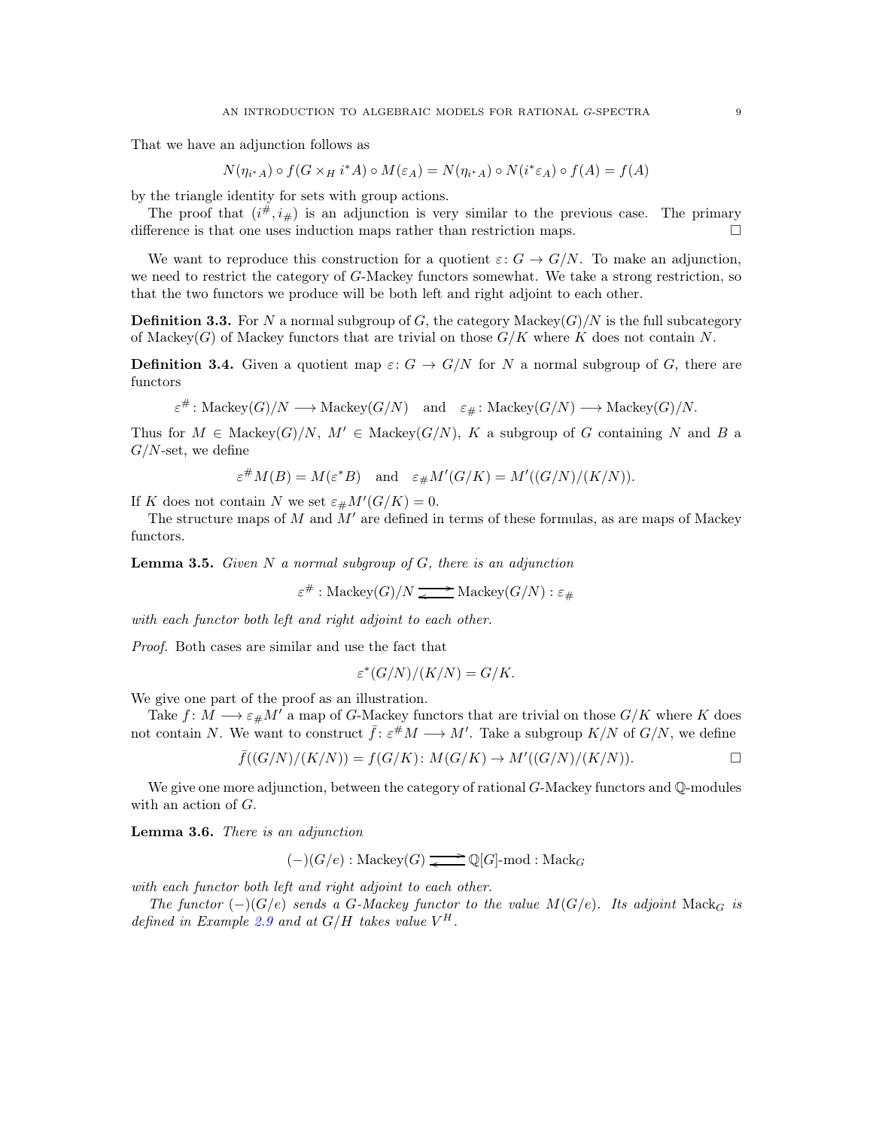That we have an adjunction follows as

$$
N(\eta_{i^*A}) \circ f(G \times_H i^*A) \circ M(\varepsilon_A) = N(\eta_{i^*A}) \circ N(i^* \varepsilon_A) \circ f(A) = f(A)
$$

by the triangle identity for sets with group actions.

The proof that  $(i^{\#}, i_{\#})$  is an adjunction is very similar to the previous case. The primary difference is that one uses induction maps rather than restriction maps.  $\Box$ 

We want to reproduce this construction for a quotient  $\varepsilon: G \to G/N$ . To make an adjunction, we need to restrict the category of G-Mackey functors somewhat. We take a strong restriction, so that the two functors we produce will be both left and right adjoint to each other.

**Definition 3.3.** For N a normal subgroup of G, the category Mackey( $G$ )/N is the full subcategory of Mackey $(G)$  of Mackey functors that are trivial on those  $G/K$  where K does not contain N.

**Definition 3.4.** Given a quotient map  $\varepsilon: G \to G/N$  for N a normal subgroup of G, there are functors

$$
\varepsilon^{\#} \colon \mathrm{Mackey}(G)/N \longrightarrow \mathrm{Mackey}(G/N) \quad \text{and} \quad \varepsilon_{\#} \colon \mathrm{Mackey}(G/N) \longrightarrow \mathrm{Mackey}(G)/N.
$$

Thus for  $M \in \text{Mackev}(G)/N$ ,  $M' \in \text{Mackev}(G/N)$ , K a subgroup of G containing N and B a  $G/N$ -set, we define

$$
\varepsilon^{\#}M(B)=M(\varepsilon^*B)\quad\text{and}\quad\varepsilon_{\#}M'(G/K)=M'((G/N)/(K/N)).
$$

If K does not contain N we set  $\varepsilon_{\#}M'(G/K) = 0$ .

The structure maps of  $M$  and  $M'$  are defined in terms of these formulas, as are maps of Mackey functors.

Lemma 3.5. *Given* N *a normal subgroup of* G*, there is an adjunction*

 $\varepsilon^{\#}$ : Mackey $(G)/N \longrightarrow \text{Mackey}(G/N): \varepsilon_{\#}$ 

*with each functor both left and right adjoint to each other.*

*Proof.* Both cases are similar and use the fact that

$$
\varepsilon^*(G/N)/(K/N) = G/K.
$$

We give one part of the proof as an illustration.

Take  $f: M \longrightarrow \varepsilon_{\#}M'$  a map of G-Mackey functors that are trivial on those  $G/K$  where K does not contain N. We want to construct  $\bar{f}: \varepsilon^{\#}M \longrightarrow M'$ . Take a subgroup  $K/N$  of  $G/N$ , we define

$$
\bar{f}((G/N)/(K/N)) = f(G/K) \colon M(G/K) \to M'((G/N)/(K/N)).
$$

We give one more adjunction, between the category of rational  $G$ -Mackey functors and  $\mathbb{Q}$ -modules with an action of G.

Lemma 3.6. *There is an adjunction*

 $(-)(G/e)$ : Mackey $(G) \longrightarrow \mathbb{Q}[G]$ -mod : Mack $_G$ 

*with each functor both left and right adjoint to each other.*

*The functor*  $(-)(G/e)$  *sends a G-Mackey functor to the value*  $M(G/e)$ *. Its adjoint* Mack<sub>G</sub> *is defined in Example* [2.9](#page-4-1) *and at*  $G/H$  *takes value*  $V^H$ .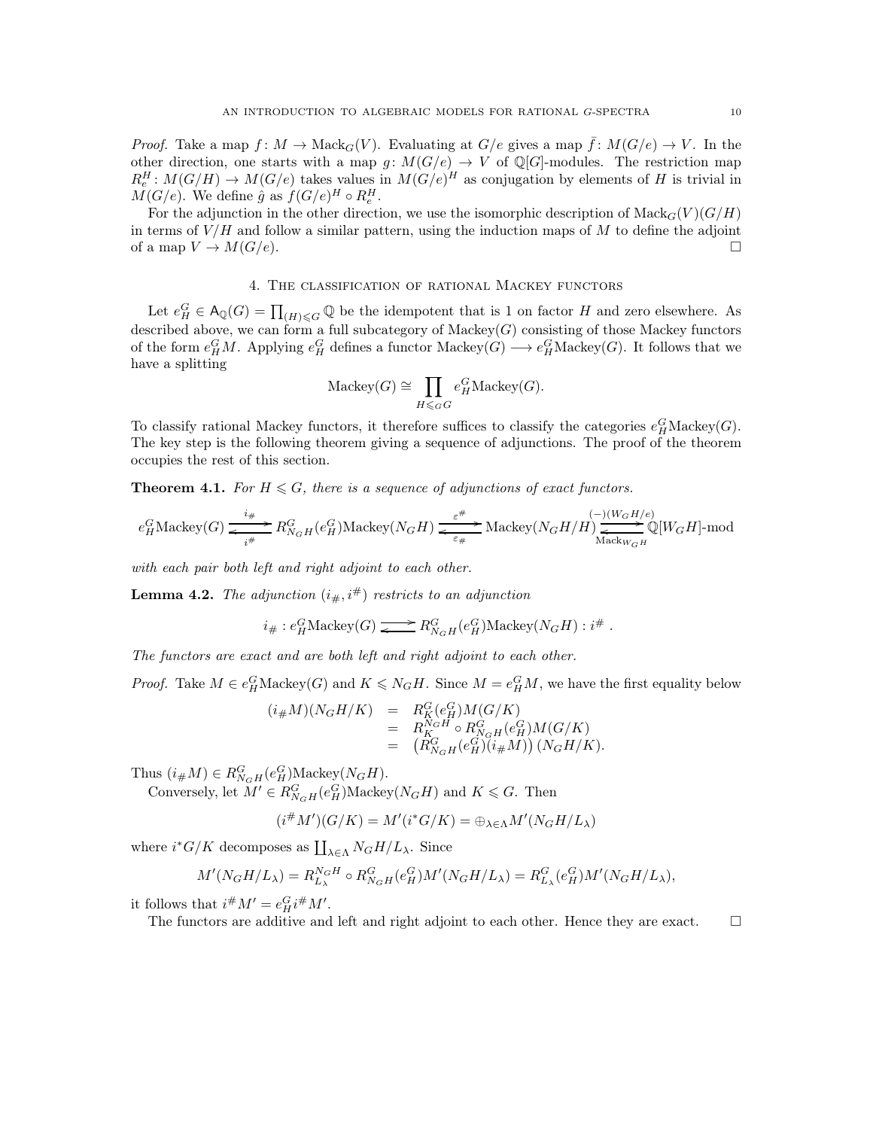*Proof.* Take a map  $f: M \to \text{Mack}_G(V)$ . Evaluating at  $G/e$  gives a map  $\bar{f}: M(G/e) \to V$ . In the other direction, one starts with a map  $g: M(G/e) \to V$  of  $\mathbb{Q}[G]$ -modules. The restriction map  $R_e^H: M(G/H) \to M(G/e)$  takes values in  $M(G/e)^H$  as conjugation by elements of H is trivial in  $M(G/e)$ . We define  $\hat{g}$  as  $f(G/e)^H \circ R_e^H$ .

For the adjunction in the other direction, we use the isomorphic description of  $\text{Mack}_G(V)(G/H)$ in terms of  $V/H$  and follow a similar pattern, using the induction maps of M to define the adjoint of a map  $V \to M(G/e)$ .

## 4. The classification of rational Mackey functors

<span id="page-9-0"></span>Let  $e_H^G \in A_{\mathbb{Q}}(G) = \prod_{(H) \leq G} \mathbb{Q}$  be the idempotent that is 1 on factor H and zero elsewhere. As described above, we can form a full subcategory of  $Mackey(G)$  consisting of those Mackey functors of the form  $e_H^G M$ . Applying  $e_H^G$  defines a functor Mackey $(G) \longrightarrow e_H^G$ Mackey $(G)$ . It follows that we have a splitting

$$
Mackey(G) \cong \prod_{H \leqslant_G G} e^G_H Mackey(G).
$$

To classify rational Mackey functors, it therefore suffices to classify the categories  $e_H^G$ Mackey $(G)$ . The key step is the following theorem giving a sequence of adjunctions. The proof of the theorem occupies the rest of this section.

<span id="page-9-1"></span>**Theorem 4.1.** For  $H \leq G$ , there is a sequence of adjunctions of exact functors.

$$
e^G_H \text{Mackey}(G) \xrightarrow[i\#]{i\#} R^G_{N_GH}(e^G_H) \text{Mackey}(N_GH) \xrightarrow[\varepsilon\#]{\varepsilon\#} \text{Mackey}(N_GH/H) \xrightarrow[\text{Mack}_{W_GH}]{(-)(W_GH/e)} \mathbb{Q}[W_GH]\text{-mod}
$$

*with each pair both left and right adjoint to each other.*

<span id="page-9-2"></span>**Lemma 4.2.** *The adjunction*  $(i_{\#}, i^{\#})$  *restricts to an adjunction* 

$$
i_\# : e^G_H \mathrm{Mackey}(G) \xrightarrow{\quad} R^G_{N_G H}(e^G_H) \mathrm{Mackey}(N_G H) : i^\#.
$$

*The functors are exact and are both left and right adjoint to each other.*

*Proof.* Take  $M \in e_H^G$  Mackey(G) and  $K \le N_G H$ . Since  $M = e_H^G M$ , we have the first equality below

$$
(i_{\#}M)(N_GH/K) = R_K^G(e_H^G)M(G/K)
$$
  
=  $R_K^{N_GH} \circ R_{N_GH}^G(e_H^G)M(G/K)$   
=  $(R_{N_GH}^G(e_H^G)(i_{\#}M)) (N_GH/K).$ 

Thus  $(i_{\#}M) \in R_{N_GH}^G(e_H^G)$ Mackey $(N_GH)$ .

Conversely, let  $M' \in R_{N_GH}^G(e_H^G)$ Mackey $(N_GH)$  and  $K \leq G$ . Then

$$
(i^{\#}M')(G/K) = M'(i^{\ast}G/K) = \bigoplus_{\lambda \in \Lambda} M'(N_G H/L_{\lambda})
$$

where  $i^*G/K$  decomposes as  $\coprod_{\lambda \in \Lambda} N_G H/L_\lambda$ . Since

$$
M'(N_GH/L_\lambda) = R_{L_\lambda}^{N_GH} \circ R_{N_GH}^G(e_H^G)M'(N_GH/L_\lambda) = R_{L_\lambda}^G(e_H^G)M'(N_GH/L_\lambda),
$$

it follows that  $i^{\#}M' = e_H^G i^{\#}M'.$ 

The functors are additive and left and right adjoint to each other. Hence they are exact.  $\Box$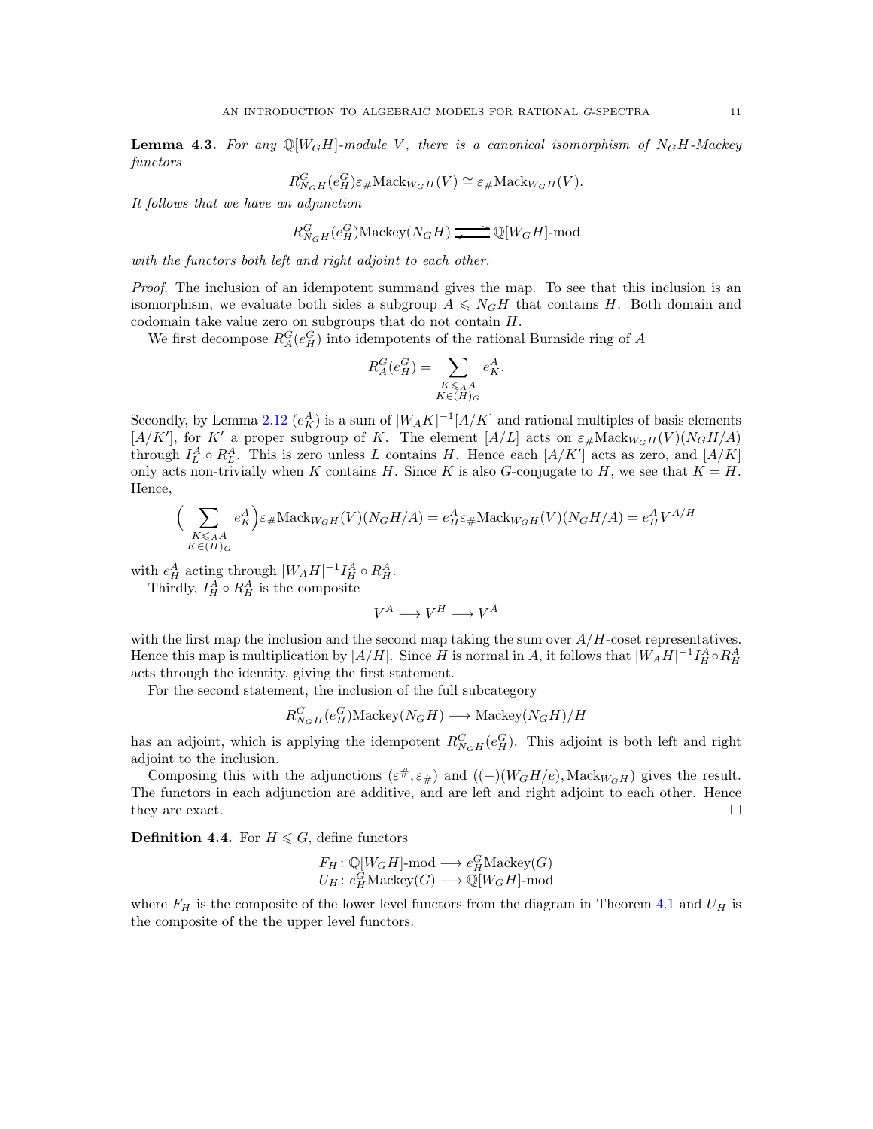<span id="page-10-0"></span>**Lemma 4.3.** For any  $\mathbb{Q}[W_GH]$ -module V, there is a canonical isomorphism of  $N_GH$ -Mackey *functors*

$$
R_{N_GH}^G(e_H^G)\varepsilon_{\#}\mathrm{Mack}_{W_GH}(V)\cong\varepsilon_{\#}\mathrm{Mack}_{W_GH}(V).
$$

*It follows that we have an adjunction*

$$
R_{N_GH}^G(e_H^G)\text{Mackey}(N_GH) \xrightarrow{\longrightarrow} \mathbb{Q}[W_GH]\text{-mod}
$$

*with the functors both left and right adjoint to each other.*

*Proof.* The inclusion of an idempotent summand gives the map. To see that this inclusion is an isomorphism, we evaluate both sides a subgroup  $A \leq N_G H$  that contains H. Both domain and codomain take value zero on subgroups that do not contain H.

We first decompose  $R_A^G(e_H^G)$  into idempotents of the rational Burnside ring of A

$$
R_A^G(e_H^G) = \sum_{\substack{K \leq A \\ K \in (H)_G}} e_K^A.
$$

Secondly, by Lemma [2.12](#page-5-1)  $(e_K^A)$  is a sum of  $|W_A K|^{-1}[A/K]$  and rational multiples of basis elements [A/K'], for K' a proper subgroup of K. The element [A/L] acts on  $\varepsilon_{\#}$ Mack $_{WGH}(V)(N_GH/A)$ through  $I_L^A \circ R_L^A$ . This is zero unless L contains H. Hence each  $[A/K']$  acts as zero, and  $[A/K]$ only acts non-trivially when K contains H. Since K is also G-conjugate to H, we see that  $K = H$ . Hence,

$$
\Big(\sum_{\substack{K\leqslant_A A\\K\in (H)_G}}e_K^A\Big)\varepsilon_\#\mathrm{Mack}_{W_GH}(V)(N_GH/A)=e_H^A\varepsilon_\#\mathrm{Mack}_{W_GH}(V)(N_GH/A)=e_H^AV^{A/H}
$$

with  $e_H^A$  acting through  $|W_AH|^{-1}I_H^A \circ R_H^A$ . Thirdly,  $I_H^A \circ R_H^A$  is the composite

 $V^A \longrightarrow V^H \longrightarrow V^A$ 

with the first map the inclusion and the second map taking the sum over  $A/H$ -coset representatives. Hence this map is multiplication by  $|A/H|$ . Since H is normal in A, it follows that  $|W_AH|^{-1}I_H^A \circ R_H^A$ acts through the identity, giving the first statement.

For the second statement, the inclusion of the full subcategory

$$
R_{N_GH}^G(e_H^G) \text{Mackey}(N_GH) \longrightarrow \text{Mackey}(N_GH)/H
$$

has an adjoint, which is applying the idempotent  $R_{NGH}^G(e_H^G)$ . This adjoint is both left and right adjoint to the inclusion.

Composing this with the adjunctions  $(\varepsilon^{\#}, \varepsilon_{\#})$  and  $((-)(W_G H/e), \text{Mack}_{W_G H})$  gives the result. The functors in each adjunction are additive, and are left and right adjoint to each other. Hence they are exact.  $\square$ 

**Definition 4.4.** For  $H \leq G$ , define functors

$$
F_H: \mathbb{Q}[W_GH]\text{-mod} \longrightarrow e_H^G \text{Mackey}(G)
$$
  

$$
U_H: e_H^G \text{Mackey}(G) \longrightarrow \mathbb{Q}[W_GH]\text{-mod}
$$

where  $F_H$  is the composite of the lower level functors from the diagram in Theorem [4.1](#page-9-1) and  $U_H$  is the composite of the the upper level functors.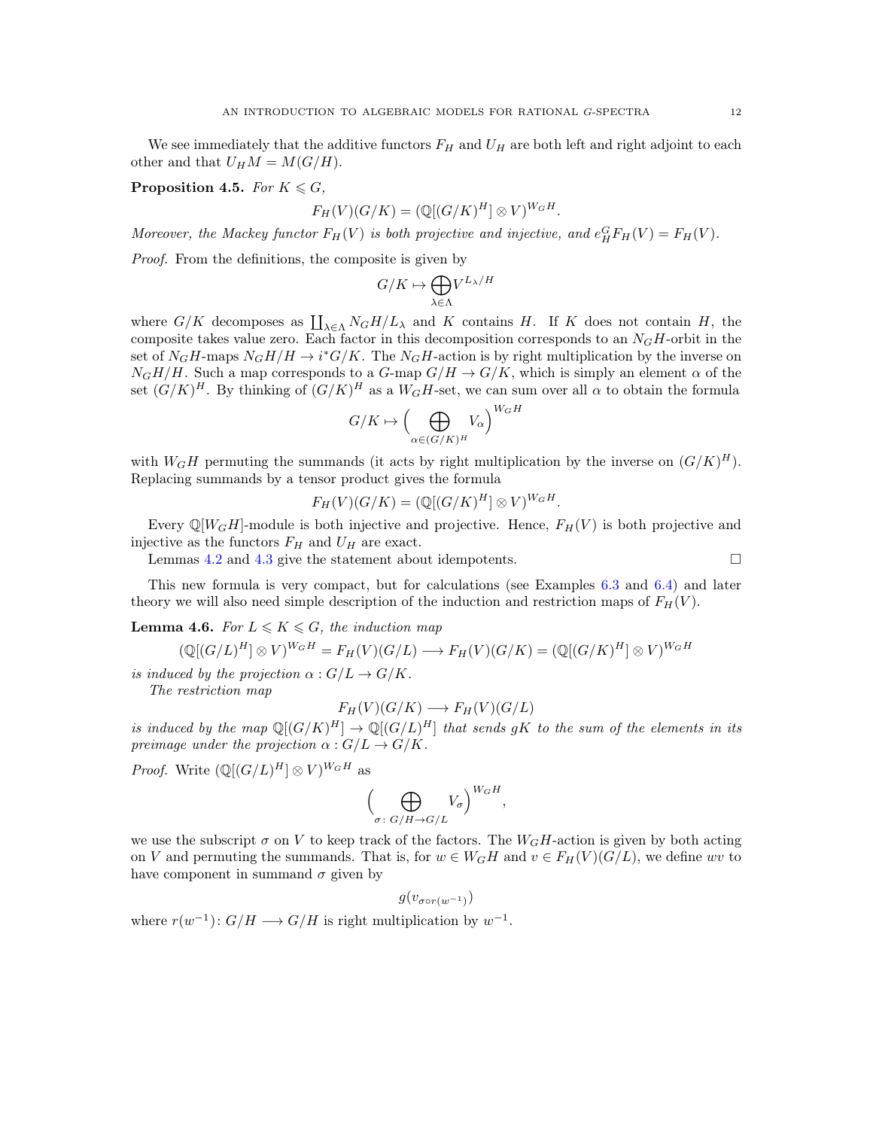We see immediately that the additive functors  $F_H$  and  $U_H$  are both left and right adjoint to each other and that  $U_H M = M(G/H)$ .

<span id="page-11-0"></span>Proposition 4.5. *For*  $K \le G$ *,* 

$$
F_H(V)(G/K) = (\mathbb{Q}[(G/K)^H] \otimes V)^{W_GH}.
$$

Moreover, the Mackey functor  $F_H(V)$  is both projective and injective, and  $e^G_H F_H(V) = F_H(V)$ .

*Proof.* From the definitions, the composite is given by

$$
G/K\mapsto \bigoplus_{\lambda\in\Lambda}V^{L_\lambda/H}
$$

where  $G/K$  decomposes as  $\prod_{\lambda \in \Lambda} N_G H/L_\lambda$  and K contains H. If K does not contain H, the composite takes value zero. Each factor in this decomposition corresponds to an  $N_GH$ -orbit in the set of  $N_GH$ -maps  $N_GH/H \to i^*G/K$ . The  $N_GH$ -action is by right multiplication by the inverse on  $N_GH/H$ . Such a map corresponds to a  $G$ -map  $G/H \to G/K$ , which is simply an element  $\alpha$  of the set  $(G/K)^H$ . By thinking of  $(G/K)^H$  as a  $W_GH$ -set, we can sum over all  $\alpha$  to obtain the formula

$$
G/K \mapsto \left(\bigoplus_{\alpha \in (G/K)^H} V_{\alpha}\right)^{W_G H}
$$

with  $W_GH$  permuting the summands (it acts by right multiplication by the inverse on  $(G/K)^H$ ). Replacing summands by a tensor product gives the formula

$$
F_H(V)(G/K) = (\mathbb{Q}[(G/K)^H] \otimes V)^{W_GH}.
$$

Every  $\mathbb{Q}[W_GH]$ -module is both injective and projective. Hence,  $F_H(V)$  is both projective and injective as the functors  $F_H$  and  $U_H$  are exact.

Lemmas [4.2](#page-9-2) and [4.3](#page-10-0) give the statement about idempotents.

This new formula is very compact, but for calculations (see Examples [6.3](#page-17-0) and [6.4\)](#page-17-1) and later theory we will also need simple description of the induction and restriction maps of  $F_H(V)$ .

<span id="page-11-1"></span>**Lemma 4.6.** For  $L \leq K \leq G$ , the induction map

$$
(\mathbb{Q}[(G/L)^H] \otimes V)^{W_GH} = F_H(V)(G/L) \longrightarrow F_H(V)(G/K) = (\mathbb{Q}[(G/K)^H] \otimes V)^{W_GH}
$$

*is induced by the projection*  $\alpha$  :  $G/L \rightarrow G/K$ .

*The restriction map*

$$
F_H(V)(G/K) \longrightarrow F_H(V)(G/L)
$$

*is induced by the map*  $\mathbb{Q}[(G/K)^H] \to \mathbb{Q}[(G/L)^H]$  *that sends gK to the sum of the elements in its preimage under the projection*  $\alpha$  :  $G/L \rightarrow G/K$ .

*Proof.* Write  $(\mathbb{Q}[(G/L)^H] \otimes V)^{W_GH}$  as

$$
\left(\bigoplus_{\sigma\colon G/H\to G/L}V_{\sigma}\right)^{W_GH},
$$

we use the subscript  $\sigma$  on V to keep track of the factors. The  $W_GH$ -action is given by both acting on V and permuting the summands. That is, for  $w \in W_GH$  and  $v \in F_H(V)(G/L)$ , we define wv to have component in summand  $\sigma$  given by

$$
g(v_{\sigma \circ r(w^{-1})})
$$

where  $r(w^{-1})$ :  $G/H \longrightarrow G/H$  is right multiplication by  $w^{-1}$ .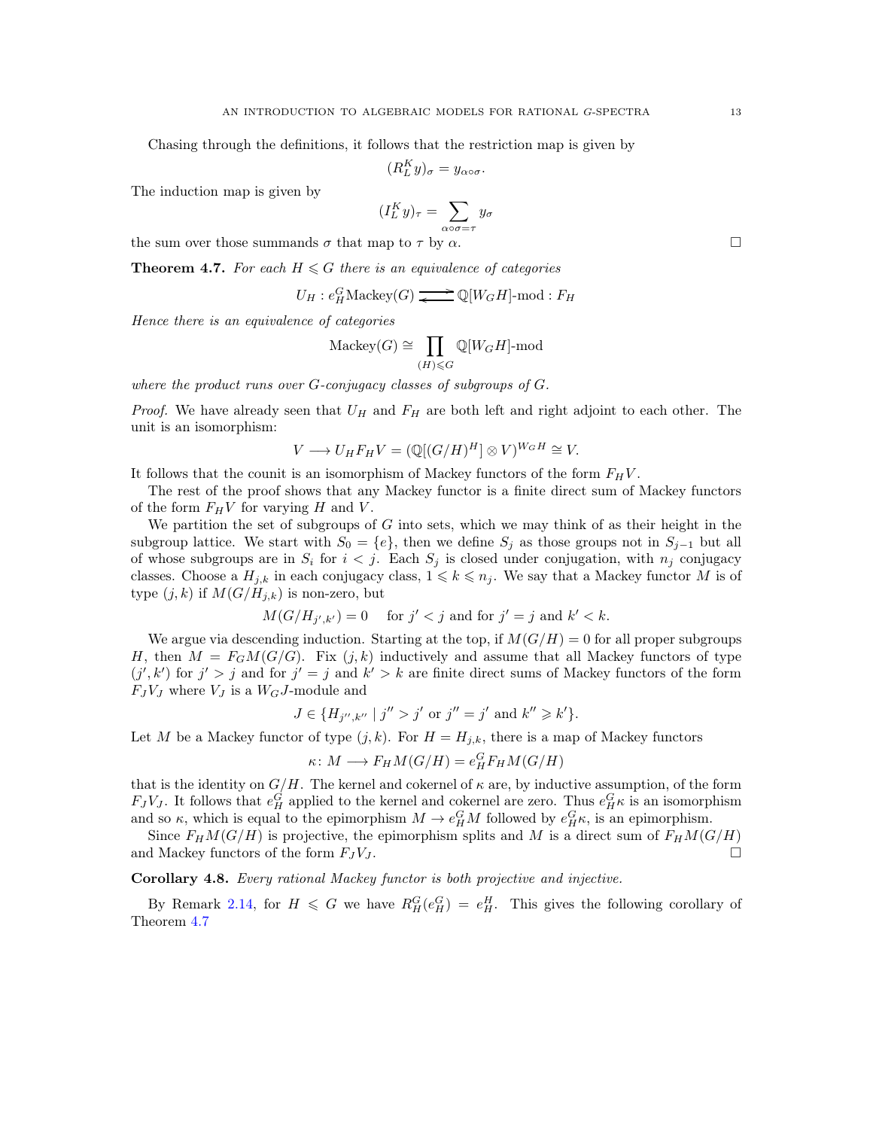Chasing through the definitions, it follows that the restriction map is given by

$$
(R_L^K y)_{\sigma} = y_{\alpha \circ \sigma}.
$$

The induction map is given by

$$
(I_L^K y)_\tau = \sum_{\alpha \circ \sigma = \tau} y_\sigma
$$

the sum over those summands  $\sigma$  that map to  $\tau$  by  $\alpha$ .

<span id="page-12-0"></span>**Theorem 4.7.** For each  $H \leq G$  there is an equivalence of categories

$$
U_H : e^G_H \text{Mackey}(G) \xrightarrow{\longrightarrow} \mathbb{Q}[W_G H]\text{-mod}: F_H
$$

*Hence there is an equivalence of categories*

$$
\text{Mackey}(G) \cong \prod_{(H)\leqslant G} \mathbb{Q}[W_G H]\text{-mod}
$$

*where the product runs over* G*-conjugacy classes of subgroups of* G*.*

*Proof.* We have already seen that  $U_H$  and  $F_H$  are both left and right adjoint to each other. The unit is an isomorphism:

$$
V \longrightarrow U_H F_H V = (\mathbb{Q}[(G/H)^H] \otimes V)^{W_G H} \cong V.
$$

It follows that the counit is an isomorphism of Mackey functors of the form  $F_H V$ .

The rest of the proof shows that any Mackey functor is a finite direct sum of Mackey functors of the form  $F_HV$  for varying H and V.

We partition the set of subgroups of  $G$  into sets, which we may think of as their height in the subgroup lattice. We start with  $S_0 = \{e\}$ , then we define  $S_j$  as those groups not in  $S_{j-1}$  but all of whose subgroups are in  $S_i$  for  $i < j$ . Each  $S_j$  is closed under conjugation, with  $n_j$  conjugacy classes. Choose a  $H_{j,k}$  in each conjugacy class,  $1 \leq k \leq n_j$ . We say that a Mackey functor M is of type  $(j, k)$  if  $M(G/H_{j,k})$  is non-zero, but

$$
M(G/H_{j',k'}) = 0 \quad \text{ for } j' < j \text{ and for } j' = j \text{ and } k' < k.
$$

We argue via descending induction. Starting at the top, if  $M(G/H) = 0$  for all proper subgroups H, then  $M = F_G M(G/G)$ . Fix  $(j, k)$  inductively and assume that all Mackey functors of type  $(j', k')$  for  $j' > j$  and for  $j' = j$  and  $k' > k$  are finite direct sums of Mackey functors of the form  $F_J V_J$  where  $V_J$  is a  $W_G J$ -module and

$$
J \in \{H_{j'',k''} \mid j'' > j' \text{ or } j'' = j' \text{ and } k'' \geq k'\}.
$$

Let M be a Mackey functor of type  $(j, k)$ . For  $H = H_{j,k}$ , there is a map of Mackey functors

$$
\kappa \colon M \longrightarrow F_H M(G/H) = e^G_H F_H M(G/H)
$$

that is the identity on  $G/H$ . The kernel and cokernel of  $\kappa$  are, by inductive assumption, of the form  $F_J V_J$ . It follows that  $e_H^G$  applied to the kernel and cokernel are zero. Thus  $e_H^G \kappa$  is an isomorphism and so  $\kappa$ , which is equal to the epimorphism  $M \to e_H^G M$  followed by  $e_H^G \kappa$ , is an epimorphism.

Since  $F_HM(G/H)$  is projective, the epimorphism splits and M is a direct sum of  $F_HM(G/H)$ and Mackey functors of the form  $F_J V_J$ .

Corollary 4.8. *Every rational Mackey functor is both projective and injective.*

By Remark [2.14,](#page-6-0) for  $H \leq G$  we have  $R_H^G(e_H^G) = e_H^H$ . This gives the following corollary of Theorem [4.7](#page-12-0)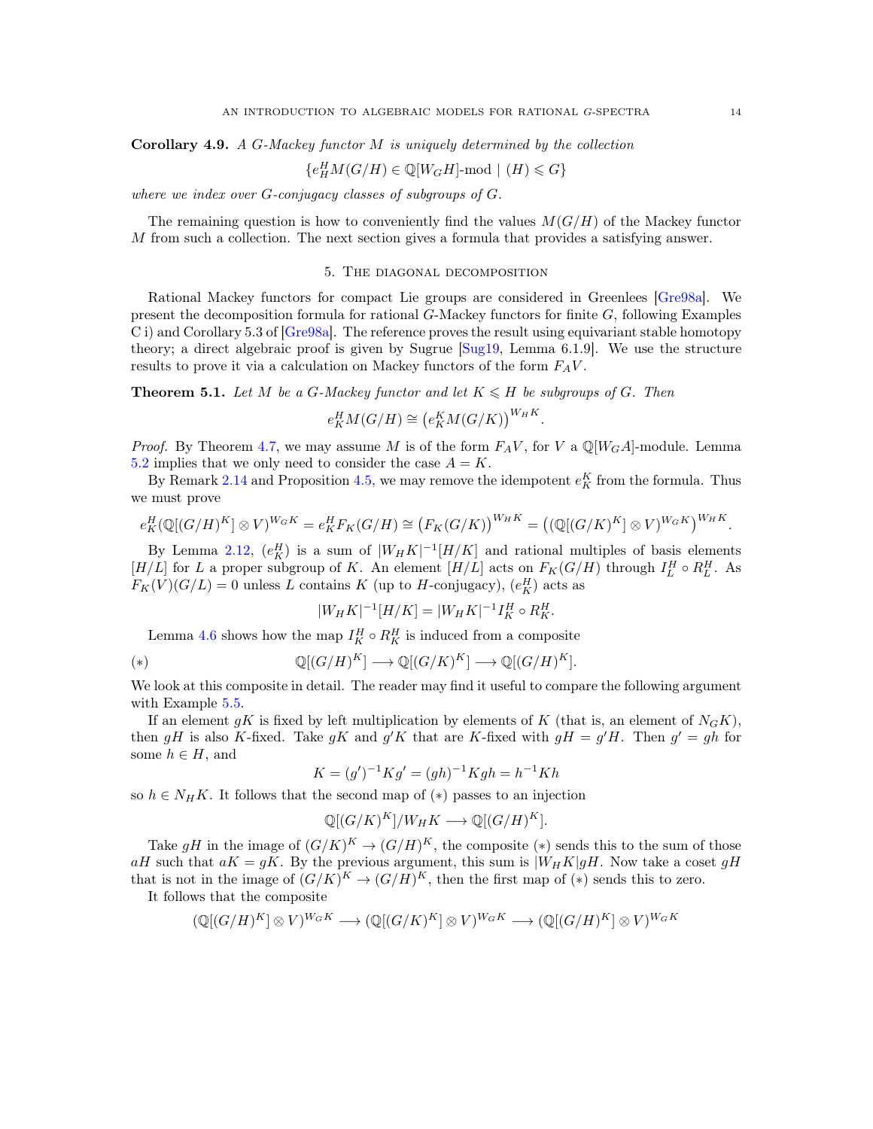Corollary 4.9. *A* G*-Mackey functor* M *is uniquely determined by the collection*

$$
\{e^H_HM(G/H)\in\mathbb{Q}[W_GH]\text{-}\mathrm{mod}\,\mid\, (H)\leqslant G\}
$$

*where we index over* G*-conjugacy classes of subgroups of* G*.*

<span id="page-13-0"></span>The remaining question is how to conveniently find the values  $M(G/H)$  of the Mackey functor M from such a collection. The next section gives a formula that provides a satisfying answer.

### 5. The diagonal decomposition

Rational Mackey functors for compact Lie groups are considered in Greenlees [\[Gre98a\]](#page-39-11). We present the decomposition formula for rational  $G$ -Mackey functors for finite  $G$ , following Examples C i) and Corollary 5.3 of [\[Gre98a\]](#page-39-11). The reference proves the result using equivariant stable homotopy theory; a direct algebraic proof is given by Sugrue [\[Sug19,](#page-40-0) Lemma 6.1.9]. We use the structure results to prove it via a calculation on Mackey functors of the form  $F_A V$ .

<span id="page-13-1"></span>**Theorem 5.1.** Let M be a G-Mackey functor and let  $K \leq H$  be subgroups of G. Then

$$
e_K^H M(G/H) \cong \left(e_K^K M(G/K)\right)^{W_H K}
$$

.

*Proof.* By Theorem [4.7,](#page-12-0) we may assume M is of the form  $F_A V$ , for V a  $\mathbb{Q}[W_GA]$ -module. Lemma [5.2](#page-14-0) implies that we only need to consider the case  $A = K$ .

By Remark [2.14](#page-6-0) and Proposition [4.5,](#page-11-0) we may remove the idempotent  $e_K^K$  from the formula. Thus we must prove

$$
e_K^H(\mathbb{Q}[(G/H)^K] \otimes V)^{W_GK} = e_K^H F_K(G/H) \cong (F_K(G/K))^{W_HK} = ((\mathbb{Q}[(G/K)^K] \otimes V)^{W_GK})^{W_HK}.
$$

By Lemma [2.12,](#page-5-1)  $(e_K^H)$  is a sum of  $|W_HK|^{-1}[H/K]$  and rational multiples of basis elements [H/L] for L a proper subgroup of K. An element [H/L] acts on  $F_K(G/H)$  through  $I_L^H \circ R_L^H$ . As  $F_K(V)(G/L) = 0$  unless L contains K (up to H-conjugacy),  $(e_K^H)$  acts as

$$
|W_H K|^{-1}[H/K] = |W_H K|^{-1} I_K^H \circ R_K^H.
$$

Lemma [4.6](#page-11-1) shows how the map  $I_K^H \circ R_K^H$  is induced from a composite

(\*) 
$$
\mathbb{Q}[(G/H)^K] \longrightarrow \mathbb{Q}[(G/K)^K] \longrightarrow \mathbb{Q}[(G/H)^K].
$$

We look at this composite in detail. The reader may find it useful to compare the following argument with Example [5.5.](#page-15-2)

If an element gK is fixed by left multiplication by elements of K (that is, an element of  $N_GK$ ), then gH is also K-fixed. Take gK and g'K that are K-fixed with  $gH = g'H$ . Then  $g' = gh$  for some  $h \in H$ , and

$$
K = (g')^{-1} Kg' = (gh)^{-1} Kgh = h^{-1} Kh
$$

so  $h \in N_HK$ . It follows that the second map of  $(*)$  passes to an injection

$$
\mathbb{Q}[(G/K)^K]/W_HK \longrightarrow \mathbb{Q}[(G/H)^K].
$$

Take gH in the image of  $(G/K)^K \to (G/H)^K$ , the composite  $(*)$  sends this to the sum of those aH such that  $aK = gK$ . By the previous argument, this sum is  $|W_HK|gH$ . Now take a coset  $gH$ that is not in the image of  $(G/K)^K \to (G/H)^K$ , then the first map of  $(*)$  sends this to zero. It follows that the composite

$$
(\mathbb{Q}[(G/H)^K] \otimes V)^{W_GK} \longrightarrow (\mathbb{Q}[(G/K)^K] \otimes V)^{W_GK} \longrightarrow (\mathbb{Q}[(G/H)^K] \otimes V)^{W_GK}
$$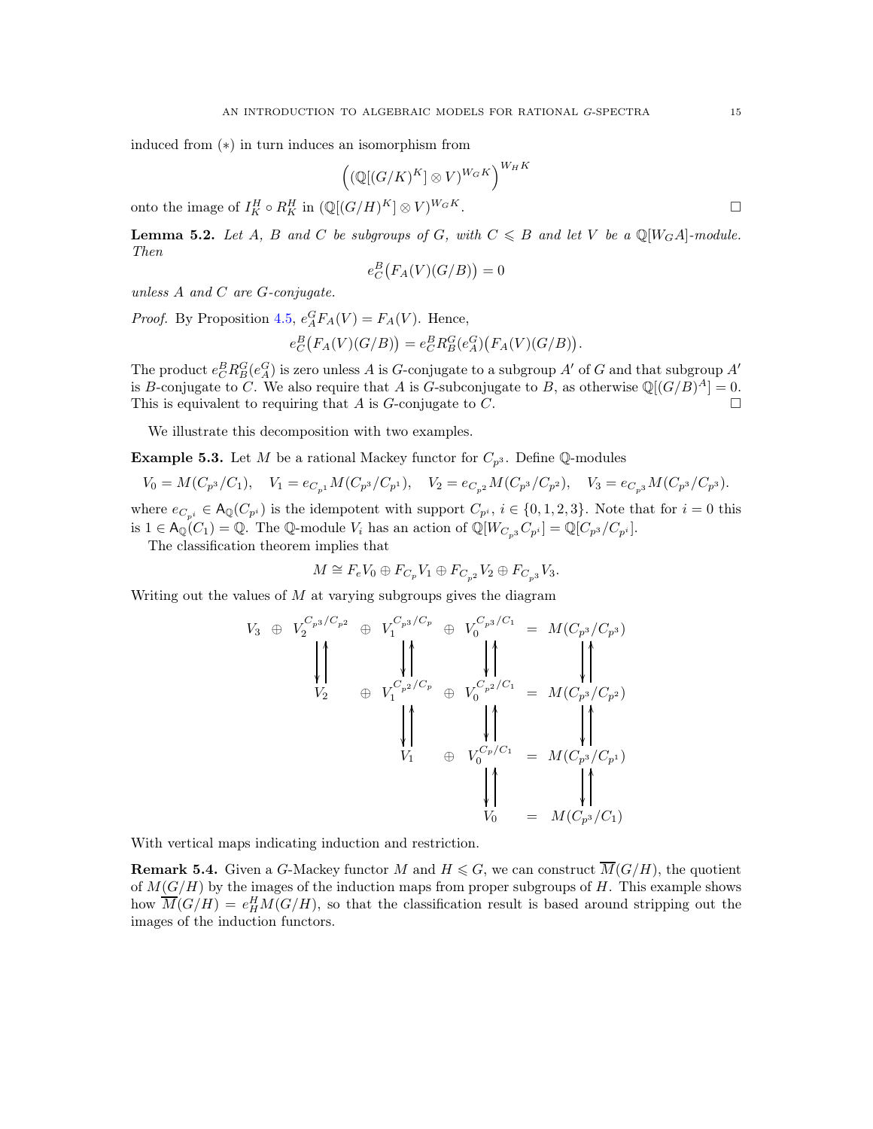induced from (∗) in turn induces an isomorphism from

$$
\Bigl(\bigl(\mathbb{Q}[(G/K)^K]\otimes V\bigr)^{W_GK}\Bigr)^{W_HK}
$$

onto the image of  $I_K^H \circ R_K^H$  in  $(\mathbb{Q}[(G/H)^K] \otimes V)^{W_GK}$ .

<span id="page-14-0"></span>**Lemma 5.2.** Let A, B and C be subgroups of G, with  $C \le B$  and let V be a  $\mathbb{Q}[W_GA]$ -module. *Then*

$$
e_C^B\big(F_A(V)(G/B)\big)=0
$$

*unless* A *and* C *are* G*-conjugate.*

*Proof.* By Proposition [4.5,](#page-11-0)  $e_A^G F_A(V) = F_A(V)$ . Hence,

$$
e_C^B\big(F_A(V)(G/B)\big) = e_C^B R_B^G(e_A^G)\big(F_A(V)(G/B)\big).
$$

The product  $e_C^B R_B^G(e_A^G)$  is zero unless A is G-conjugate to a subgroup A' of G and that subgroup A' is B-conjugate to C. We also require that A is G-subconjugate to B, as otherwise  $\mathbb{Q}[(G/B)^A] = 0$ . This is equivalent to requiring that A is  $G$ -conjugate to  $C$ .

We illustrate this decomposition with two examples.

**Example 5.3.** Let M be a rational Mackey functor for  $C_{p^3}$ . Define Q-modules

$$
V_0 = M(C_{p^3}/C_1), \quad V_1 = e_{C_{p^1}}M(C_{p^3}/C_{p^1}), \quad V_2 = e_{C_{p^2}}M(C_{p^3}/C_{p^2}), \quad V_3 = e_{C_{p^3}}M(C_{p^3}/C_{p^3}).
$$

where  $e_{C_{n}} \in A_{\mathbb{Q}}(C_{p}^i)$  is the idempotent with support  $C_{p}^i$ ,  $i \in \{0,1,2,3\}$ . Note that for  $i=0$  this is  $1 \in \mathsf{A}_{\mathbb{Q}}(C_1) = \mathbb{Q}$ . The  $\mathbb{Q}\text{-module } V_i$  has an action of  $\mathbb{Q}[W_{C_{p^3}}C_{p^i}] = \mathbb{Q}[C_{p^3}/C_{p^i}].$ 

The classification theorem implies that

$$
M \cong F_eV_0 \oplus F_{C_p}V_1 \oplus F_{C_{p^2}}V_2 \oplus F_{C_{p^3}}V_3.
$$

Writing out the values of  $M$  at varying subgroups gives the diagram

$$
V_3 \oplus V_2^{C_{p^3}/C_{p^2}} \oplus V_1^{C_{p^3}/C_p} \oplus V_0^{C_{p^3}/C_1} = M(C_{p^3}/C_{p^3})
$$
\n
$$
\downarrow \uparrow \qquad \qquad \downarrow \uparrow \qquad \qquad \downarrow \uparrow \qquad \qquad \downarrow \uparrow
$$
\n
$$
V_2 \oplus V_1^{C_{p^2}/C_p} \oplus V_0^{C_{p^2}/C_1} = M(C_{p^3}/C_{p^2})
$$
\n
$$
\downarrow \uparrow \qquad \qquad \downarrow \uparrow \qquad \qquad \downarrow \uparrow \qquad \qquad \downarrow \uparrow
$$
\n
$$
V_1 \oplus V_0^{C_{p}/C_1} = M(C_{p^3}/C_{p^1})
$$
\n
$$
\downarrow \uparrow \qquad \qquad \downarrow \uparrow \qquad \qquad \downarrow \uparrow
$$
\n
$$
V_0 \oplus M(C_{p^3}/C_1)
$$

With vertical maps indicating induction and restriction.

**Remark 5.4.** Given a G-Mackey functor M and  $H \le G$ , we can construct  $\overline{M}(G/H)$ , the quotient of  $M(G/H)$  by the images of the induction maps from proper subgroups of H. This example shows how  $\overline{M}(G/H) = e^H_H M(G/H)$ , so that the classification result is based around stripping out the images of the induction functors.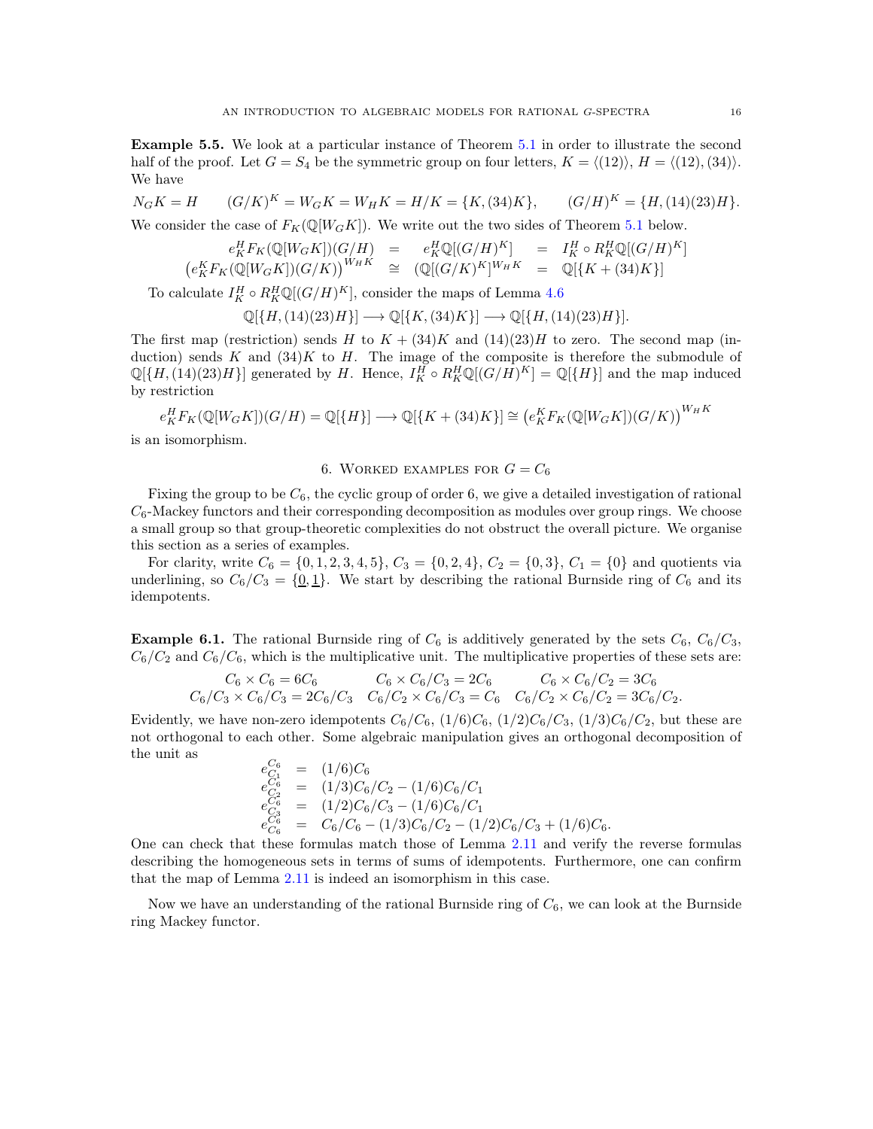<span id="page-15-2"></span>Example 5.5. We look at a particular instance of Theorem [5.1](#page-13-1) in order to illustrate the second half of the proof. Let  $G = S_4$  be the symmetric group on four letters,  $K = \langle (12) \rangle$ ,  $H = \langle (12), (34) \rangle$ . We have

$$
N_G K = H \qquad (G/K)^K = W_G K = W_H K = H/K = \{K, (34)K\}, \qquad (G/H)^K = \{H, (14)(23)H\}.
$$

We consider the case of  $F_K(\mathbb{Q}[W_GK])$ . We write out the two sides of Theorem [5.1](#page-13-1) below.

$$
e_K^H F_K(\mathbb{Q}[W_GK])(G/H) = e_K^H \mathbb{Q}[(G/H)^K] = I_K^H \circ R_K^H \mathbb{Q}[(G/H)^K]
$$
  

$$
(e_K^K F_K(\mathbb{Q}[W_GK])(G/K))^{W_HK} \cong (\mathbb{Q}[(G/K)^K]^{W_HK} = \mathbb{Q}[\{K + (34)K\}]
$$

To calculate  $I_K^H \circ R_K^H \mathbb{Q}[(G/H)^K]$ , consider the maps of Lemma [4.6](#page-11-1)

$$
\mathbb{Q}[\{H,(14)(23)H\}] \longrightarrow \mathbb{Q}[\{K,(34)K\}] \longrightarrow \mathbb{Q}[\{H,(14)(23)H\}].
$$

The first map (restriction) sends H to  $K + (34)K$  and  $(14)(23)H$  to zero. The second map (induction) sends K and  $(34)K$  to H. The image of the composite is therefore the submodule of  $\mathbb{Q}[\{H,(14)(23)H\}]$  generated by H. Hence,  $I_K^H \circ R_K^H \mathbb{Q}[(G/H)^K] = \mathbb{Q}[\{H\}]$  and the map induced by restriction

$$
e_K^H F_K(\mathbb{Q}[W_GK])(G/H) = \mathbb{Q}[\{H\}] \longrightarrow \mathbb{Q}[\{K + (34)K\}] \cong \left(e_K^K F_K(\mathbb{Q}[W_GK])(G/K)\right)^{W_HK}
$$

<span id="page-15-0"></span>is an isomorphism.

## 6. WORKED EXAMPLES FOR  $G = C_6$

Fixing the group to be  $C_6$ , the cyclic group of order 6, we give a detailed investigation of rational  $C_6$ -Mackey functors and their corresponding decomposition as modules over group rings. We choose a small group so that group-theoretic complexities do not obstruct the overall picture. We organise this section as a series of examples.

For clarity, write  $C_6 = \{0, 1, 2, 3, 4, 5\}$ ,  $C_3 = \{0, 2, 4\}$ ,  $C_2 = \{0, 3\}$ ,  $C_1 = \{0\}$  and quotients via underlining, so  $C_6/C_3 = \{0, 1\}$ . We start by describing the rational Burnside ring of  $C_6$  and its idempotents.

<span id="page-15-1"></span>**Example 6.1.** The rational Burnside ring of  $C_6$  is additively generated by the sets  $C_6$ ,  $C_6/C_3$ ,  $C_6/C_2$  and  $C_6/C_6$ , which is the multiplicative unit. The multiplicative properties of these sets are:

$$
C_6 \times C_6 = 6C_6
$$
  
\n
$$
C_6 \times C_6 = 6C_6
$$
  
\n
$$
C_6 \times C_6/C_3 = 2C_6
$$
  
\n
$$
C_6 \times C_6/C_3 = 2C_6
$$
  
\n
$$
C_6 \times C_6/C_2 = 3C_6
$$
  
\n
$$
C_6 \times C_6/C_2 = 3C_6
$$

Evidently, we have non-zero idempotents  $C_6/C_6$ ,  $(1/6)C_6$ ,  $(1/2)C_6/C_3$ ,  $(1/3)C_6/C_2$ , but these are not orthogonal to each other. Some algebraic manipulation gives an orthogonal decomposition of the unit as

$$
\begin{array}{rcl}\ne^{C_6}_{C_1} &=& (1/6)C_6\\
e^{C_6}_{C_2} &=& (1/3)C_6/C_2 - (1/6)C_6/C_1\\
e^{C_6}_{C_3} &=& (1/2)C_6/C_3 - (1/6)C_6/C_1\\
e^{C_6}_{C_6} &=& C_6/C_6 - (1/3)C_6/C_2 - (1/2)C_6/C_3 + (1/6)C_6.\n\end{array}
$$

One can check that these formulas match those of Lemma [2.11](#page-5-0) and verify the reverse formulas describing the homogeneous sets in terms of sums of idempotents. Furthermore, one can confirm that the map of Lemma [2.11](#page-5-0) is indeed an isomorphism in this case.

Now we have an understanding of the rational Burnside ring of  $C_6$ , we can look at the Burnside ring Mackey functor.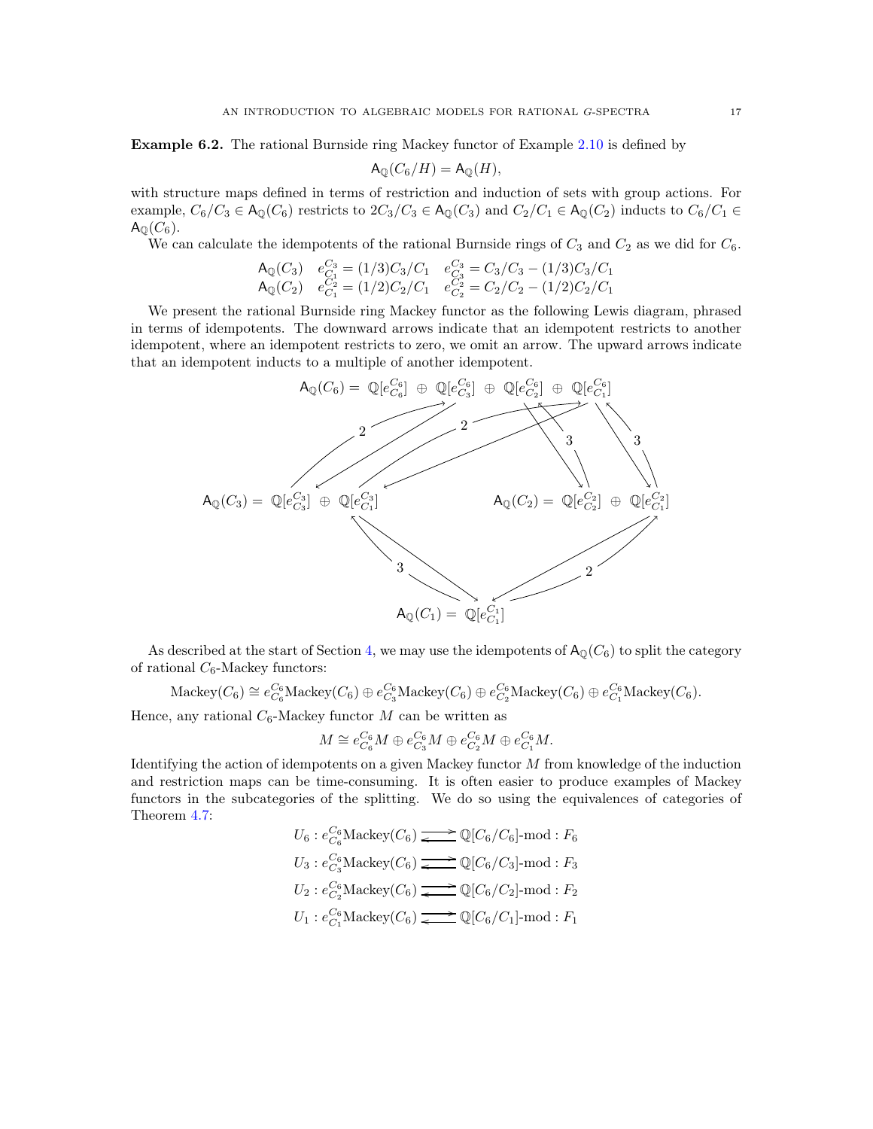<span id="page-16-0"></span>Example 6.2. The rational Burnside ring Mackey functor of Example [2.10](#page-5-2) is defined by

$$
\mathsf{A}_{\mathbb{Q}}(C_6/H) = \mathsf{A}_{\mathbb{Q}}(H),
$$

with structure maps defined in terms of restriction and induction of sets with group actions. For example,  $C_6/C_3 \in \mathsf{A}_{\mathbb{Q}}(C_6)$  restricts to  $2C_3/C_3 \in \mathsf{A}_{\mathbb{Q}}(C_3)$  and  $C_2/C_1 \in \mathsf{A}_{\mathbb{Q}}(C_2)$  inducts to  $C_6/C_1 \in$  $A_{\mathbb{Q}}(C_6)$ .

We can calculate the idempotents of the rational Burnside rings of  $C_3$  and  $C_2$  as we did for  $C_6$ .

$$
\begin{array}{ll}\n\mathsf{A}_{\mathbb{Q}}(C_3) & e_{C_1}^{C_3} = (1/3)C_3/C_1 & e_{C_3}^{C_3} = C_3/C_3 - (1/3)C_3/C_1 \\
\mathsf{A}_{\mathbb{Q}}(C_2) & e_{C_1}^{C_2} = (1/2)C_2/C_1 & e_{C_2}^{C_2} = C_2/C_2 - (1/2)C_2/C_1\n\end{array}
$$

We present the rational Burnside ring Mackey functor as the following Lewis diagram, phrased in terms of idempotents. The downward arrows indicate that an idempotent restricts to another idempotent, where an idempotent restricts to zero, we omit an arrow. The upward arrows indicate that an idempotent inducts to a multiple of another idempotent.



As described at the start of Section [4,](#page-9-0) we may use the idempotents of  $A_{\mathbb{Q}}(C_6)$  to split the category of rational  $C_6\mbox{-}\mathrm{Mackey}$  functors:

 $\text{Mackey}(C_6) \cong e_{C_6}^{C_6} \text{Mackey}(C_6) \oplus e_{C_3}^{C_6} \text{Mackey}(C_6) \oplus e_{C_2}^{C_6} \text{Mackey}(C_6).$ 

Hence, any rational  $C_6$ -Mackey functor M can be written as

$$
M \cong e_{C_6}^{C_6} M \oplus e_{C_3}^{C_6} M \oplus e_{C_2}^{C_6} M \oplus e_{C_1}^{C_6} M.
$$

Identifying the action of idempotents on a given Mackey functor  $M$  from knowledge of the induction and restriction maps can be time-consuming. It is often easier to produce examples of Mackey functors in the subcategories of the splitting. We do so using the equivalences of categories of Theorem [4.7:](#page-12-0)

$$
U_6: e_{C_6}^{C_6}\text{Mackey}(C_6) \longrightarrow \mathbb{Q}[C_6/C_6]\text{-mod}: F_6
$$
  
\n
$$
U_3: e_{C_3}^{C_6}\text{Mackey}(C_6) \longrightarrow \mathbb{Q}[C_6/C_3]\text{-mod}: F_3
$$
  
\n
$$
U_2: e_{C_2}^{C_6}\text{Mackey}(C_6) \longrightarrow \mathbb{Q}[C_6/C_2]\text{-mod}: F_2
$$
  
\n
$$
U_1: e_{C_1}^{C_6}\text{Mackey}(C_6) \longrightarrow \mathbb{Q}[C_6/C_1]\text{-mod}: F_1
$$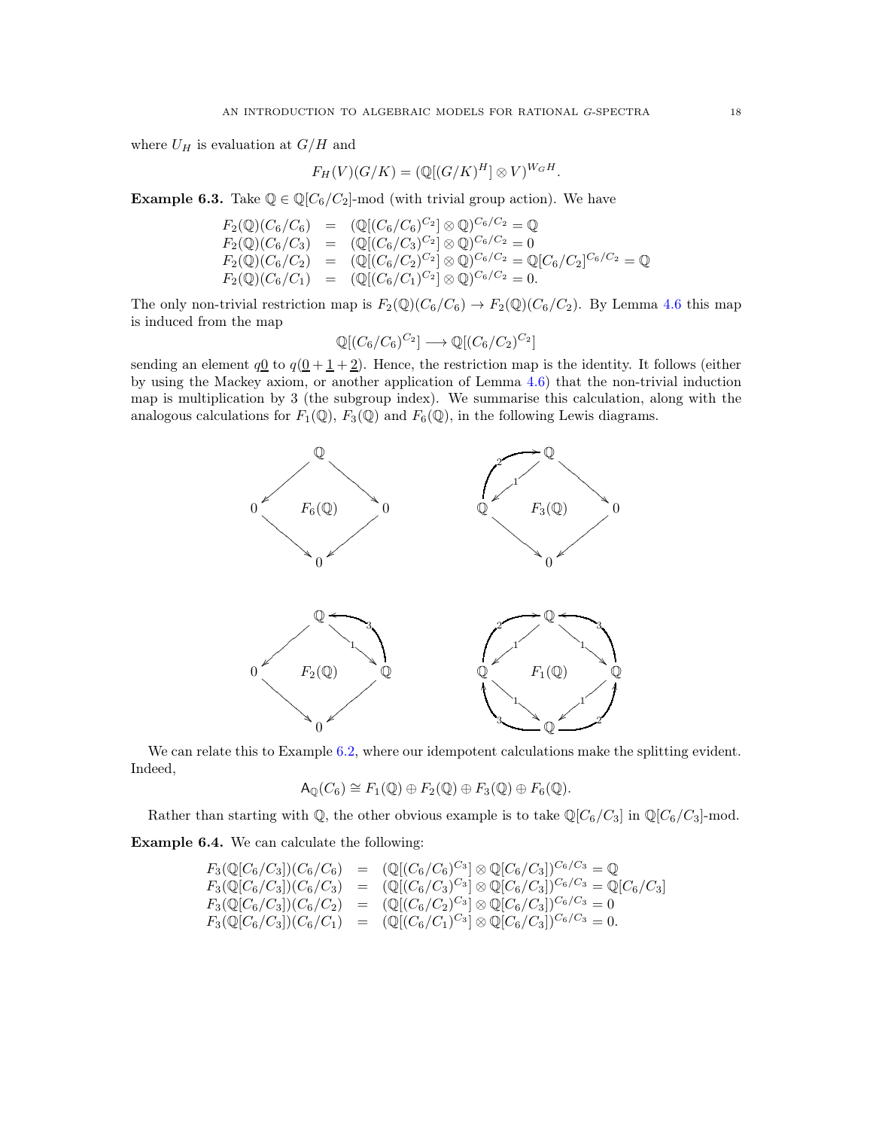where  $U_H$  is evaluation at  $G/H$  and

$$
F_H(V)(G/K) = (\mathbb{Q}[(G/K)^H] \otimes V)^{W_GH}.
$$

<span id="page-17-0"></span>**Example 6.3.** Take  $\mathbb{Q} \in \mathbb{Q}[C_6/C_2]$ -mod (with trivial group action). We have

$$
F_2(\mathbb{Q})(C_6/C_6) = (\mathbb{Q}[(C_6/C_6)^{C_2}] \otimes \mathbb{Q})^{C_6/C_2} = \mathbb{Q}
$$
  
\n
$$
F_2(\mathbb{Q})(C_6/C_3) = (\mathbb{Q}[(C_6/C_3)^{C_2}] \otimes \mathbb{Q})^{C_6/C_2} = 0
$$
  
\n
$$
F_2(\mathbb{Q})(C_6/C_2) = (\mathbb{Q}[(C_6/C_2)^{C_2}] \otimes \mathbb{Q})^{C_6/C_2} = \mathbb{Q}[C_6/C_2]^{C_6/C_2} = \mathbb{Q}
$$
  
\n
$$
F_2(\mathbb{Q})(C_6/C_1) = (\mathbb{Q}[(C_6/C_1)^{C_2}] \otimes \mathbb{Q})^{C_6/C_2} = 0.
$$

The only non-trivial restriction map is  $F_2(\mathbb{Q})(C_6/C_6) \to F_2(\mathbb{Q})(C_6/C_2)$ . By Lemma [4.6](#page-11-1) this map is induced from the map

$$
\mathbb{Q}[(C_6/C_6)^{C_2}] \longrightarrow \mathbb{Q}[(C_6/C_2)^{C_2}]
$$

sending an element  $q_0$  to  $q(0+1+2)$ . Hence, the restriction map is the identity. It follows (either by using the Mackey axiom, or another application of Lemma [4.6\)](#page-11-1) that the non-trivial induction map is multiplication by 3 (the subgroup index). We summarise this calculation, along with the analogous calculations for  $F_1(\mathbb{Q})$ ,  $F_3(\mathbb{Q})$  and  $F_6(\mathbb{Q})$ , in the following Lewis diagrams.



We can relate this to Example [6.2,](#page-16-0) where our idempotent calculations make the splitting evident. Indeed,

$$
\mathsf{A}_{\mathbb{Q}}(C_6) \cong F_1(\mathbb{Q}) \oplus F_2(\mathbb{Q}) \oplus F_3(\mathbb{Q}) \oplus F_6(\mathbb{Q}).
$$

Rather than starting with  $\mathbb{Q}$ , the other obvious example is to take  $\mathbb{Q}[C_6/C_3]$  in  $\mathbb{Q}[C_6/C_3]$ -mod.

<span id="page-17-1"></span>Example 6.4. We can calculate the following:

$$
F_3(\mathbb{Q}[C_6/C_3])(C_6) = (\mathbb{Q}[(C_6/C_6)^{C_3}] \otimes \mathbb{Q}[C_6/C_3])^{C_6/C_3} = \mathbb{Q}
$$
  
\n
$$
F_3(\mathbb{Q}[C_6/C_3])(C_6/C_3) = (\mathbb{Q}[(C_6/C_3)^{C_3}] \otimes \mathbb{Q}[C_6/C_3])^{C_6/C_3} = \mathbb{Q}[C_6/C_3]
$$
  
\n
$$
F_3(\mathbb{Q}[C_6/C_3])(C_6/C_2) = (\mathbb{Q}[(C_6/C_2)^{C_3}] \otimes \mathbb{Q}[C_6/C_3])^{C_6/C_3} = 0
$$
  
\n
$$
F_3(\mathbb{Q}[C_6/C_3])(C_6/C_1) = (\mathbb{Q}[(C_6/C_1)^{C_3}] \otimes \mathbb{Q}[C_6/C_3])^{C_6/C_3} = 0.
$$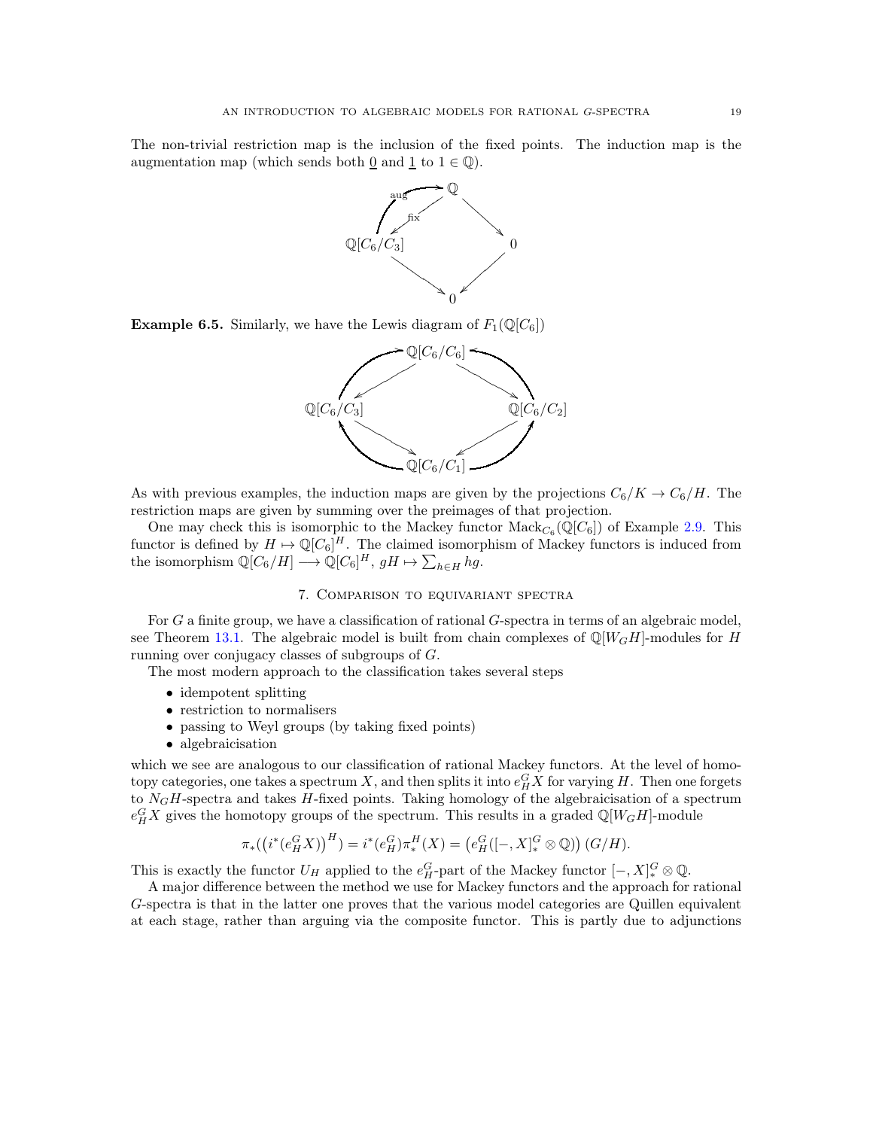The non-trivial restriction map is the inclusion of the fixed points. The induction map is the augmentation map (which sends both  $\underline{0}$  and  $\underline{1}$  to  $1 \in \mathbb{Q}$ ).



**Example 6.5.** Similarly, we have the Lewis diagram of  $F_1(\mathbb{Q}[C_6])$ 



As with previous examples, the induction maps are given by the projections  $C_6/K \to C_6/H$ . The restriction maps are given by summing over the preimages of that projection.

One may check this is isomorphic to the Mackey functor  $\text{Mack}_{C_6}(\mathbb{Q}[C_6])$  of Example [2.9.](#page-4-1) This functor is defined by  $H \mapsto \mathbb{Q}[C_6]^H$ . The claimed isomorphism of Mackey functors is induced from the isomorphism  $\mathbb{Q}[C_6/H] \longrightarrow \mathbb{Q}[C_6]^H$ ,  $gH \mapsto \sum_{h \in H} hg$ .

## 7. Comparison to equivariant spectra

<span id="page-18-0"></span>For G a finite group, we have a classification of rational G-spectra in terms of an algebraic model, see Theorem [13.1.](#page-37-0) The algebraic model is built from chain complexes of  $\mathbb{Q}[W_GH]$ -modules for H running over conjugacy classes of subgroups of G.

The most modern approach to the classification takes several steps

- idempotent splitting
- restriction to normalisers
- passing to Weyl groups (by taking fixed points)
- algebraicisation

which we see are analogous to our classification of rational Mackey functors. At the level of homotopy categories, one takes a spectrum X, and then splits it into  $e_H^G X$  for varying H. Then one forgets to  $N_GH$ -spectra and takes  $H$ -fixed points. Taking homology of the algebraicisation of a spectrum  $e_H^G X$  gives the homotopy groups of the spectrum. This results in a graded  $\mathbb{Q}[W_G H]$ -module

$$
\pi_*([i^*(e_H^G X)]^H) = i^*(e_H^G)\pi_*^H(X) = (e_H^G([-, X]_*^G \otimes \mathbb{Q})) (G/H).
$$

This is exactly the functor  $U_H$  applied to the  $e_H^G$ -part of the Mackey functor  $[-, X]_*^G \otimes \mathbb{Q}$ .

A major difference between the method we use for Mackey functors and the approach for rational G-spectra is that in the latter one proves that the various model categories are Quillen equivalent at each stage, rather than arguing via the composite functor. This is partly due to adjunctions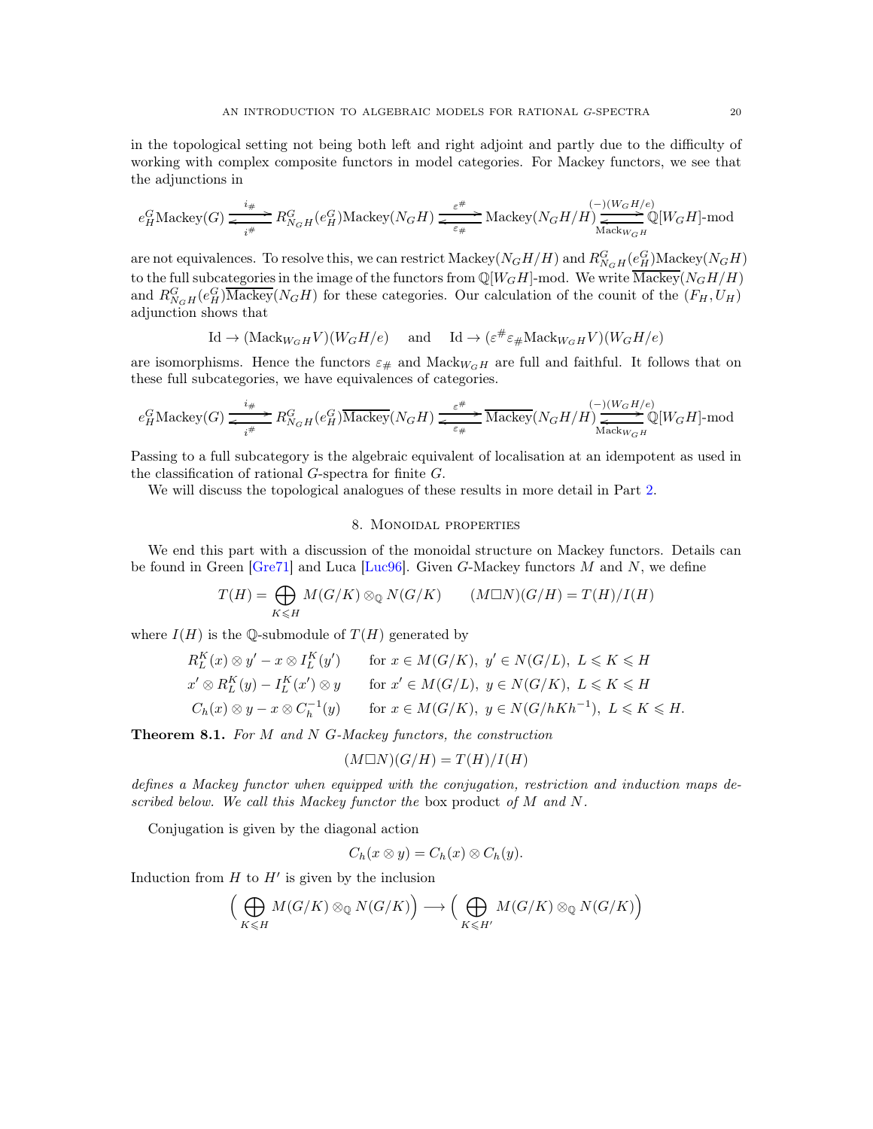in the topological setting not being both left and right adjoint and partly due to the difficulty of working with complex composite functors in model categories. For Mackey functors, we see that the adjunctions in

$$
e^G_H \textnormal{Mackey}(G) \xrightarrow[i\#]{i\#} R^G_{N_GH}(e^G_H) \textnormal{Mackey}(N_GH) \xrightarrow[\varepsilon\#]{\varepsilon\#} \textnormal{Mackey}(N_GH/H) \xrightarrow[\textnormal{Mack}_{W_GH}^{(-)(W_GH/e)} \mathbb{Q}[W_GH]\text{-mod}
$$

are not equivalences. To resolve this, we can restrict Mackey( $N_GH/H$ ) and  $R_{N_GH}^G(e_H^G)$ Mackey( $N_GH$ ) to the full subcategories in the image of the functors from  $\mathbb{Q}[W_GH]$ -mod. We write  $\overline{\mathrm{Mackey}}(N_GH/H)$ and  $R_{N_GH}^G(e_H^G)$  Mackey( $N_GH$ ) for these categories. Our calculation of the counit of the  $(F_H, U_H)$ adjunction shows that

$$
\mathrm{Id} \to (\mathrm{Mack}_{W_GH} V)(W_G H/e) \quad \text{ and } \quad \mathrm{Id} \to (\varepsilon^{\#} \varepsilon_{\#} \mathrm{Mack}_{W_GH} V)(W_G H/e)
$$

are isomorphisms. Hence the functors  $\varepsilon_{\#}$  and Mack<sub>WGH</sub> are full and faithful. It follows that on these full subcategories, we have equivalences of categories.

$$
e_H^G\text{Mackey}(G)\xrightarrow[\qquad]{i\#} R_{N_GH}^G(e_H^G)\overline{\text{Mackey}}(N_GH)\xrightarrow[\qquad]{\varepsilon^{\#}} \overline{\text{Mackey}}(N_GH/H)\xrightarrow[\text{Mackw_GH}]{(-)(W_GH/e)}\mathbb{Q}[W_GH]\text{-mod}
$$

Passing to a full subcategory is the algebraic equivalent of localisation at an idempotent as used in the classification of rational G-spectra for finite G.

<span id="page-19-0"></span>We will discuss the topological analogues of these results in more detail in Part [2.](#page-21-0)

## 8. Monoidal properties

We end this part with a discussion of the monoidal structure on Mackey functors. Details can be found in Green [\[Gre71\]](#page-39-12) and Luca [\[Luc96\]](#page-40-13). Given G-Mackey functors  $M$  and  $N$ , we define

$$
T(H) = \bigoplus_{K \le H} M(G/K) \otimes_{\mathbb{Q}} N(G/K) \qquad (M \square N)(G/H) = T(H)/I(H)
$$

where  $I(H)$  is the Q-submodule of  $T(H)$  generated by

$$
R_L^K(x) \otimes y' - x \otimes I_L^K(y') \qquad \text{for } x \in M(G/K), \ y' \in N(G/L), \ L \le K \le H
$$
  
\n
$$
x' \otimes R_L^K(y) - I_L^K(x') \otimes y \qquad \text{for } x' \in M(G/L), \ y \in N(G/K), \ L \le K \le H
$$
  
\n
$$
C_h(x) \otimes y - x \otimes C_h^{-1}(y) \qquad \text{for } x \in M(G/K), \ y \in N(G/hKh^{-1}), \ L \le K \le H.
$$

Theorem 8.1. *For* M *and* N G*-Mackey functors, the construction*

$$
(M\square N)(G/H) = T(H)/I(H)
$$

*defines a Mackey functor when equipped with the conjugation, restriction and induction maps described below. We call this Mackey functor the* box product *of* M *and* N*.*

Conjugation is given by the diagonal action

$$
C_h(x \otimes y) = C_h(x) \otimes C_h(y).
$$

Induction from  $H$  to  $H'$  is given by the inclusion

$$
\Big(\bigoplus_{K\leqslant H}M(G/K)\otimes_{{\mathbb Q}}N(G/K)\Big)\longrightarrow \Big(\bigoplus_{K\leqslant H'}M(G/K)\otimes_{{\mathbb Q}}N(G/K)\Big)
$$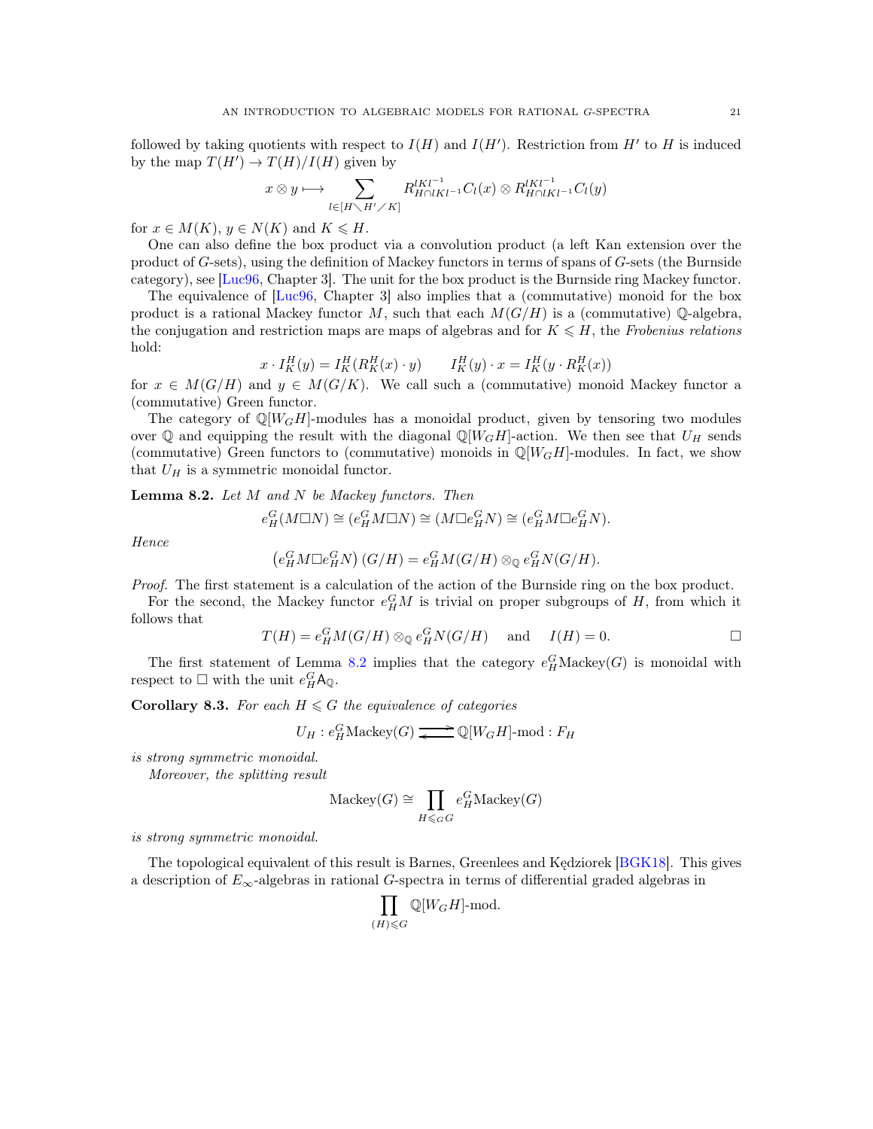followed by taking quotients with respect to  $I(H)$  and  $I(H')$ . Restriction from  $H'$  to  $H$  is induced by the map  $T(H') \to T(H)/I(H)$  given by

$$
x \otimes y \longmapsto \sum_{l \in [H \setminus H' \times K]} R_{H \cap lKl^{-1}}^{lKl^{-1}} C_l(x) \otimes R_{H \cap lKl^{-1}}^{lKl^{-1}} C_l(y)
$$

for  $x \in M(K)$ ,  $y \in N(K)$  and  $K \leq H$ .

One can also define the box product via a convolution product (a left Kan extension over the product of  $G$ -sets), using the definition of Mackey functors in terms of spans of  $G$ -sets (the Burnside category), see [\[Luc96,](#page-40-13) Chapter 3]. The unit for the box product is the Burnside ring Mackey functor.

The equivalence of [\[Luc96,](#page-40-13) Chapter 3] also implies that a (commutative) monoid for the box product is a rational Mackey functor M, such that each  $M(G/H)$  is a (commutative) Q-algebra, the conjugation and restriction maps are maps of algebras and for  $K \leq H$ , the *Frobenius relations* hold:

$$
x \cdot I_K^H(y) = I_K^H(R_K^H(x) \cdot y) \qquad I_K^H(y) \cdot x = I_K^H(y \cdot R_K^H(x))
$$

for  $x \in M(G/H)$  and  $y \in M(G/K)$ . We call such a (commutative) monoid Mackey functor a (commutative) Green functor.

The category of  $\mathbb{Q}[W_GH]$ -modules has a monoidal product, given by tensoring two modules over Q and equipping the result with the diagonal  $\mathbb{Q}[W_GH]$ -action. We then see that  $U_H$  sends (commutative) Green functors to (commutative) monoids in  $\mathbb{Q}[W_GH]$ -modules. In fact, we show that  $U_H$  is a symmetric monoidal functor.

<span id="page-20-0"></span>Lemma 8.2. *Let* M *and* N *be Mackey functors. Then*

$$
e_H^G(M \Box N) \cong (e_H^G M \Box N) \cong (M \Box e_H^G N) \cong (e_H^G M \Box e_H^G N).
$$

*Hence*

$$
(e_H^G M \Box e_H^G N) (G/H) = e_H^G M (G/H) \otimes_{\mathbb{Q}} e_H^G N (G/H).
$$

*Proof.* The first statement is a calculation of the action of the Burnside ring on the box product.

For the second, the Mackey functor  $e_H^G M$  is trivial on proper subgroups of H, from which it follows that

$$
T(H) = e_H^G M(G/H) \otimes_{\mathbb{Q}} e_H^G N(G/H) \quad \text{and} \quad I(H) = 0.
$$

The first statement of Lemma [8.2](#page-20-0) implies that the category  $e_H^G$ Mackey(G) is monoidal with respect to  $\Box$  with the unit  $e_H^G \mathsf{A}_{\mathbb{Q}}$ .

**Corollary 8.3.** For each  $H \leq G$  the equivalence of categories

$$
U_H : e^G_H \text{Mackey}(G) \longrightarrow \mathbb{Q}[W_G H] \text{-mod}: F_H
$$

*is strong symmetric monoidal.*

*Moreover, the splitting result*

$$
\text{Mackey}(G) \cong \prod_{H \leqslant_G G} e_H^G \text{Mackey}(G)
$$

*is strong symmetric monoidal.*

The topological equivalent of this result is Barnes, Greenlees and Kędziorek [\[BGK18\]](#page-38-2). This gives a description of  $E_{\infty}$ -algebras in rational G-spectra in terms of differential graded algebras in

$$
\prod_{(H) \leqslant G} \mathbb{Q}[W_GH]\text{-mod}.
$$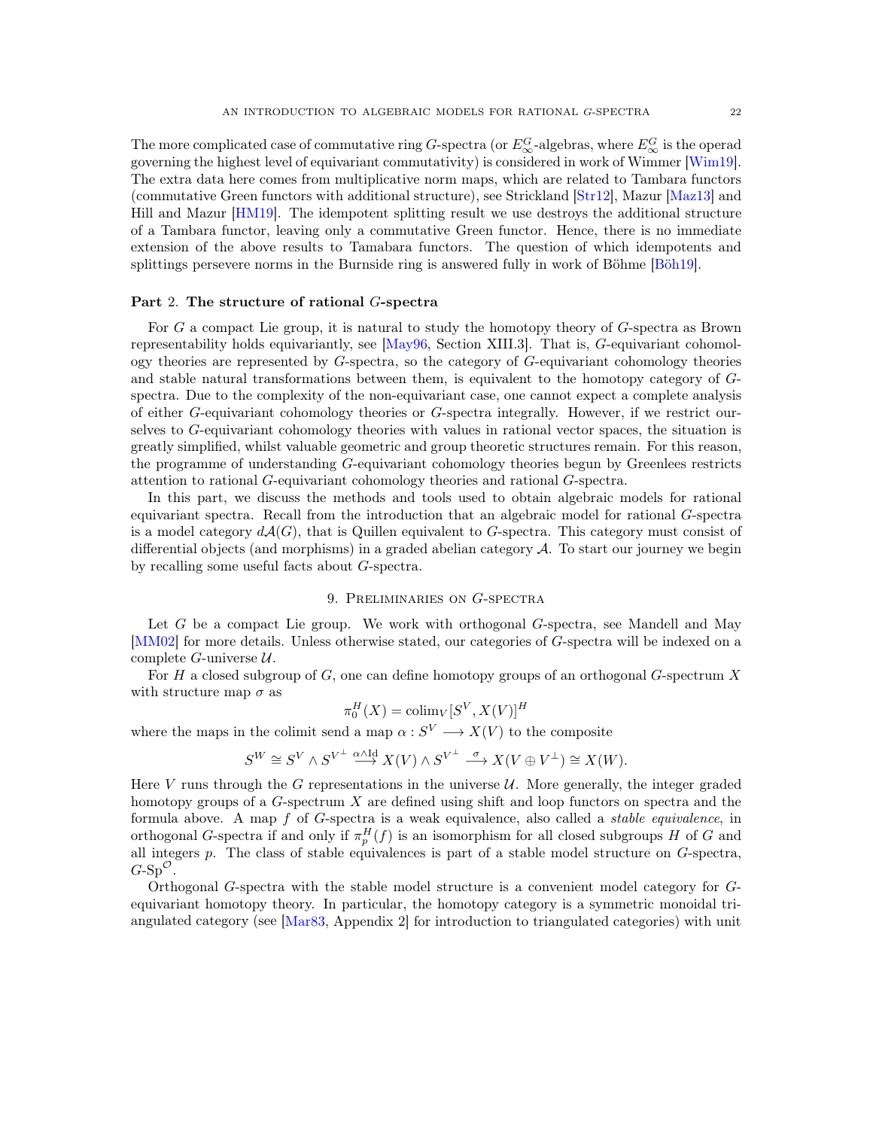The more complicated case of commutative ring G-spectra (or  $E_{\infty}^G$ -algebras, where  $E_{\infty}^G$  is the operad governing the highest level of equivariant commutativity) is considered in work of Wimmer [\[Wim19\]](#page-40-14). The extra data here comes from multiplicative norm maps, which are related to Tambara functors (commutative Green functors with additional structure), see Strickland [\[Str12\]](#page-40-8), Mazur [\[Maz13\]](#page-40-15) and Hill and Mazur [\[HM19\]](#page-39-13). The idempotent splitting result we use destroys the additional structure of a Tambara functor, leaving only a commutative Green functor. Hence, there is no immediate extension of the above results to Tamabara functors. The question of which idempotents and splittings persevere norms in the Burnside ring is answered fully in work of Böhme [\[Böh19\]](#page-39-14).

## <span id="page-21-0"></span>Part 2. The structure of rational G-spectra

For G a compact Lie group, it is natural to study the homotopy theory of G-spectra as Brown representability holds equivariantly, see [\[May96,](#page-40-9) Section XIII.3]. That is, G-equivariant cohomology theories are represented by G-spectra, so the category of G-equivariant cohomology theories and stable natural transformations between them, is equivalent to the homotopy category of Gspectra. Due to the complexity of the non-equivariant case, one cannot expect a complete analysis of either G-equivariant cohomology theories or G-spectra integrally. However, if we restrict ourselves to G-equivariant cohomology theories with values in rational vector spaces, the situation is greatly simplified, whilst valuable geometric and group theoretic structures remain. For this reason, the programme of understanding G-equivariant cohomology theories begun by Greenlees restricts attention to rational G-equivariant cohomology theories and rational G-spectra.

In this part, we discuss the methods and tools used to obtain algebraic models for rational equivariant spectra. Recall from the introduction that an algebraic model for rational G-spectra is a model category  $d\mathcal{A}(G)$ , that is Quillen equivalent to G-spectra. This category must consist of differential objects (and morphisms) in a graded abelian category  $A$ . To start our journey we begin by recalling some useful facts about G-spectra.

### 9. Preliminaries on G-spectra

<span id="page-21-1"></span>Let G be a compact Lie group. We work with orthogonal G-spectra, see Mandell and May [\[MM02\]](#page-40-16) for more details. Unless otherwise stated, our categories of G-spectra will be indexed on a complete  $G$ -universe  $U$ .

For H a closed subgroup of  $G$ , one can define homotopy groups of an orthogonal  $G$ -spectrum X with structure map  $\sigma$  as

$$
\pi_0^H(X) = \operatorname{colim}_V[S^V, X(V)]^H
$$

where the maps in the colimit send a map  $\alpha: S^V \longrightarrow X(V)$  to the composite

$$
S^W \cong S^V \wedge S^{V^\perp} \stackrel{\alpha \wedge \mathrm{Id}}{\longrightarrow} X(V) \wedge S^{V^\perp} \stackrel{\sigma}{\longrightarrow} X(V \oplus V^\perp) \cong X(W).
$$

Here V runs through the G representations in the universe  $U$ . More generally, the integer graded homotopy groups of a  $G$ -spectrum  $X$  are defined using shift and loop functors on spectra and the formula above. A map f of G-spectra is a weak equivalence, also called a *stable equivalence*, in orthogonal G-spectra if and only if  $\pi_p^H(f)$  is an isomorphism for all closed subgroups H of G and all integers  $p$ . The class of stable equivalences is part of a stable model structure on  $G$ -spectra,  $G-Sp^{\mathcal{O}}$ .

Orthogonal G-spectra with the stable model structure is a convenient model category for Gequivariant homotopy theory. In particular, the homotopy category is a symmetric monoidal triangulated category (see [\[Mar83,](#page-40-17) Appendix 2] for introduction to triangulated categories) with unit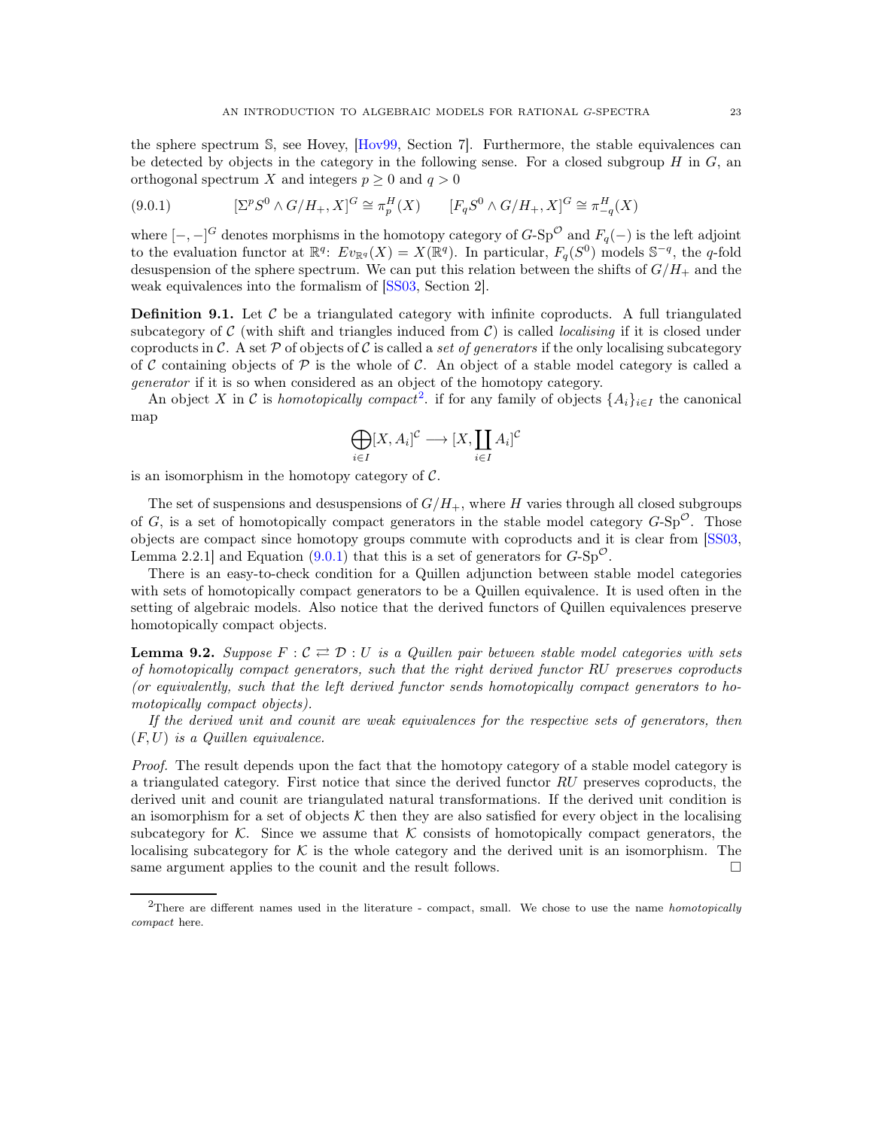the sphere spectrum S, see Hovey, [\[Hov99,](#page-39-15) Section 7]. Furthermore, the stable equivalences can be detected by objects in the category in the following sense. For a closed subgroup  $H$  in  $G$ , an orthogonal spectrum X and integers  $p \geq 0$  and  $q > 0$ 

<span id="page-22-1"></span>
$$
(9.0.1) \t\t [ \Sigma^p S^0 \wedge G/H_+, X ]^G \cong \pi_p^H(X) \t\t [F_q S^0 \wedge G/H_+, X ]^G \cong \pi_{-q}^H(X)
$$

where  $[-,-]^G$  denotes morphisms in the homotopy category of  $G$ -Sp<sup> $^{\circ}$ </sup> and  $F_q(-)$  is the left adjoint to the evaluation functor at  $\mathbb{R}^q$ :  $Ev_{\mathbb{R}^q}(X) = X(\mathbb{R}^q)$ . In particular,  $F_q(S^0)$  models  $\mathbb{S}^{-q}$ , the q-fold desuspension of the sphere spectrum. We can put this relation between the shifts of  $G/H_+$  and the weak equivalences into the formalism of [\[SS03,](#page-40-18) Section 2].

**Definition 9.1.** Let  $\mathcal{C}$  be a triangulated category with infinite coproducts. A full triangulated subcategory of  $\mathcal C$  (with shift and triangles induced from  $\mathcal C$ ) is called *localising* if it is closed under coproducts in C. A set  $P$  of objects of C is called a *set of generators* if the only localising subcategory of C containing objects of P is the whole of C. An object of a stable model category is called a *generator* if it is so when considered as an object of the homotopy category.

An object X in C is *homotopically compact*<sup>[2](#page-22-0)</sup>. if for any family of objects  $\{A_i\}_{i\in I}$  the canonical map

$$
\bigoplus_{i \in I} [X, A_i]^{\mathcal{C}} \longrightarrow [X, \coprod_{i \in I} A_i]^{\mathcal{C}}
$$

is an isomorphism in the homotopy category of  $C$ .

The set of suspensions and desuspensions of  $G/H_+$ , where H varies through all closed subgroups of G, is a set of homotopically compact generators in the stable model category  $G-\text{Sp}^{\mathcal{O}}$ . Those objects are compact since homotopy groups commute with coproducts and it is clear from [\[SS03,](#page-40-18) Lemma 2.2.1] and Equation [\(9.0.1\)](#page-22-1) that this is a set of generators for  $G-Sp^{\mathcal{O}}$ .

There is an easy-to-check condition for a Quillen adjunction between stable model categories with sets of homotopically compact generators to be a Quillen equivalence. It is used often in the setting of algebraic models. Also notice that the derived functors of Quillen equivalences preserve homotopically compact objects.

**Lemma 9.2.** Suppose  $F: \mathcal{C} \rightleftarrows \mathcal{D}: U$  is a Quillen pair between stable model categories with sets *of homotopically compact generators, such that the right derived functor* RU *preserves coproducts (or equivalently, such that the left derived functor sends homotopically compact generators to homotopically compact objects).*

*If the derived unit and counit are weak equivalences for the respective sets of generators, then* (F, U) *is a Quillen equivalence.*

*Proof.* The result depends upon the fact that the homotopy category of a stable model category is a triangulated category. First notice that since the derived functor RU preserves coproducts, the derived unit and counit are triangulated natural transformations. If the derived unit condition is an isomorphism for a set of objects  $K$  then they are also satisfied for every object in the localising subcategory for K. Since we assume that K consists of homotopically compact generators, the localising subcategory for  $\mathcal K$  is the whole category and the derived unit is an isomorphism. The same argument applies to the counit and the result follows.  $\square$ 

<span id="page-22-0"></span><sup>2</sup>There are different names used in the literature - compact, small. We chose to use the name *homotopically compact* here.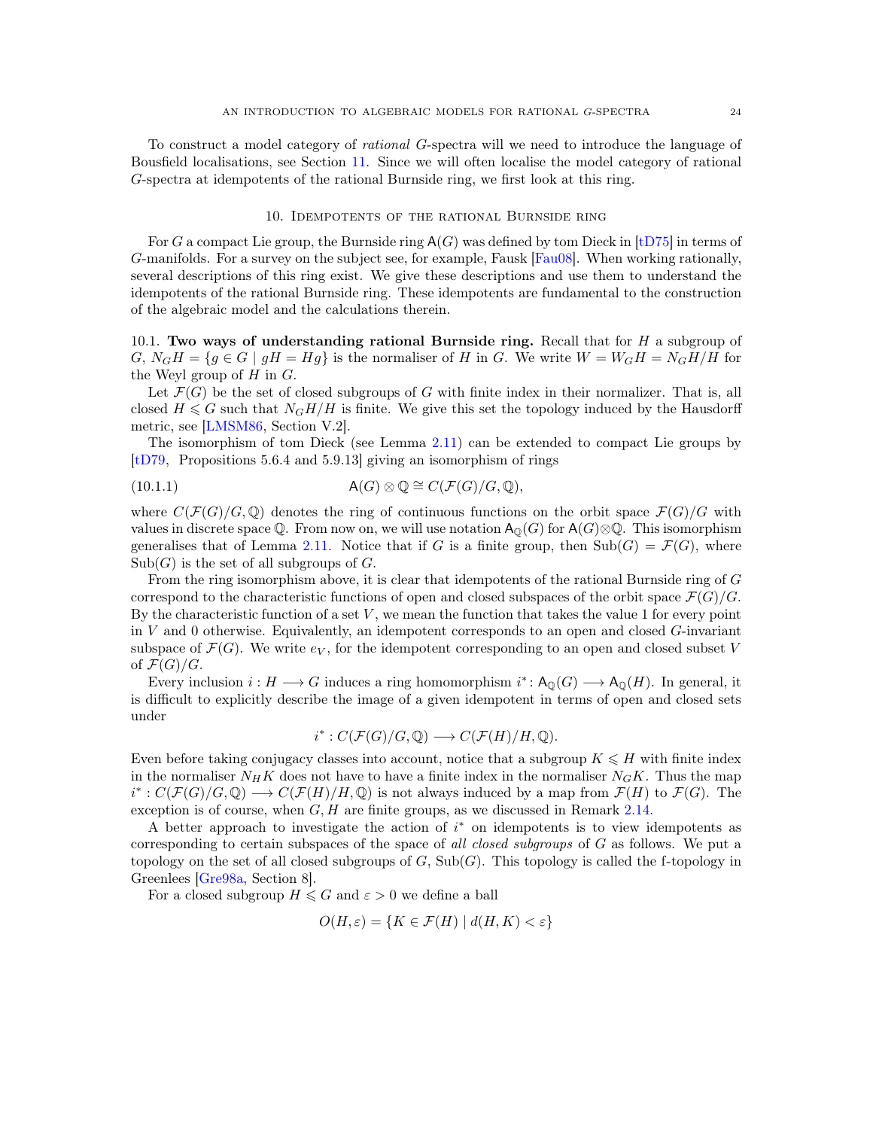To construct a model category of *rational* G-spectra will we need to introduce the language of Bousfield localisations, see Section [11.](#page-28-0) Since we will often localise the model category of rational G-spectra at idempotents of the rational Burnside ring, we first look at this ring.

#### 10. Idempotents of the rational Burnside ring

<span id="page-23-0"></span>For G a compact Lie group, the Burnside ring  $A(G)$  was defined by tom Dieck in [\[tD75\]](#page-40-19) in terms of G-manifolds. For a survey on the subject see, for example, Fausk [\[Fau08\]](#page-39-16). When working rationally, several descriptions of this ring exist. We give these descriptions and use them to understand the idempotents of the rational Burnside ring. These idempotents are fundamental to the construction of the algebraic model and the calculations therein.

10.1. Two ways of understanding rational Burnside ring. Recall that for  $H$  a subgroup of  $G, N_GH = \{g \in G \mid gH = Hg\}$  is the normaliser of H in G. We write  $W = W_GH = N_GH/H$  for the Weyl group of  $H$  in  $G$ .

Let  $\mathcal{F}(G)$  be the set of closed subgroups of G with finite index in their normalizer. That is, all closed  $H \leq G$  such that  $N_GH/H$  is finite. We give this set the topology induced by the Hausdorff metric, see [\[LMSM86,](#page-40-10) Section V.2].

The isomorphism of tom Dieck (see Lemma [2.11\)](#page-5-0) can be extended to compact Lie groups by [\[tD79,](#page-40-11) Propositions 5.6.4 and 5.9.13] giving an isomorphism of rings

<span id="page-23-1"></span>(10.1.1) 
$$
\mathsf{A}(G) \otimes \mathbb{Q} \cong C(\mathcal{F}(G)/G, \mathbb{Q}),
$$

where  $C(\mathcal{F}(G)/G,\mathbb{Q})$  denotes the ring of continuous functions on the orbit space  $\mathcal{F}(G)/G$  with values in discrete space Q. From now on, we will use notation  $A_0(G)$  for  $A(G) \otimes \mathbb{Q}$ . This isomorphism generalises that of Lemma [2.11.](#page-5-0) Notice that if G is a finite group, then  $\text{Sub}(G) = \mathcal{F}(G)$ , where  $Sub(G)$  is the set of all subgroups of G.

From the ring isomorphism above, it is clear that idempotents of the rational Burnside ring of G correspond to the characteristic functions of open and closed subspaces of the orbit space  $\mathcal{F}(G)/G$ . By the characteristic function of a set  $V$ , we mean the function that takes the value 1 for every point in V and 0 otherwise. Equivalently, an idempotent corresponds to an open and closed  $G$ -invariant subspace of  $\mathcal{F}(G)$ . We write  $e_V$ , for the idempotent corresponding to an open and closed subset V of  $\mathcal{F}(G)/G$ .

Every inclusion  $i: H \longrightarrow G$  induces a ring homomorphism  $i^*: A_{{\mathbb{Q}}}(G) \longrightarrow A_{{\mathbb{Q}}}(H)$ . In general, it is difficult to explicitly describe the image of a given idempotent in terms of open and closed sets under

$$
i^*: C(\mathcal{F}(G)/G, \mathbb{Q}) \longrightarrow C(\mathcal{F}(H)/H, \mathbb{Q}).
$$

Even before taking conjugacy classes into account, notice that a subgroup  $K \leq H$  with finite index in the normaliser  $N_HK$  does not have to have a finite index in the normaliser  $N_GK$ . Thus the map  $i^*: C(\mathcal{F}(G)/G,\mathbb{Q}) \longrightarrow C(\mathcal{F}(H)/H,\mathbb{Q})$  is not always induced by a map from  $\mathcal{F}(H)$  to  $\mathcal{F}(G)$ . The exception is of course, when  $G, H$  are finite groups, as we discussed in Remark [2.14.](#page-6-0)

A better approach to investigate the action of  $i^*$  on idempotents is to view idempotents as corresponding to certain subspaces of the space of *all closed subgroups* of G as follows. We put a topology on the set of all closed subgroups of  $G$ ,  $\text{Sub}(G)$ . This topology is called the f-topology in Greenlees [\[Gre98a,](#page-39-11) Section 8].

For a closed subgroup  $H \leq G$  and  $\varepsilon > 0$  we define a ball

$$
O(H, \varepsilon) = \{ K \in \mathcal{F}(H) \mid d(H, K) < \varepsilon \}
$$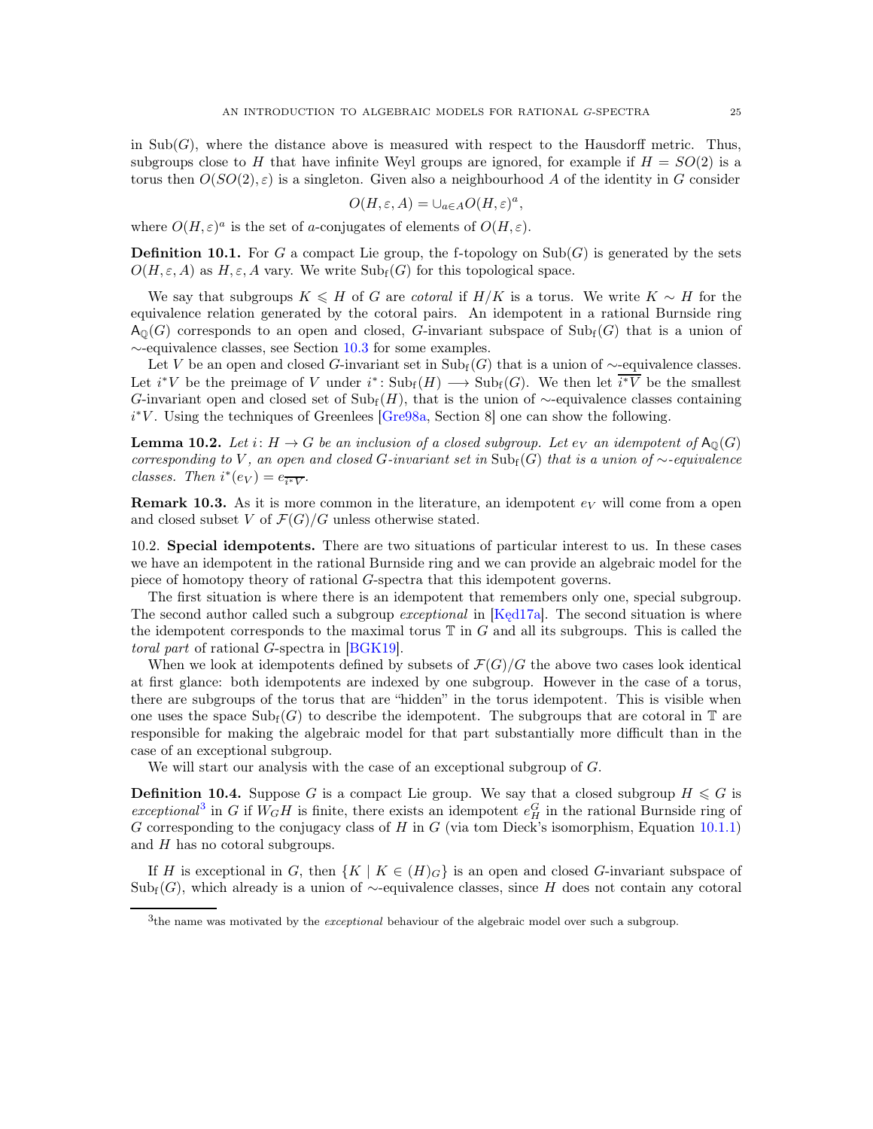in  $\text{Sub}(G)$ , where the distance above is measured with respect to the Hausdorff metric. Thus, subgroups close to H that have infinite Weyl groups are ignored, for example if  $H = SO(2)$  is a torus then  $O(SO(2), \varepsilon)$  is a singleton. Given also a neighbourhood A of the identity in G consider

$$
O(H,\varepsilon,A) = \cup_{a \in A} O(H,\varepsilon)^a,
$$

where  $O(H,\varepsilon)^a$  is the set of a-conjugates of elements of  $O(H,\varepsilon)$ .

**Definition 10.1.** For G a compact Lie group, the f-topology on  $\text{Sub}(G)$  is generated by the sets  $O(H, \varepsilon, A)$  as H,  $\varepsilon$ , A vary. We write  $\text{Sub}_{f}(G)$  for this topological space.

We say that subgroups  $K \leq H$  of G are *cotoral* if  $H/K$  is a torus. We write  $K \sim H$  for the equivalence relation generated by the cotoral pairs. An idempotent in a rational Burnside ring  $A_{\Omega}(G)$  corresponds to an open and closed, G-invariant subspace of  $\text{Sub}_{f}(G)$  that is a union of ∼-equivalence classes, see Section [10.3](#page-26-0) for some examples.

Let V be an open and closed G-invariant set in  $\text{Sub}_{f}(G)$  that is a union of ~-equivalence classes. Let  $i^*V$  be the preimage of V under  $i^*: \mathrm{Sub}_{f}(H) \longrightarrow \mathrm{Sub}_{f}(G)$ . We then let  $\overline{i^*V}$  be the smallest G-invariant open and closed set of  $\text{Sub}_{f}(H)$ , that is the union of ∼-equivalence classes containing i<sup>\*</sup>V. Using the techniques of Greenlees [\[Gre98a,](#page-39-11) Section 8] one can show the following.

**Lemma 10.2.** Let i:  $H \to G$  be an inclusion of a closed subgroup. Let  $e_V$  an idempotent of  $A_0(G)$ *corresponding to* V, an open and closed G-invariant set in Sub<sub>f</sub>(G) that is a union of  $\sim$ -equivalence *classes.* Then  $i^*(e_V) = e_{\overline{i^*V}}$ .

**Remark 10.3.** As it is more common in the literature, an idempotent  $e_V$  will come from a open and closed subset V of  $\mathcal{F}(G)/G$  unless otherwise stated.

10.2. Special idempotents. There are two situations of particular interest to us. In these cases we have an idempotent in the rational Burnside ring and we can provide an algebraic model for the piece of homotopy theory of rational G-spectra that this idempotent governs.

The first situation is where there is an idempotent that remembers only one, special subgroup. The second author called such a subgroup *exceptional* in [\[Kęd17a\]](#page-39-17). The second situation is where the idempotent corresponds to the maximal torus  $\mathbb T$  in G and all its subgroups. This is called the *toral part* of rational G-spectra in [\[BGK19\]](#page-38-5).

When we look at idempotents defined by subsets of  $\mathcal{F}(G)/G$  the above two cases look identical at first glance: both idempotents are indexed by one subgroup. However in the case of a torus, there are subgroups of the torus that are "hidden" in the torus idempotent. This is visible when one uses the space  $\text{Sub}_{f}(G)$  to describe the idempotent. The subgroups that are cotoral in  $\mathbb{T}$  are responsible for making the algebraic model for that part substantially more difficult than in the case of an exceptional subgroup.

We will start our analysis with the case of an exceptional subgroup of G.

**Definition 10.4.** Suppose G is a compact Lie group. We say that a closed subgroup  $H \leq G$  is  $exceptional<sup>3</sup>$  $exceptional<sup>3</sup>$  $exceptional<sup>3</sup>$  in G if  $W_GH$  is finite, there exists an idempotent  $e_H^G$  in the rational Burnside ring of G corresponding to the conjugacy class of H in G (via tom Dieck's isomorphism, Equation  $10.1.1$ ) and  $H$  has no cotoral subgroups.

If H is exceptional in G, then  $\{K \mid K \in (H)_G\}$  is an open and closed G-invariant subspace of  $Sub<sub>f</sub>(G)$ , which already is a union of ∼-equivalence classes, since H does not contain any cotoral

<span id="page-24-0"></span><sup>3</sup> the name was motivated by the *exceptional* behaviour of the algebraic model over such a subgroup.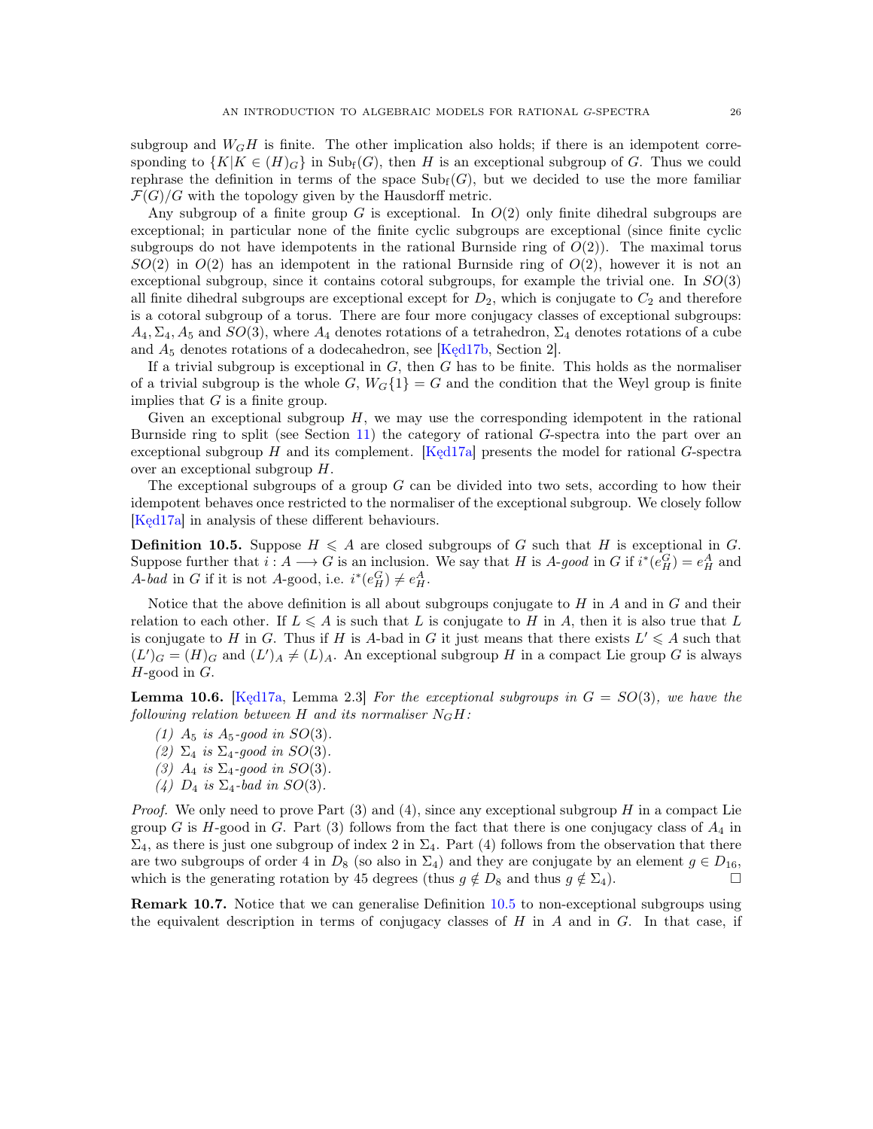subgroup and  $W_GH$  is finite. The other implication also holds; if there is an idempotent corresponding to  $\{K|K \in (H)$ <sub>G</sub> $\}$  in Sub<sub>f</sub>(G), then H is an exceptional subgroup of G. Thus we could rephrase the definition in terms of the space  $\text{Sub}_{f}(G)$ , but we decided to use the more familiar  $\mathcal{F}(G)/G$  with the topology given by the Hausdorff metric.

Any subgroup of a finite group G is exceptional. In  $O(2)$  only finite dihedral subgroups are exceptional; in particular none of the finite cyclic subgroups are exceptional (since finite cyclic subgroups do not have idempotents in the rational Burnside ring of  $O(2)$ ). The maximal torus  $SO(2)$  in  $O(2)$  has an idempotent in the rational Burnside ring of  $O(2)$ , however it is not an exceptional subgroup, since it contains cotoral subgroups, for example the trivial one. In  $SO(3)$ all finite dihedral subgroups are exceptional except for  $D_2$ , which is conjugate to  $C_2$  and therefore is a cotoral subgroup of a torus. There are four more conjugacy classes of exceptional subgroups:  $A_4, \Sigma_4, A_5$  and  $SO(3)$ , where  $A_4$  denotes rotations of a tetrahedron,  $\Sigma_4$  denotes rotations of a cube and  $A_5$  denotes rotations of a dodecahedron, see [Ked17b, Section 2].

If a trivial subgroup is exceptional in  $G$ , then  $G$  has to be finite. This holds as the normaliser of a trivial subgroup is the whole G,  $W_G\{1\} = G$  and the condition that the Weyl group is finite implies that  $G$  is a finite group.

Given an exceptional subgroup  $H$ , we may use the corresponding idempotent in the rational Burnside ring to split (see Section [11\)](#page-28-0) the category of rational G-spectra into the part over an exceptional subgroup  $H$  and its complement. [\[Kęd17a\]](#page-39-17) presents the model for rational  $G$ -spectra over an exceptional subgroup H.

The exceptional subgroups of a group  $G$  can be divided into two sets, according to how their idempotent behaves once restricted to the normaliser of the exceptional subgroup. We closely follow [\[Kęd17a\]](#page-39-17) in analysis of these different behaviours.

<span id="page-25-0"></span>**Definition 10.5.** Suppose  $H \leq A$  are closed subgroups of G such that H is exceptional in G. Suppose further that  $i : A \longrightarrow G$  is an inclusion. We say that H is A-good in G if  $i^*(e_H^G) = e_H^A$  and A-bad in G if it is not A-good, i.e.  $i^*(e_H^G) \neq e_H^A$ .

Notice that the above definition is all about subgroups conjugate to  $H$  in  $A$  and in  $G$  and their relation to each other. If  $L \leq A$  is such that L is conjugate to H in A, then it is also true that L is conjugate to H in G. Thus if H is A-bad in G it just means that there exists  $L' \leq A$  such that  $(L')_G = (H)_G$  and  $(L')_A \neq (L)_A$ . An exceptional subgroup H in a compact Lie group G is always  $H$ -good in  $G$ .

Lemma 10.6. [\[Kęd17a,](#page-39-17) Lemma 2.3] *For the exceptional subgroups in* G = SO(3)*, we have the following relation between*  $H$  *and its normaliser*  $N<sub>G</sub>H$ :

- *(1)*  $A_5$  *is*  $A_5$ *-good in SO(3)*.
- *(2)*  $\Sigma_4$  *is*  $\Sigma_4$ *-good in SO*(3).
- *(3)*  $A_4$  *is*  $\Sigma_4$ *-good in SO(3)*.
- *(4)*  $D_4$  *is*  $\Sigma_4$ *-bad in*  $SO(3)$ *.*

*Proof.* We only need to prove Part (3) and (4), since any exceptional subgroup H in a compact Lie group G is H-good in G. Part (3) follows from the fact that there is one conjugacy class of  $A_4$  in  $\Sigma_4$ , as there is just one subgroup of index 2 in  $\Sigma_4$ . Part (4) follows from the observation that there are two subgroups of order 4 in  $D_8$  (so also in  $\Sigma_4$ ) and they are conjugate by an element  $g \in D_{16}$ , which is the generating rotation by 45 degrees (thus  $g \notin D_8$  and thus  $g \notin \Sigma_4$ ).

Remark 10.7. Notice that we can generalise Definition [10.5](#page-25-0) to non-exceptional subgroups using the equivalent description in terms of conjugacy classes of  $H$  in  $A$  and in  $G$ . In that case, if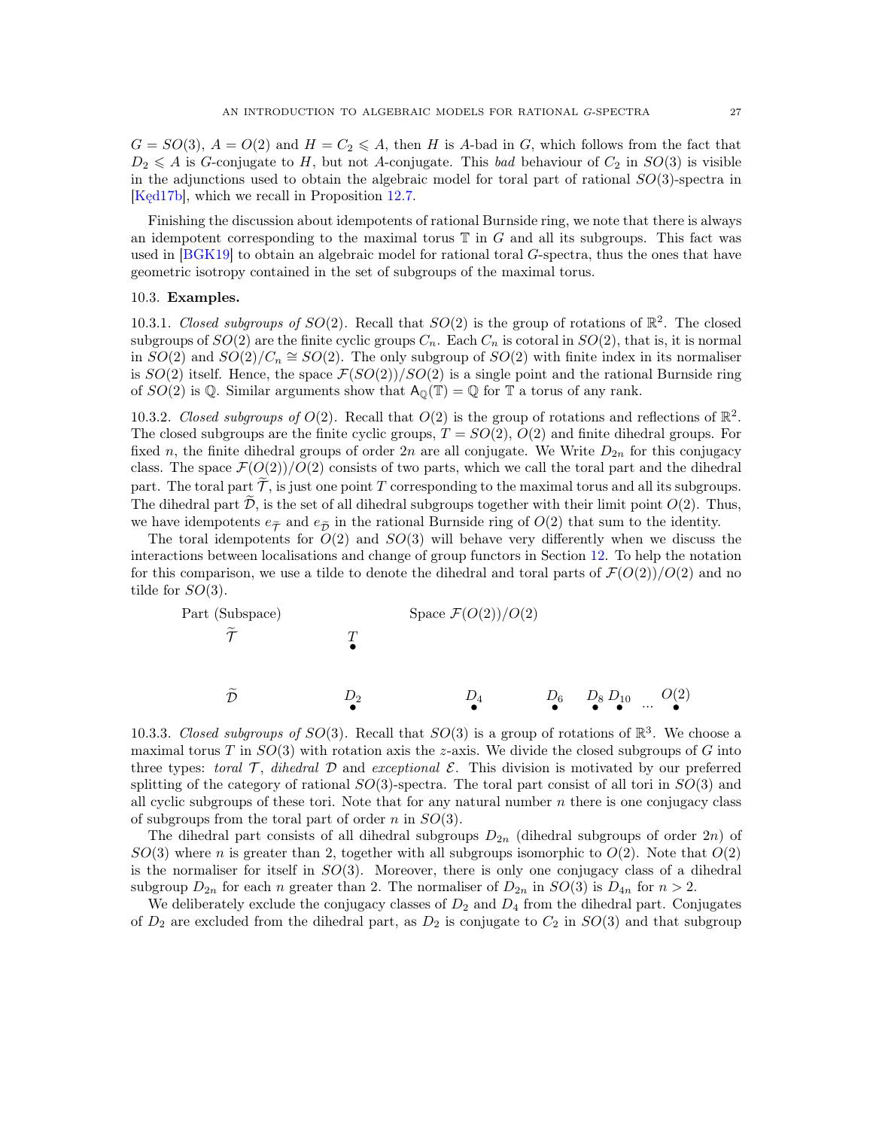$G = SO(3), A = O(2)$  and  $H = C_2 \leq A$ , then H is A-bad in G, which follows from the fact that  $D_2 \leq A$  is G-conjugate to H, but not A-conjugate. This *bad* behaviour of  $C_2$  in  $SO(3)$  is visible in the adjunctions used to obtain the algebraic model for toral part of rational  $SO(3)$ -spectra in [Kęd17b], which we recall in Proposition [12.7.](#page-34-0)

Finishing the discussion about idempotents of rational Burnside ring, we note that there is always an idempotent corresponding to the maximal torus  $\mathbb T$  in  $G$  and all its subgroups. This fact was used in [\[BGK19\]](#page-38-5) to obtain an algebraic model for rational toral G-spectra, thus the ones that have geometric isotropy contained in the set of subgroups of the maximal torus.

## <span id="page-26-0"></span>10.3. Examples.

10.3.1. *Closed subgroups of*  $SO(2)$ . Recall that  $SO(2)$  is the group of rotations of  $\mathbb{R}^2$ . The closed subgroups of  $SO(2)$  are the finite cyclic groups  $C_n$ . Each  $C_n$  is cotoral in  $SO(2)$ , that is, it is normal in  $SO(2)$  and  $SO(2)/C_n \cong SO(2)$ . The only subgroup of  $SO(2)$  with finite index in its normaliser is  $SO(2)$  itself. Hence, the space  $\mathcal{F}(SO(2))/SO(2)$  is a single point and the rational Burnside ring of  $SO(2)$  is Q. Similar arguments show that  $A_{\mathbb{Q}}(\mathbb{T}) = \mathbb{Q}$  for  $\mathbb{T}$  a torus of any rank.

<span id="page-26-1"></span>10.3.2. *Closed subgroups of*  $O(2)$ . Recall that  $O(2)$  is the group of rotations and reflections of  $\mathbb{R}^2$ . The closed subgroups are the finite cyclic groups,  $T = SO(2)$ ,  $O(2)$  and finite dihedral groups. For fixed n, the finite dihedral groups of order  $2n$  are all conjugate. We Write  $D_{2n}$  for this conjugacy class. The space  $\mathcal{F}(O(2))/O(2)$  consists of two parts, which we call the toral part and the dihedral part. The toral part  $\tilde{\mathcal{T}}$ , is just one point T corresponding to the maximal torus and all its subgroups. The dihedral part  $\mathcal{D}$ , is the set of all dihedral subgroups together with their limit point  $O(2)$ . Thus, we have idempotents  $e_{\tilde{\mathcal{P}}}$  and  $e_{\tilde{\mathcal{P}}}$  in the rational Burnside ring of  $O(2)$  that sum to the identity.

The toral idempotents for  $O(2)$  and  $SO(3)$  will behave very differently when we discuss the interactions between localisations and change of group functors in Section [12.](#page-32-0) To help the notation for this comparison, we use a tilde to denote the dihedral and toral parts of  $\mathcal{F}(O(2))/O(2)$  and no tilde for  $SO(3)$ .



<span id="page-26-2"></span>10.3.3. *Closed subgroups of*  $SO(3)$ . Recall that  $SO(3)$  is a group of rotations of  $\mathbb{R}^3$ . We choose a maximal torus T in  $SO(3)$  with rotation axis the z-axis. We divide the closed subgroups of G into three types: *toral*  $\mathcal{T}$ , *dihedral*  $\mathcal{D}$  and *exceptional*  $\mathcal{E}$ . This division is motivated by our preferred splitting of the category of rational  $SO(3)$ -spectra. The toral part consist of all tori in  $SO(3)$  and all cyclic subgroups of these tori. Note that for any natural number  $n$  there is one conjugacy class of subgroups from the toral part of order n in  $SO(3)$ .

The dihedral part consists of all dihedral subgroups  $D_{2n}$  (dihedral subgroups of order  $2n$ ) of  $SO(3)$  where n is greater than 2, together with all subgroups isomorphic to  $O(2)$ . Note that  $O(2)$ is the normaliser for itself in  $SO(3)$ . Moreover, there is only one conjugacy class of a dihedral subgroup  $D_{2n}$  for each n greater than 2. The normaliser of  $D_{2n}$  in  $SO(3)$  is  $D_{4n}$  for  $n > 2$ .

We deliberately exclude the conjugacy classes of  $D_2$  and  $D_4$  from the dihedral part. Conjugates of  $D_2$  are excluded from the dihedral part, as  $D_2$  is conjugate to  $C_2$  in  $SO(3)$  and that subgroup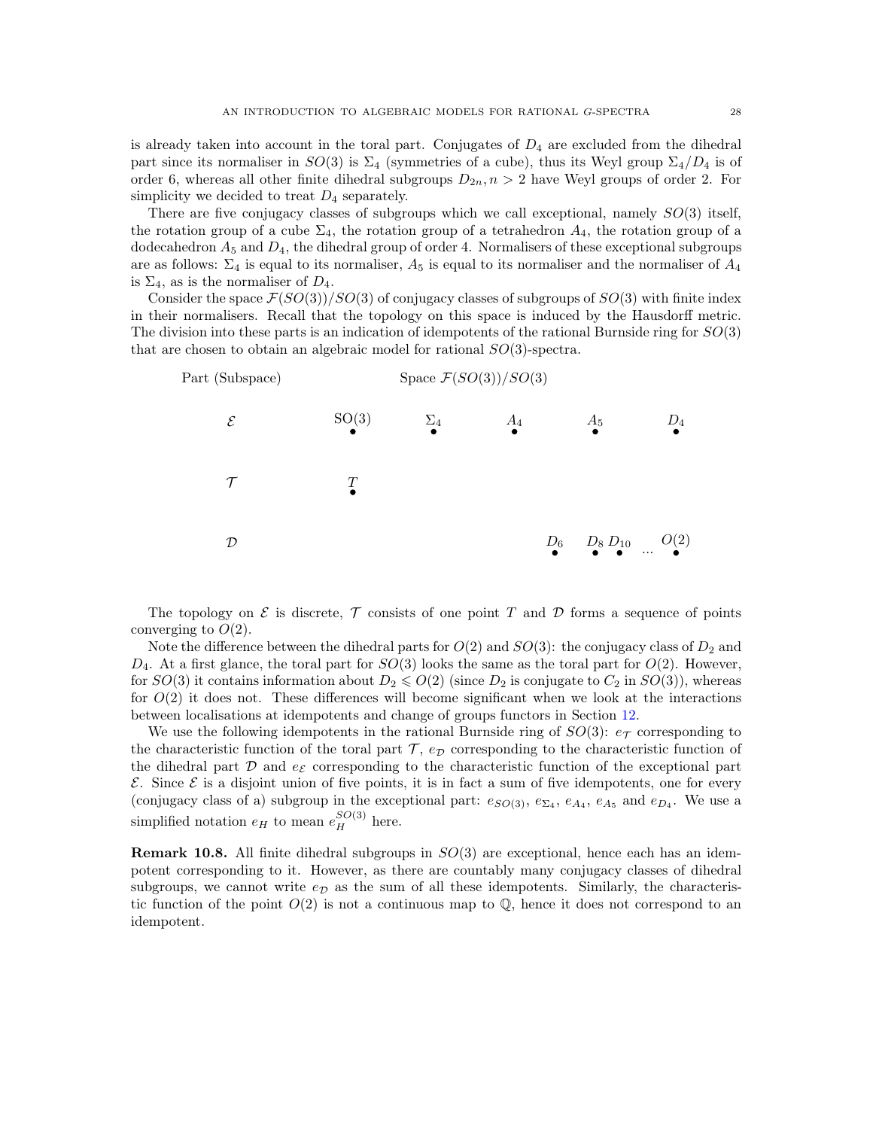is already taken into account in the toral part. Conjugates of  $D_4$  are excluded from the dihedral part since its normaliser in  $SO(3)$  is  $\Sigma_4$  (symmetries of a cube), thus its Weyl group  $\Sigma_4/D_4$  is of order 6, whereas all other finite dihedral subgroups  $D_{2n}, n > 2$  have Weyl groups of order 2. For simplicity we decided to treat  $D_4$  separately.

There are five conjugacy classes of subgroups which we call exceptional, namely  $SO(3)$  itself, the rotation group of a cube  $\Sigma_4$ , the rotation group of a tetrahedron  $A_4$ , the rotation group of a dodecahedron  $A_5$  and  $D_4$ , the dihedral group of order 4. Normalisers of these exceptional subgroups are as follows:  $\Sigma_4$  is equal to its normaliser,  $A_5$  is equal to its normaliser and the normaliser of  $A_4$ is  $\Sigma_4$ , as is the normaliser of  $D_4$ .

Consider the space  $\mathcal{F}(SO(3))/SO(3)$  of conjugacy classes of subgroups of  $SO(3)$  with finite index in their normalisers. Recall that the topology on this space is induced by the Hausdorff metric. The division into these parts is an indication of idempotents of the rational Burnside ring for  $SO(3)$ that are chosen to obtain an algebraic model for rational  $SO(3)$ -spectra.



The topology on  $\mathcal E$  is discrete,  $\mathcal T$  consists of one point T and D forms a sequence of points converging to  $O(2)$ .

Note the difference between the dihedral parts for  $O(2)$  and  $SO(3)$ : the conjugacy class of  $D_2$  and  $D_4$ . At a first glance, the toral part for  $SO(3)$  looks the same as the toral part for  $O(2)$ . However, for  $SO(3)$  it contains information about  $D_2 \leqslant O(2)$  (since  $D_2$  is conjugate to  $C_2$  in  $SO(3)$ ), whereas for  $O(2)$  it does not. These differences will become significant when we look at the interactions between localisations at idempotents and change of groups functors in Section [12.](#page-32-0)

We use the following idempotents in the rational Burnside ring of  $SO(3)$ :  $e_{\mathcal{T}}$  corresponding to the characteristic function of the toral part  $\mathcal{T}$ ,  $e_{\mathcal{D}}$  corresponding to the characteristic function of the dihedral part  $\mathcal D$  and  $e_{\mathcal E}$  corresponding to the characteristic function of the exceptional part  $\mathcal E$ . Since  $\mathcal E$  is a disjoint union of five points, it is in fact a sum of five idempotents, one for every (conjugacy class of a) subgroup in the exceptional part:  $e_{SO(3)}$ ,  $e_{\Sigma_4}$ ,  $e_{A_4}$ ,  $e_{A_5}$  and  $e_{D_4}$ . We use a simplified notation  $e_H$  to mean  $e_H^{SO(3)}$  here.

**Remark 10.8.** All finite dihedral subgroups in  $SO(3)$  are exceptional, hence each has an idempotent corresponding to it. However, as there are countably many conjugacy classes of dihedral subgroups, we cannot write  $e_{\mathcal{D}}$  as the sum of all these idempotents. Similarly, the characteristic function of the point  $O(2)$  is not a continuous map to  $\mathbb Q$ , hence it does not correspond to an idempotent.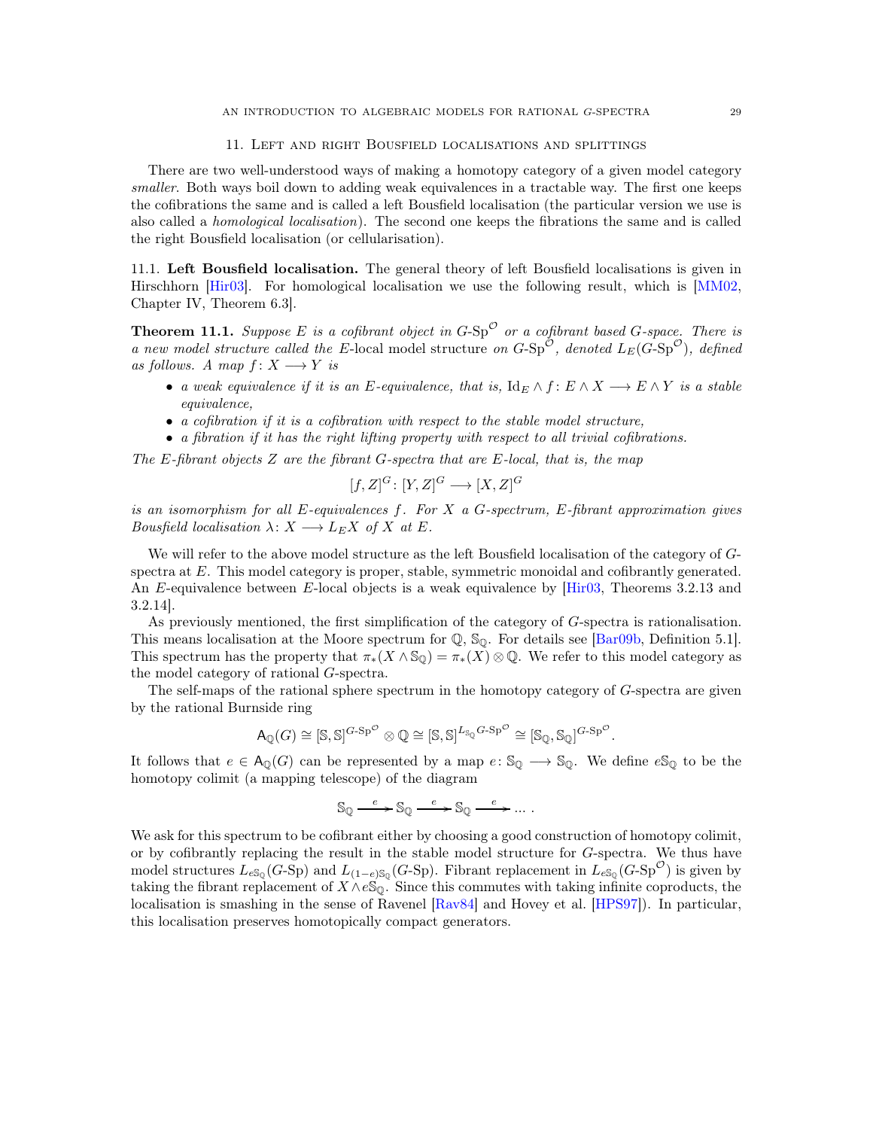#### 11. Left and right Bousfield localisations and splittings

<span id="page-28-0"></span>There are two well-understood ways of making a homotopy category of a given model category *smaller*. Both ways boil down to adding weak equivalences in a tractable way. The first one keeps the cofibrations the same and is called a left Bousfield localisation (the particular version we use is also called a *homological localisation*). The second one keeps the fibrations the same and is called the right Bousfield localisation (or cellularisation).

11.1. Left Bousfield localisation. The general theory of left Bousfield localisations is given in Hirschhorn [\[Hir03\]](#page-39-18). For homological localisation we use the following result, which is [\[MM02,](#page-40-16) Chapter IV, Theorem 6.3].

**Theorem 11.1.** Suppose E is a cofibrant object in  $G$ -Sp<sup> $\circ$ </sup> or a cofibrant based  $G$ -space. There is *a new model structure called the* E-local model structure *on*  $G$ -Sp<sup> $\mathcal{O}$ </sup>, *denoted*  $L_E(G$ -Sp<sup> $\mathcal{O}$ </sup>), *defined as follows. A map*  $f: X \longrightarrow Y$  *is* 

- *a weak equivalence if it is an E-equivalence, that is,*  $\text{Id}_E \wedge f : E \wedge X \longrightarrow E \wedge Y$  *is a stable equivalence,*
- *a cofibration if it is a cofibration with respect to the stable model structure,*
- *a fibration if it has the right lifting property with respect to all trivial cofibrations.*

*The* E*-fibrant objects* Z *are the fibrant* G*-spectra that are* E*-local, that is, the map*

$$
[f, Z]^G \colon [Y, Z]^G \longrightarrow [X, Z]^G
$$

*is an isomorphism for all* E*-equivalences* f*. For* X *a* G*-spectrum,* E*-fibrant approximation gives Bousfield localisation*  $\lambda: X \longrightarrow L_E X$  *of* X *at* E.

We will refer to the above model structure as the left Bousfield localisation of the category of  $G$ spectra at E. This model category is proper, stable, symmetric monoidal and cofibrantly generated. An E-equivalence between E-local objects is a weak equivalence by [\[Hir03,](#page-39-18) Theorems 3.2.13 and 3.2.14].

As previously mentioned, the first simplification of the category of G-spectra is rationalisation. This means localisation at the Moore spectrum for  $\mathbb{Q}$ ,  $\mathbb{S}_{\mathbb{Q}}$ . For details see [\[Bar09b,](#page-38-6) Definition 5.1]. This spectrum has the property that  $\pi_*(X \wedge \mathbb{S}_\mathbb{Q}) = \pi_*(X) \otimes \mathbb{Q}$ . We refer to this model category as the model category of rational G-spectra.

The self-maps of the rational sphere spectrum in the homotopy category of G-spectra are given by the rational Burnside ring

$$
\mathsf{A}_{\mathbb{Q}}(G) \cong [\mathbb{S}, \mathbb{S}]^{G \cdot \mathrm{Sp}^{\mathcal{O}}} \otimes \mathbb{Q} \cong [\mathbb{S}, \mathbb{S}]^{L_{\mathbb{S}_{\mathbb{Q}}}G \cdot \mathrm{Sp}^{\mathcal{O}}} \cong [\mathbb{S}_{\mathbb{Q}}, \mathbb{S}_{\mathbb{Q}}]^{G \cdot \mathrm{Sp}^{\mathcal{O}}}.
$$

It follows that  $e \in A_0(G)$  can be represented by a map  $e: \mathbb{S}_0 \longrightarrow \mathbb{S}_0$ . We define  $e\mathbb{S}_0$  to be the homotopy colimit (a mapping telescope) of the diagram

$$
\mathbb{S}_{\mathbb{Q}} \xrightarrow{e} \mathbb{S}_{\mathbb{Q}} \xrightarrow{e} \mathbb{S}_{\mathbb{Q}} \xrightarrow{e} \dots.
$$

We ask for this spectrum to be cofibrant either by choosing a good construction of homotopy colimit, or by cofibrantly replacing the result in the stable model structure for G-spectra. We thus have model structures  $L_{eS_Q}(G\text{-Sp})$  and  $L_{(1-e)S_Q}(G\text{-Sp})$ . Fibrant replacement in  $L_{eS_Q}(G\text{-Sp}^{\mathcal{O}})$  is given by taking the fibrant replacement of  $X \wedge e \mathbb{S}_{\mathbb{Q}}$ . Since this commutes with taking infinite coproducts, the localisation is smashing in the sense of Ravenel [\[Rav84\]](#page-40-20) and Hovey et al. [\[HPS97\]](#page-39-19)). In particular, this localisation preserves homotopically compact generators.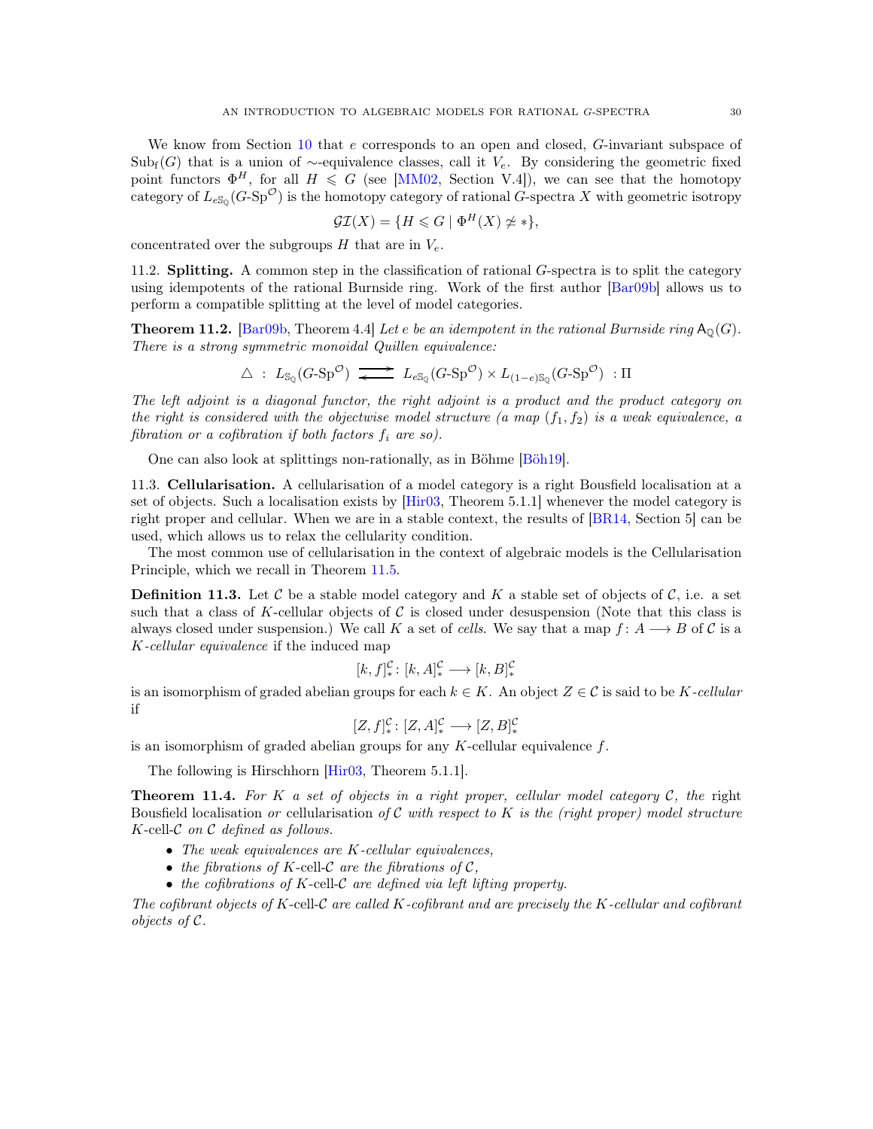We know from Section [10](#page-23-0) that e corresponds to an open and closed, G-invariant subspace of  $\text{Sub}_{f}(G)$  that is a union of ∼-equivalence classes, call it  $V_e$ . By considering the geometric fixed point functors  $\Phi^H$ , for all  $H \leq G$  (see [\[MM02,](#page-40-16) Section V.4]), we can see that the homotopy category of  $L_{e\mathbb{S}_{\mathbb{Q}}}(G\text{-}\mathrm{Sp}^{\mathcal{O}})$  is the homotopy category of rational G-spectra X with geometric isotropy

$$
\mathcal{GI}(X) = \{ H \leq G \mid \Phi^H(X) \not\simeq * \},
$$

concentrated over the subgroups  $H$  that are in  $V_e$ .

11.2. **Splitting.** A common step in the classification of rational G-spectra is to split the category using idempotents of the rational Burnside ring. Work of the first author [\[Bar09b\]](#page-38-6) allows us to perform a compatible splitting at the level of model categories.

<span id="page-29-0"></span>**Theorem 11.2.** [\[Bar09b,](#page-38-6) Theorem 4.4] Let *e be an idempotent in the rational Burnside ring*  $A_0(G)$ *. There is a strong symmetric monoidal Quillen equivalence:*

$$
\Delta\ :\ L_{\mathbb{S}_{\mathbb{Q}}}(G\text{-}\mathbf{Sp}^{\mathcal{O}})\ \overrightarrow{\;\!\blacktriangle\;}\ \ L_{e\mathbb{S}_{\mathbb{Q}}}(G\text{-}\mathbf{Sp}^{\mathcal{O}})\times L_{(1-e)\mathbb{S}_{\mathbb{Q}}}(G\text{-}\mathbf{Sp}^{\mathcal{O}})\ : \Pi
$$

*The left adjoint is a diagonal functor, the right adjoint is a product and the product category on the right is considered with the objectwise model structure (a map*  $(f_1, f_2)$  *is a weak equivalence, a fibration or a cofibration if both factors*  $f_i$  *are so)*.

One can also look at splittings non-rationally, as in Böhme [\[Böh19\]](#page-39-14).

11.3. Cellularisation. A cellularisation of a model category is a right Bousfield localisation at a set of objects. Such a localisation exists by [\[Hir03,](#page-39-18) Theorem 5.1.1] whenever the model category is right proper and cellular. When we are in a stable context, the results of [\[BR14,](#page-39-20) Section 5] can be used, which allows us to relax the cellularity condition.

The most common use of cellularisation in the context of algebraic models is the Cellularisation Principle, which we recall in Theorem [11.5.](#page-30-0)

**Definition 11.3.** Let C be a stable model category and K a stable set of objects of C, i.e. a set such that a class of K-cellular objects of  $\mathcal C$  is closed under desuspension (Note that this class is always closed under suspension.) We call K a set of *cells*. We say that a map  $f: A \longrightarrow B$  of C is a K*-cellular equivalence* if the induced map

$$
[k, f]_*^{\mathcal{C}} \colon [k, A]_*^{\mathcal{C}} \longrightarrow [k, B]_*^{\mathcal{C}}
$$

is an isomorphism of graded abelian groups for each  $k \in K$ . An object  $Z \in \mathcal{C}$  is said to be K-cellular if

$$
[Z, f]_*^{\mathcal{C}} \colon [Z, A]_*^{\mathcal{C}} \longrightarrow [Z, B]_*^{\mathcal{C}}
$$

is an isomorphism of graded abelian groups for any  $K$ -cellular equivalence  $f$ .

The following is Hirschhorn [\[Hir03,](#page-39-18) Theorem 5.1.1].

Theorem 11.4. *For* K *a set of objects in a right proper, cellular model category* C*, the* right Bousfield localisation *or* cellularisation *of* C *with respect to* K *is the (right proper) model structure* K-cell-C *on* C *defined as follows.*

- *The weak equivalences are* K*-cellular equivalences,*
- *the fibrations of*  $K$ -cell- $\mathcal C$  *are the fibrations of*  $\mathcal C$ *,*
- *the cofibrations of* K-cell-C *are defined via left lifting property.*

*The cofibrant objects of* K-cell-C *are called* K*-cofibrant and are precisely the* K*-cellular and cofibrant objects of* C*.*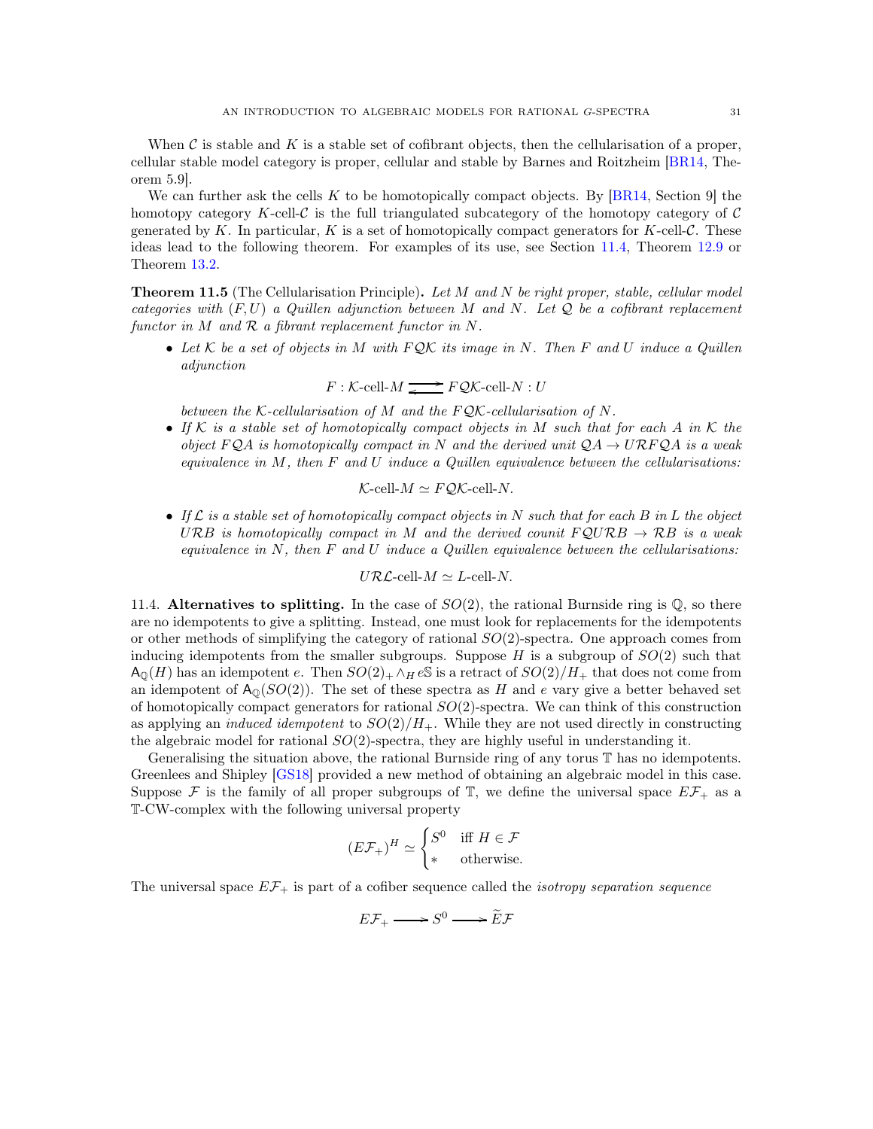When C is stable and K is a stable set of cofibrant objects, then the cellularisation of a proper, cellular stable model category is proper, cellular and stable by Barnes and Roitzheim [\[BR14,](#page-39-20) Theorem 5.9].

We can further ask the cells K to be homotopically compact objects. By  $[BR14, Section 9]$  the homotopy category K-cell-C is the full triangulated subcategory of the homotopy category of  $\mathcal C$ generated by K. In particular, K is a set of homotopically compact generators for K-cell- $\mathcal{C}$ . These ideas lead to the following theorem. For examples of its use, see Section [11.4,](#page-30-1) Theorem [12.9](#page-35-0) or Theorem [13.2.](#page-38-7)

<span id="page-30-0"></span>Theorem 11.5 (The Cellularisation Principle). *Let* M *and* N *be right proper, stable, cellular model categories with* (F, U) *a Quillen adjunction between* M *and* N*. Let* Q *be a cofibrant replacement functor in* M *and* R *a fibrant replacement functor in* N*.*

• *Let* K *be a set of objects in* M *with* F QK *its image in* N*. Then* F *and* U *induce a Quillen adjunction*

$$
F: \mathcal{K}\text{-cell-}M \xrightarrow{\bullet} F\mathcal{QK}\text{-cell-}N: U
$$

*between the* K*-cellularisation of* M *and the* F QK*-cellularisation of* N*.*

• *If* K *is a stable set of homotopically compact objects in* M *such that for each* A *in* K *the object*  $FQA$  *is homotopically compact in* N *and the derived unit*  $QA \rightarrow URFQA$  *is a weak equivalence in* M*, then* F *and* U *induce a Quillen equivalence between the cellularisations:*

$$
\mathcal{K}\text{-cell-}M \simeq F\mathcal{QK}\text{-cell-}N.
$$

• *If* L *is a stable set of homotopically compact objects in* N *such that for each* B *in* L *the object* URB *is homotopically compact in* M and the derived counit  $FQURB \rightarrow RB$  *is a weak equivalence in* N*, then* F *and* U *induce a Quillen equivalence between the cellularisations:*

$$
U\mathcal{R}\mathcal{L}\text{-cell-}M \simeq L\text{-cell-}N.
$$

<span id="page-30-1"></span>11.4. Alternatives to splitting. In the case of  $SO(2)$ , the rational Burnside ring is  $\mathbb{Q}$ , so there are no idempotents to give a splitting. Instead, one must look for replacements for the idempotents or other methods of simplifying the category of rational  $SO(2)$ -spectra. One approach comes from inducing idempotents from the smaller subgroups. Suppose  $H$  is a subgroup of  $SO(2)$  such that  $\mathsf{A}_{\mathbb{Q}}(H)$  has an idempotent e. Then  $SO(2)_+\wedge_H e\mathbb{S}$  is a retract of  $SO(2)/H_+$  that does not come from an idempotent of  $A_0(SO(2))$ . The set of these spectra as H and e vary give a better behaved set of homotopically compact generators for rational  $SO(2)$ -spectra. We can think of this construction as applying an *induced idempotent* to  $SO(2)/H_{+}$ . While they are not used directly in constructing the algebraic model for rational  $SO(2)$ -spectra, they are highly useful in understanding it.

Generalising the situation above, the rational Burnside ring of any torus T has no idempotents. Greenlees and Shipley [\[GS18\]](#page-39-3) provided a new method of obtaining an algebraic model in this case. Suppose F is the family of all proper subgroups of T, we define the universal space  $E\mathcal{F}_+$  as a T-CW-complex with the following universal property

$$
(E\mathcal{F}_+)^H \simeq \begin{cases} S^0 & \text{iff } H \in \mathcal{F} \\ * & \text{otherwise.} \end{cases}
$$

The universal space EF<sup>+</sup> is part of a cofiber sequence called the *isotropy separation sequence*

$$
E\mathcal{F}_+ \longrightarrow S^0 \longrightarrow \widetilde{E}\mathcal{F}
$$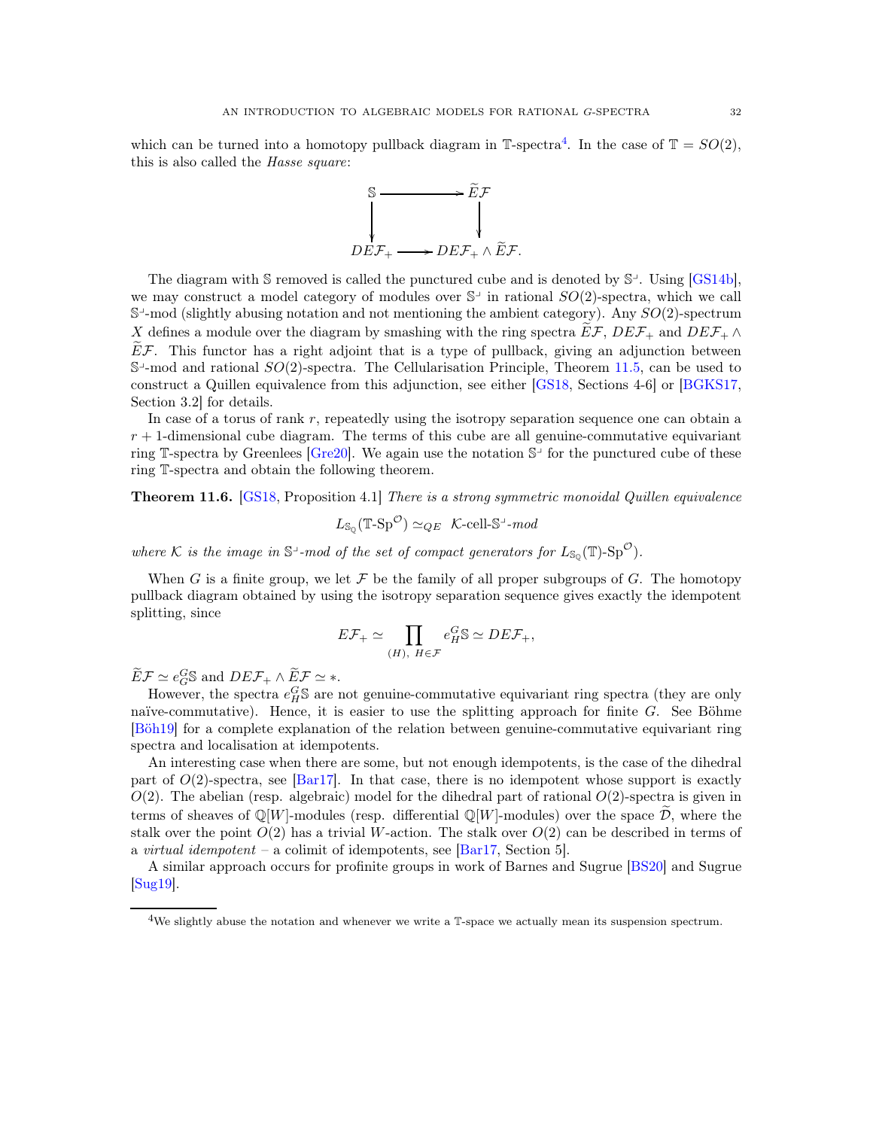which can be turned into a homotopy pullback diagram in  $\mathbb{T}$ -spectra<sup>[4](#page-31-0)</sup>. In the case of  $\mathbb{T} = SO(2)$ , this is also called the *Hasse square*:



The diagram with  $\mathcal S$  removed is called the punctured cube and is denoted by  $\mathcal S^{\perp}$ . Using [\[GS14b\]](#page-39-21), we may construct a model category of modules over  $\mathbb{S}^{\perp}$  in rational  $SO(2)$ -spectra, which we call  $\mathbb{S}^1$ -mod (slightly abusing notation and not mentioning the ambient category). Any  $SO(2)$ -spectrum X defines a module over the diagram by smashing with the ring spectra  $E\mathcal{F}$ ,  $DEF_{+}$  and  $DEF_{+} \wedge$  $\widetilde{E}F$ . This functor has a right adjoint that is a type of pullback, giving an adjunction between  $\mathbb{S}^1$ -mod and rational  $SO(2)$ -spectra. The Cellularisation Principle, Theorem [11.5,](#page-30-0) can be used to construct a Quillen equivalence from this adjunction, see either [\[GS18,](#page-39-3) Sections 4-6] or [\[BGKS17,](#page-39-22) Section 3.2] for details.

In case of a torus of rank  $r$ , repeatedly using the isotropy separation sequence one can obtain a  $r + 1$ -dimensional cube diagram. The terms of this cube are all genuine-commutative equivariant ring T-spectra by Greenlees [\[Gre20\]](#page-39-23). We again use the notation  $\mathbb{S}^{\perp}$  for the punctured cube of these ring T-spectra and obtain the following theorem.

<span id="page-31-1"></span>Theorem 11.6. [\[GS18,](#page-39-3) Proposition 4.1] *There is a strong symmetric monoidal Quillen equivalence*

$$
L_{\mathbb{S}_{\mathbb{Q}}}(\mathbb{T}\text{-}\mathbf{Sp}^{\mathcal{O}}) \simeq_{QE} \mathcal{K}\text{-}\text{cell}\text{-}\mathbb{S}^{\perp}\text{-}\text{mod}
$$

where K is the image in  $\mathbb{S}^1$ -mod of the set of compact generators for  $L_{\mathbb{S}_{\mathbb{Q}}}(\mathbb{T})$ -Sp<sup>O</sup>).

When G is a finite group, we let F be the family of all proper subgroups of G. The homotopy pullback diagram obtained by using the isotropy separation sequence gives exactly the idempotent splitting, since

$$
E\mathcal{F}_+ \simeq \prod_{(H),\ H\in\mathcal{F}} e_H^G \mathbb{S} \simeq DE\mathcal{F}_+,
$$

 $\widetilde{E}\mathcal{F} \simeq e_G^G \mathbb{S}$  and  $DEF_+ \wedge \widetilde{E}\mathcal{F} \simeq *$ .

However, the spectra  $e_H^G$ S are not genuine-commutative equivariant ring spectra (they are only naïve-commutative). Hence, it is easier to use the splitting approach for finite  $G$ . See Böhme [\[Böh19\]](#page-39-14) for a complete explanation of the relation between genuine-commutative equivariant ring spectra and localisation at idempotents.

An interesting case when there are some, but not enough idempotents, is the case of the dihedral part of  $O(2)$ -spectra, see [\[Bar17\]](#page-38-1). In that case, there is no idempotent whose support is exactly  $O(2)$ . The abelian (resp. algebraic) model for the dihedral part of rational  $O(2)$ -spectra is given in terms of sheaves of  $\mathbb{Q}[W]$ -modules (resp. differential  $\mathbb{Q}[W]$ -modules) over the space  $\mathcal{D}$ , where the stalk over the point  $O(2)$  has a trivial W-action. The stalk over  $O(2)$  can be described in terms of a *virtual idempotent* – a colimit of idempotents, see [\[Bar17,](#page-38-1) Section 5].

A similar approach occurs for profinite groups in work of Barnes and Sugrue [\[BS20\]](#page-39-4) and Sugrue [\[Sug19\]](#page-40-0).

<span id="page-31-0"></span><sup>&</sup>lt;sup>4</sup>We slightly abuse the notation and whenever we write a  $\mathbb{T}\text{-space}$  we actually mean its suspension spectrum.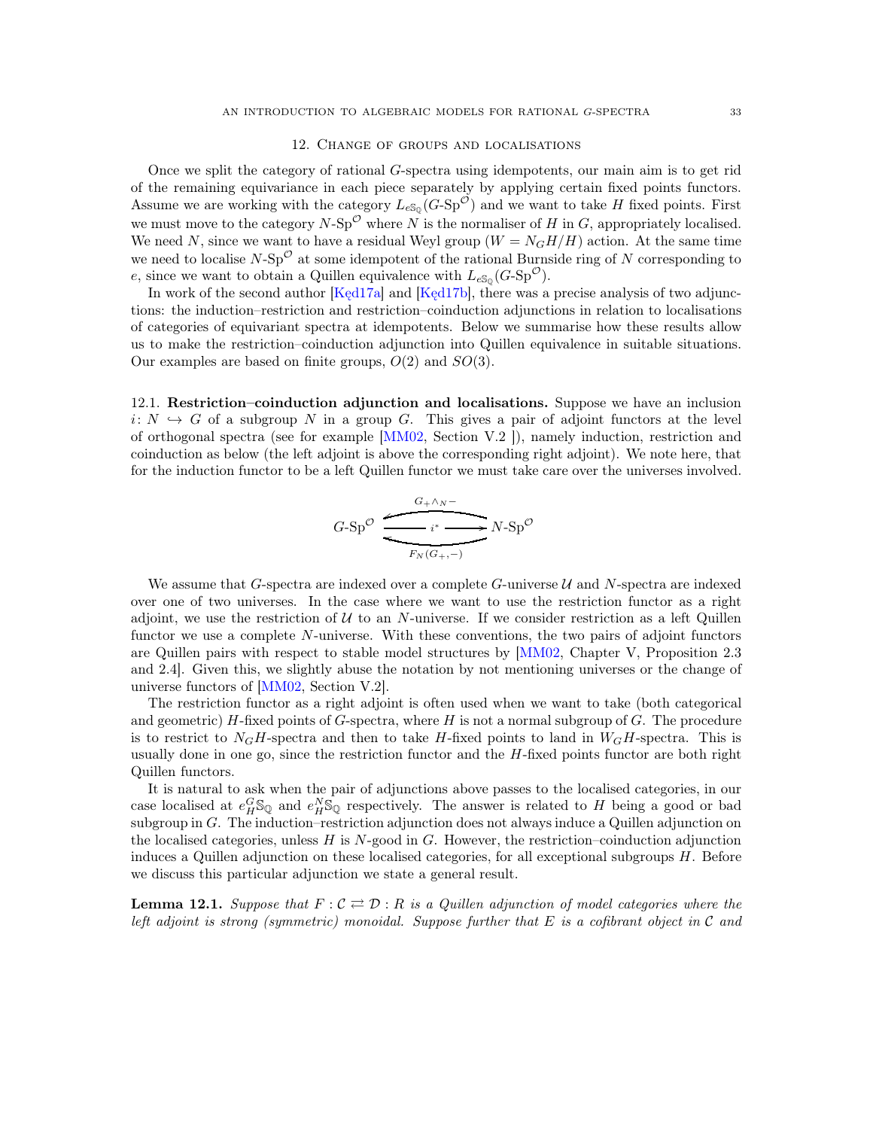#### 12. Change of groups and localisations

<span id="page-32-0"></span>Once we split the category of rational G-spectra using idempotents, our main aim is to get rid of the remaining equivariance in each piece separately by applying certain fixed points functors. Assume we are working with the category  $L_{eS_Q}(G-Sp^{\mathcal{O}})$  and we want to take H fixed points. First we must move to the category  $N$ -Sp<sup> $\mathcal O$ </sup> where N is the normaliser of H in G, appropriately localised. We need N, since we want to have a residual Weyl group  $(W = N<sub>G</sub>H/H)$  action. At the same time we need to localise  $N$ -Sp<sup> $\mathcal{O}$ </sup> at some idempotent of the rational Burnside ring of N corresponding to e, since we want to obtain a Quillen equivalence with  $L_{eS_0}(G-Sp^{\mathcal{O}})$ .

In work of the second author [Ked17a] and [Ked17b], there was a precise analysis of two adjunctions: the induction–restriction and restriction–coinduction adjunctions in relation to localisations of categories of equivariant spectra at idempotents. Below we summarise how these results allow us to make the restriction–coinduction adjunction into Quillen equivalence in suitable situations. Our examples are based on finite groups,  $O(2)$  and  $SO(3)$ .

12.1. Restriction–coinduction adjunction and localisations. Suppose we have an inclusion  $i: N \hookrightarrow G$  of a subgroup N in a group G. This gives a pair of adjoint functors at the level of orthogonal spectra (see for example [\[MM02,](#page-40-16) Section V.2 ]), namely induction, restriction and coinduction as below (the left adjoint is above the corresponding right adjoint). We note here, that for the induction functor to be a left Quillen functor we must take care over the universes involved.

$$
G-Sp^{\mathcal{O}} \xrightarrow{\begin{array}{c} G+\wedge N^{-} \\ \hline \text{F}_{N}(G_{+},-) \end{array}} N-Sp^{\mathcal{O}}
$$

We assume that G-spectra are indexed over a complete  $G$ -universe  $\mathcal U$  and N-spectra are indexed over one of two universes. In the case where we want to use the restriction functor as a right adjoint, we use the restriction of  $U$  to an N-universe. If we consider restriction as a left Quillen functor we use a complete N-universe. With these conventions, the two pairs of adjoint functors are Quillen pairs with respect to stable model structures by [\[MM02,](#page-40-16) Chapter V, Proposition 2.3 and 2.4]. Given this, we slightly abuse the notation by not mentioning universes or the change of universe functors of [\[MM02,](#page-40-16) Section V.2].

The restriction functor as a right adjoint is often used when we want to take (both categorical and geometric)  $H$ -fixed points of G-spectra, where  $H$  is not a normal subgroup of  $G$ . The procedure is to restrict to  $N_GH$ -spectra and then to take H-fixed points to land in  $W_GH$ -spectra. This is usually done in one go, since the restriction functor and the  $H$ -fixed points functor are both right Quillen functors.

It is natural to ask when the pair of adjunctions above passes to the localised categories, in our case localised at  $e_H^G \mathbb{S}_{\mathbb{Q}}$  and  $e_H^N \mathbb{S}_{\mathbb{Q}}$  respectively. The answer is related to H being a good or bad subgroup in G. The induction–restriction adjunction does not always induce a Quillen adjunction on the localised categories, unless  $H$  is  $N$ -good in  $G$ . However, the restriction–coinduction adjunction induces a Quillen adjunction on these localised categories, for all exceptional subgroups H. Before we discuss this particular adjunction we state a general result.

<span id="page-32-1"></span>**Lemma 12.1.** Suppose that  $F: \mathcal{C} \rightleftarrows \mathcal{D}: R$  is a Quillen adjunction of model categories where the *left adjoint is strong (symmetric) monoidal. Suppose further that* E *is a cofibrant object in* C *and*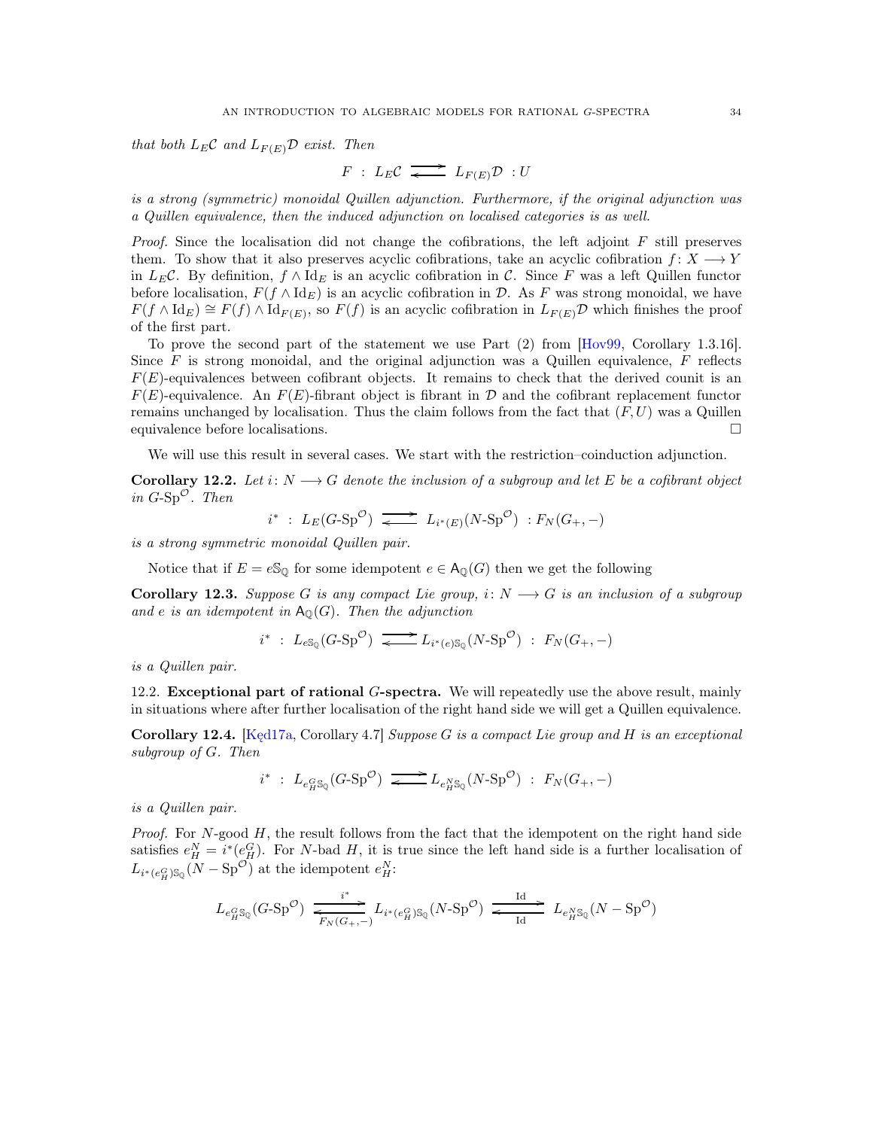*that both*  $L_E C$  *and*  $L_{F(E)} D$  *exist. Then* 

$$
F \; : \; L_E C \; \longrightarrow \; L_{F(E)} \mathcal{D} \; : U
$$

*is a strong (symmetric) monoidal Quillen adjunction. Furthermore, if the original adjunction was a Quillen equivalence, then the induced adjunction on localised categories is as well.*

*Proof.* Since the localisation did not change the cofibrations, the left adjoint F still preserves them. To show that it also preserves acyclic cofibrations, take an acyclic cofibration  $f: X \longrightarrow Y$ in L<sub>E</sub>C. By definition,  $f \wedge \mathrm{Id}_E$  is an acyclic cofibration in C. Since F was a left Quillen functor before localisation,  $F(f \wedge \text{Id}_E)$  is an acyclic cofibration in D. As F was strong monoidal, we have  $F(f \wedge \mathrm{Id}_E) \cong F(f) \wedge \mathrm{Id}_{F(E)}$ , so  $F(f)$  is an acyclic cofibration in  $L_{F(E)}\mathcal{D}$  which finishes the proof of the first part.

To prove the second part of the statement we use Part (2) from [\[Hov99,](#page-39-15) Corollary 1.3.16]. Since  $F$  is strong monoidal, and the original adjunction was a Quillen equivalence,  $F$  reflects  $F(E)$ -equivalences between cofibrant objects. It remains to check that the derived counit is an  $F(E)$ -equivalence. An  $F(E)$ -fibrant object is fibrant in D and the cofibrant replacement functor remains unchanged by localisation. Thus the claim follows from the fact that  $(F, U)$  was a Quillen equivalence before localisations.

We will use this result in several cases. We start with the restriction–coinduction adjunction.

Corollary 12.2. Let  $i: N \longrightarrow G$  denote the inclusion of a subgroup and let E be a cofibrant object *in*  $G$ -Sp<sup> $\circ$ </sup>. *Then* 

$$
i^* : L_E(G\text{-}\mathrm{Sp}^{\mathcal{O}}) \longrightarrow L_{i^*(E)}(N\text{-}\mathrm{Sp}^{\mathcal{O}}) : F_N(G_+, -)
$$

*is a strong symmetric monoidal Quillen pair.*

Notice that if  $E = eS_{\mathbb{Q}}$  for some idempotent  $e \in \mathsf{A}_{\mathbb{Q}}(G)$  then we get the following

Corollary 12.3. *Suppose* G *is any compact Lie group,*  $i: N \longrightarrow G$  *is an inclusion of a subgroup* and *e is an idempotent in*  $A_{\mathbb{Q}}(G)$ *. Then the adjunction* 

$$
i^* : L_{eS_Q}(G\text{-}\mathrm{Sp}^{\mathcal{O}}) \xrightarrow{\bullet} L_{i^*(e)S_Q}(N\text{-}\mathrm{Sp}^{\mathcal{O}}) : F_N(G_+, -)
$$

<span id="page-33-1"></span>*is a Quillen pair.*

12.2. Exceptional part of rational G-spectra. We will repeatedly use the above result, mainly in situations where after further localisation of the right hand side we will get a Quillen equivalence.

<span id="page-33-0"></span>Corollary 12.4. [\[Kęd17a,](#page-39-17) Corollary 4.7] *Suppose* G *is a compact Lie group and* H *is an exceptional subgroup of* G*. Then*

$$
i^* : L_{e^G_H S_Q}(G \text{-} \mathrm{Sp}^{\mathcal{O}}) \xrightarrow{\bullet} L_{e^N_H S_Q}(N \text{-} \mathrm{Sp}^{\mathcal{O}}) : F_N(G_+, -)
$$

*is a Quillen pair.*

*Proof.* For N-good H, the result follows from the fact that the idempotent on the right hand side satisfies  $e_H^N = i^*(e_H^G)$ . For N-bad H, it is true since the left hand side is a further localisation of  $L_{i^*(e_H^G)\mathbb{S}_{\mathbb{Q}}}(N-\text{Sp}^{\mathcal{O}})$  at the idempotent  $e_H^N$ :

$$
L_{e^G_H\mathbb{S}_\mathbb{Q}}(G\text{-}\mathrm{Sp}^{\mathcal{O}}) \xrightarrow[\overline{F_N(G_{+}, -)}]{} L_{i^*(e^G_H)\mathbb{S}_\mathbb{Q}}(N\text{-}\mathrm{Sp}^{\mathcal{O}}) \xrightarrow[\text{Id}]{\text{Id}}]{} L_{e^N_H\mathbb{S}_\mathbb{Q}}(N-\mathrm{Sp}^{\mathcal{O}})
$$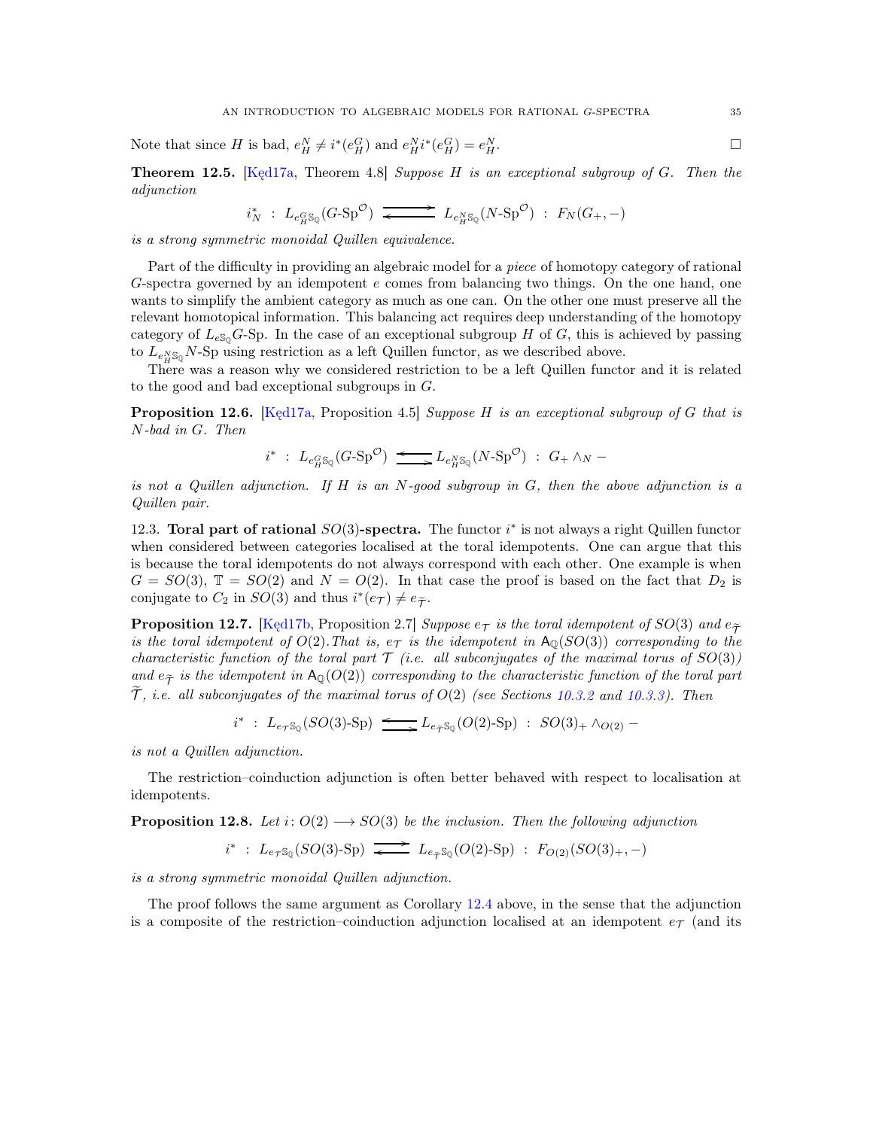Note that since H is bad,  $e_H^N \neq i^*(e_H^G)$  and  $e_H^N i^*(e_H^G) = e_H^N$  $H$ .

Theorem 12.5. [\[Kęd17a,](#page-39-17) Theorem 4.8] *Suppose* H *is an exceptional subgroup of* G*. Then the adjunction*

$$
i_N^* \ : \ L_{e^G_H \mathbb{S}_{\mathbb{Q}}} (G \text{-} \mathbf{Sp}^{\mathcal{O}}) \xrightarrow{\qquad} \ L_{e^N_H \mathbb{S}_{\mathbb{Q}}} (N \text{-} \mathbf{Sp}^{\mathcal{O}}) \ : \ F_N (G_+, -)
$$

*is a strong symmetric monoidal Quillen equivalence.*

Part of the difficulty in providing an algebraic model for a *piece* of homotopy category of rational G-spectra governed by an idempotent  $e$  comes from balancing two things. On the one hand, one wants to simplify the ambient category as much as one can. On the other one must preserve all the relevant homotopical information. This balancing act requires deep understanding of the homotopy category of  $L_{eS_0}G$ -Sp. In the case of an exceptional subgroup H of G, this is achieved by passing to  $L_{e_H^N \mathbb{S}_0} N$ -Sp using restriction as a left Quillen functor, as we described above.

There was a reason why we considered restriction to be a left Quillen functor and it is related to the good and bad exceptional subgroups in G.

Proposition 12.6. [\[Kęd17a,](#page-39-17) Proposition 4.5] *Suppose* H *is an exceptional subgroup of* G *that is* N*-bad in* G*. Then*

$$
i^* : L_{e^G_H S_{\mathbb{Q}}}(G \text{-} \mathrm{Sp}^{\mathcal{O}}) \xrightarrow{\longleftarrow} L_{e^N_H S_{\mathbb{Q}}}(N \text{-} \mathrm{Sp}^{\mathcal{O}}) : G_+ \wedge_N -
$$

*is not a Quillen adjunction. If* H *is an* N*-good subgroup in* G*, then the above adjunction is a Quillen pair.*

12.3. Toral part of rational  $SO(3)$ -spectra. The functor  $i^*$  is not always a right Quillen functor when considered between categories localised at the toral idempotents. One can argue that this is because the toral idempotents do not always correspond with each other. One example is when  $G = SO(3)$ ,  $\mathbb{T} = SO(2)$  and  $N = O(2)$ . In that case the proof is based on the fact that  $D_2$  is conjugate to  $C_2$  in  $SO(3)$  and thus  $i^*(e_{\mathcal{T}}) \neq e_{\widetilde{\mathcal{T}}}$ .

<span id="page-34-0"></span>**Proposition 12.7.** [Ked17b, Proposition 2.7] *Suppose*  $e_T$  *is the toral idempotent of*  $SO(3)$  *and*  $e_{\tilde{T}}$ *is the toral idempotent of*  $O(2)$ *. That is,*  $e_T$  *is the idempotent in*  $A_0(SO(3))$  *corresponding to the characteristic function of the toral part*  $\mathcal T$  *(i.e. all subconjugates of the maximal torus of*  $SO(3)$ *) and*  $e_{\tilde{\tau}}$  *is the idempotent in* A<sub>Q</sub>(O(2)) *corresponding to the characteristic function of the toral part*  $\tilde{\mathcal{T}}$ , *i.e. all subconjugates of the maximal torus of*  $O(2)$  *(see Sections [10.3.2](#page-26-1) and [10.3.3\)](#page-26-2). Then* 

$$
i^* : L_{e\tau S_{\mathbb{Q}}}(SO(3)\text{-Sp}) \xrightarrow{\longleftarrow} L_{e_{\widetilde{\mathcal{T}}}S_{\mathbb{Q}}}(O(2)\text{-Sp}) : SO(3)_+ \wedge_{O(2)} -
$$

*is not a Quillen adjunction.*

The restriction–coinduction adjunction is often better behaved with respect to localisation at idempotents.

**Proposition 12.8.** Let  $i: O(2) \longrightarrow SO(3)$  be the inclusion. Then the following adjunction

 $i^*$  :  $L_{e_{\mathcal{T}}S_{\mathbb{Q}}}(SO(3)\text{-Sp})$   $\longrightarrow$   $L_{e_{\mathcal{T}}S_{\mathbb{Q}}}(O(2)\text{-Sp})$  :  $F_{O(2)}(SO(3)_{+},-)$ 

*is a strong symmetric monoidal Quillen adjunction.*

The proof follows the same argument as Corollary [12.4](#page-33-0) above, in the sense that the adjunction is a composite of the restriction–coinduction adjunction localised at an idempotent  $e_{\mathcal{T}}$  (and its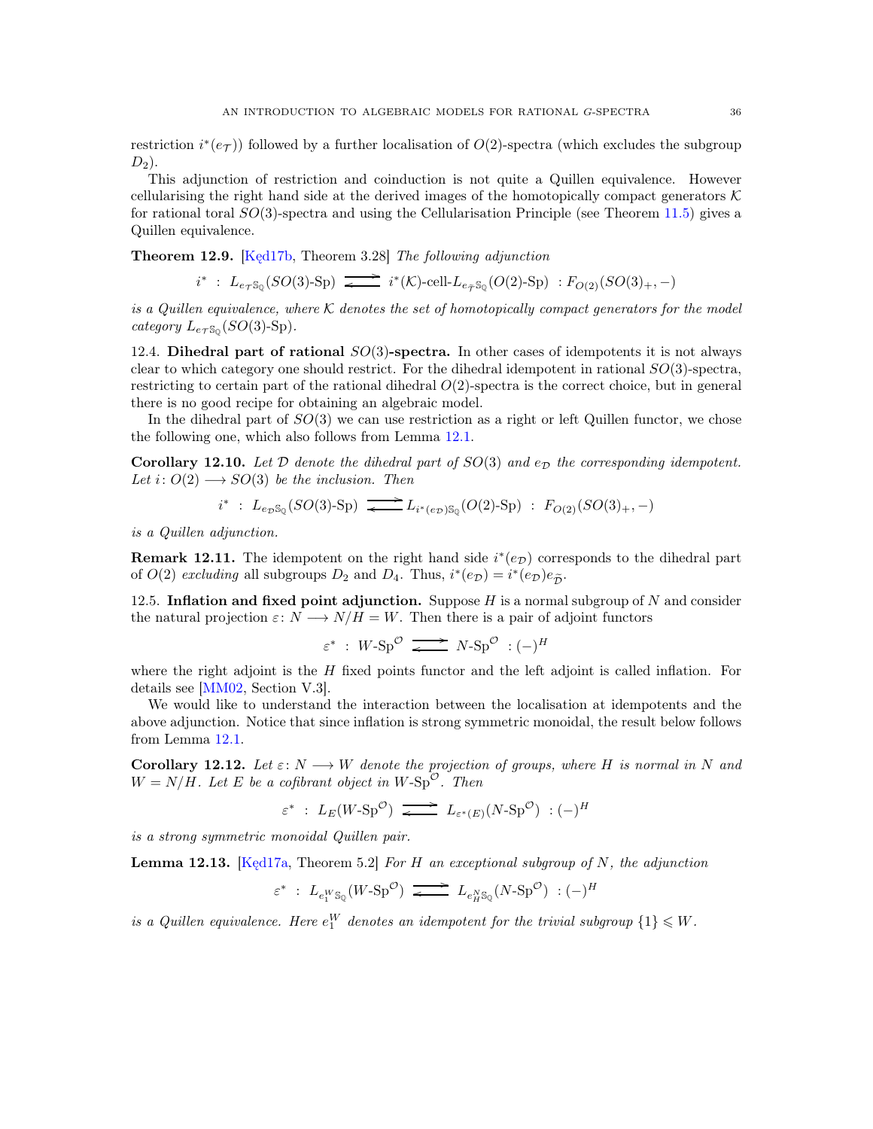restriction  $i^*(e_{\mathcal{T}})$ ) followed by a further localisation of  $O(2)$ -spectra (which excludes the subgroup  $D_2$ ).

This adjunction of restriction and coinduction is not quite a Quillen equivalence. However cellularising the right hand side at the derived images of the homotopically compact generators  $K$ for rational toral  $SO(3)$ -spectra and using the Cellularisation Principle (see Theorem [11.5\)](#page-30-0) gives a Quillen equivalence.

<span id="page-35-0"></span>Theorem 12.9. [Kęd17b, Theorem 3.28] *The following adjunction*

$$
i^* \ : \ L_{e\tau \mathbb{S}_\mathbb{Q}}(SO(3)\text{-}\mathrm{Sp}) \ \overrightarrow{\;\; \iff \;} i^*(\mathcal{K})\text{-}\mathrm{cell}\text{-}\ L_{e_{\widetilde{\mathcal{T}}}}\mathbb{S}_\mathbb{Q}(O(2)\text{-}\mathrm{Sp}) \ : F_{O(2)}(SO(3)_+,-)
$$

*is a Quillen equivalence, where* K *denotes the set of homotopically compact generators for the model category*  $L_{e_{\mathcal{T}}S_{\mathbb{Q}}}(SO(3)$ -Sp).

12.4. Dihedral part of rational  $SO(3)$ -spectra. In other cases of idempotents it is not always clear to which category one should restrict. For the dihedral idempotent in rational  $SO(3)$ -spectra, restricting to certain part of the rational dihedral  $O(2)$ -spectra is the correct choice, but in general there is no good recipe for obtaining an algebraic model.

In the dihedral part of  $SO(3)$  we can use restriction as a right or left Quillen functor, we chose the following one, which also follows from Lemma [12.1.](#page-32-1)

**Corollary 12.10.** Let D denote the dihedral part of  $SO(3)$  and  $e_D$  the corresponding idempotent. *Let*  $i: O(2) \longrightarrow SO(3)$  *be the inclusion. Then* 

$$
i^* : L_{e_{\mathcal{D}}S_{\mathbb{Q}}}(SO(3)\text{-Sp}) \xrightarrow{\longrightarrow} L_{i^*(e_{\mathcal{D}})S_{\mathbb{Q}}}(O(2)\text{-Sp}) : F_{O(2)}(SO(3)_+, -)
$$

*is a Quillen adjunction.*

**Remark 12.11.** The idempotent on the right hand side  $i^*(e_{\mathcal{D}})$  corresponds to the dihedral part of  $O(2)$  *excluding* all subgroups  $D_2$  and  $D_4$ . Thus,  $i^*(e_{\mathcal{D}}) = i^*(e_{\mathcal{D}})e_{\tilde{\mathcal{D}}}$ .

<span id="page-35-1"></span>12.5. Inflation and fixed point adjunction. Suppose  $H$  is a normal subgroup of  $N$  and consider the natural projection  $\varepsilon: N \longrightarrow N/H = W$ . Then there is a pair of adjoint functors

$$
\varepsilon^* \; : \; W\text{-}\mathrm{Sp}^\mathcal{O} \; \xrightarrow{\hspace{0.4cm} \text{---}} \; N\text{-}\mathrm{Sp}^\mathcal{O} \; : (-)^H
$$

where the right adjoint is the  $H$  fixed points functor and the left adjoint is called inflation. For details see [\[MM02,](#page-40-16) Section V.3].

We would like to understand the interaction between the localisation at idempotents and the above adjunction. Notice that since inflation is strong symmetric monoidal, the result below follows from Lemma [12.1.](#page-32-1)

**Corollary 12.12.** Let  $\varepsilon: N \longrightarrow W$  denote the projection of groups, where H is normal in N and  $W = N/H$ *. Let* E *be a cofibrant object in*  $W$ -Sp<sup> $\circ$ </sup>*. Then* 

$$
\varepsilon^* : L_E(W \text{-} \mathrm{Sp}^{\mathcal{O}}) \xrightarrow{\bullet} L_{\varepsilon^*(E)}(N \text{-} \mathrm{Sp}^{\mathcal{O}}) : (-)^H
$$

*is a strong symmetric monoidal Quillen pair.*

Lemma 12.13. [\[Kęd17a,](#page-39-17) Theorem 5.2] *For* H *an exceptional subgroup of* N*, the adjunction*

$$
\varepsilon^* \; : \; L_{e_1^W \mathbb{S}_{\mathbb{Q}}}(W \text{-} \mathbb{S} \mathbf{p}^{\mathcal{O}}) \; \xrightarrow{\hspace{0.5cm} \longrightarrow} \; L_{e_H^N \mathbb{S}_{\mathbb{Q}}}(N \text{-} \mathbb{S} \mathbf{p}^{\mathcal{O}}) \; : (-)^H
$$

*is a Quillen equivalence. Here*  $e_1^W$  *denotes an idempotent for the trivial subgroup*  $\{1\} \leq W$ *.*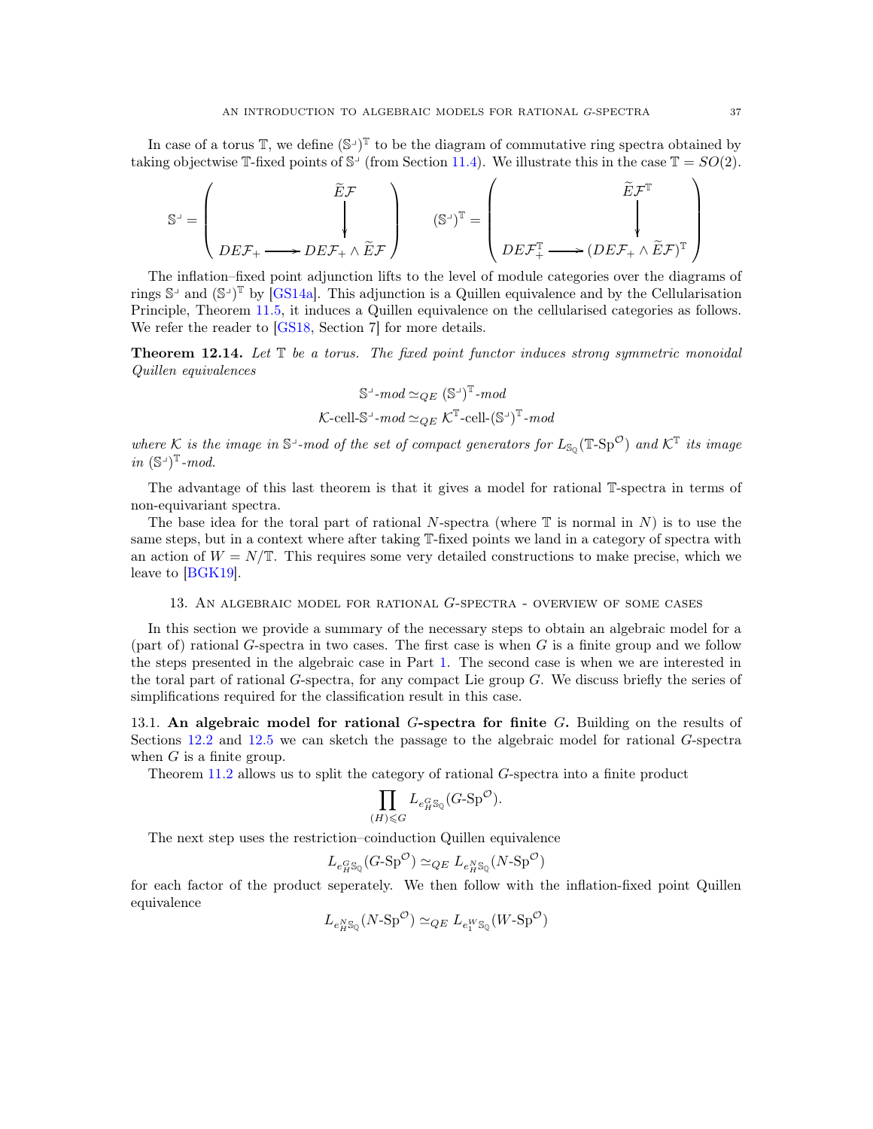In case of a torus  $\mathbb{T}$ , we define  $(\mathbb{S}^{\perp})^{\mathbb{T}}$  to be the diagram of commutative ring spectra obtained by taking objectwise  $\mathbb{T}$ -fixed points of  $\mathbb{S}^1$  (from Section [11.4\)](#page-30-1). We illustrate this in the case  $\mathbb{T} = SO(2)$ .

$$
\mathbb{S}^{\perp} = \left(\begin{matrix} \widetilde{E}\mathcal{F} \\ \downarrow \\ DE\mathcal{F}_+ \longrightarrow DE\mathcal{F}_+ \wedge \widetilde{E}\mathcal{F} \end{matrix}\right) \qquad (\mathbb{S}^{\perp})^{\mathbb{T}} = \left(\begin{matrix} \widetilde{E}\mathcal{F}^{\mathbb{T}} \\ \downarrow \\ DE\mathcal{F}_+^{\mathbb{T}} \longrightarrow (DE\mathcal{F}_+ \wedge \widetilde{E}\mathcal{F})^{\mathbb{T}} \end{matrix}\right)
$$

The inflation–fixed point adjunction lifts to the level of module categories over the diagrams of rings  $\mathbb{S}^{\perp}$  and  $(\mathbb{S}^{\perp})^{\mathbb{T}}$  by [\[GS14a\]](#page-39-24). This adjunction is a Quillen equivalence and by the Cellularisation Principle, Theorem [11.5,](#page-30-0) it induces a Quillen equivalence on the cellularised categories as follows. We refer the reader to [\[GS18,](#page-39-3) Section 7] for more details.

<span id="page-36-1"></span>Theorem 12.14. *Let* T *be a torus. The fixed point functor induces strong symmetric monoidal Quillen equivalences*

$$
\mathbb{S}^{\perp}\text{-}mod\simeq_{QE}(\mathbb{S}^{\perp})^{\mathbb{T}}\text{-}mod
$$
  

$$
\mathcal{K}\text{-}cell\text{-}\mathbb{S}^{\perp}\text{-}mod\simeq_{QE}\mathcal{K}^{\mathbb{T}}\text{-}cell\text{-}(\mathbb{S}^{\perp})^{\mathbb{T}}\text{-}mod
$$

where K is the image in  $S^{\perp}$ -mod of the set of compact generators for  $L_{S_Q}(\mathbb{T} \text{-} \text{Sp}^{\mathcal{O}})$  and  $K^{\mathbb{T}}$  its image *in*  $(\mathbb{S}^{\perp})^{\mathbb{T}}$ *-mod.* 

The advantage of this last theorem is that it gives a model for rational T-spectra in terms of non-equivariant spectra.

The base idea for the toral part of rational N-spectra (where  $\mathbb T$  is normal in N) is to use the same steps, but in a context where after taking T-fixed points we land in a category of spectra with an action of  $W = N/\mathbb{T}$ . This requires some very detailed constructions to make precise, which we leave to [\[BGK19\]](#page-38-5).

### 13. An algebraic model for rational G-spectra - overview of some cases

<span id="page-36-0"></span>In this section we provide a summary of the necessary steps to obtain an algebraic model for a (part of) rational G-spectra in two cases. The first case is when  $G$  is a finite group and we follow the steps presented in the algebraic case in Part [1.](#page-2-0) The second case is when we are interested in the toral part of rational G-spectra, for any compact Lie group G. We discuss briefly the series of simplifications required for the classification result in this case.

13.1. An algebraic model for rational  $G$ -spectra for finite  $G$ . Building on the results of Sections [12.2](#page-33-1) and [12.5](#page-35-1) we can sketch the passage to the algebraic model for rational G-spectra when  $G$  is a finite group.

Theorem [11.2](#page-29-0) allows us to split the category of rational G-spectra into a finite product

$$
\prod_{(H)\leqslant G} L_{e^G_H \mathbb{S}_{\mathbb{Q}}} (G\text{-}\mathrm{Sp}^{\mathcal{O}}).
$$

The next step uses the restriction–coinduction Quillen equivalence

$$
L_{e^G_H \mathbb{S}_{\mathbb{Q}}} (G\text{-}\mathbf{Sp}^{\mathcal{O}}) \simeq_{QE} L_{e^N_H \mathbb{S}_{\mathbb{Q}}} (N\text{-}\mathbf{Sp}^{\mathcal{O}})
$$

for each factor of the product seperately. We then follow with the inflation-fixed point Quillen equivalence

$$
L_{e_H^N \mathbb{S}_{\mathbb{Q}}} (N \text{-} \mathbf{Sp}^{\mathcal{O}}) \simeq_{QE} L_{e_1^W \mathbb{S}_{\mathbb{Q}}} (W \text{-} \mathbf{Sp}^{\mathcal{O}})
$$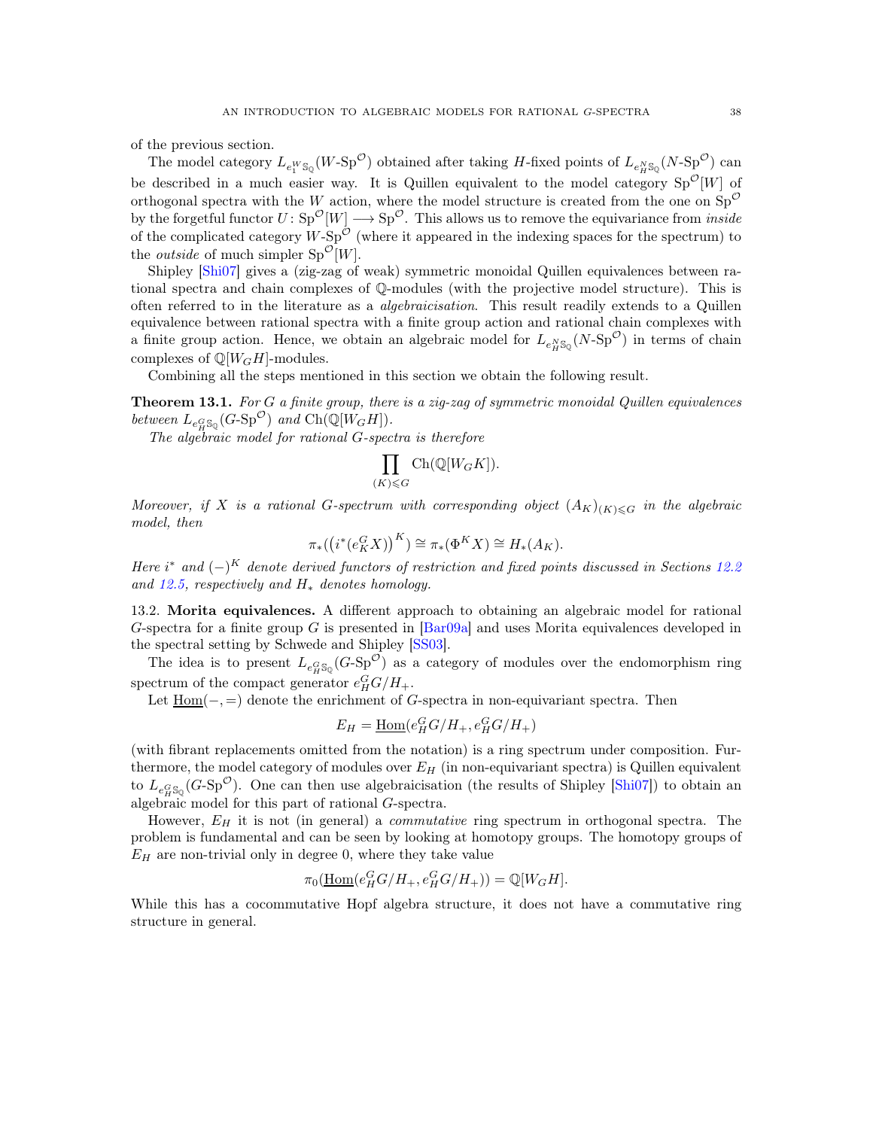of the previous section.

The model category  $L_{e_1^W s_Q}(W \text{-} \text{Sp}^{\mathcal{O}})$  obtained after taking H-fixed points of  $L_{e_H^N s_Q}(N \text{-} \text{Sp}^{\mathcal{O}})$  can be described in a much easier way. It is Quillen equivalent to the model category  $Sp^{\mathcal{O}}[W]$  of orthogonal spectra with the W action, where the model structure is created from the one on  $Sp^{\mathcal{O}}$ by the forgetful functor  $U: Sp^{\mathcal{O}}[W] \longrightarrow Sp^{\mathcal{O}}$ . This allows us to remove the equivariance from *inside* of the complicated category  $W$ -Sp<sup> $\mathcal{O}$ </sup> (where it appeared in the indexing spaces for the spectrum) to the *outside* of much simpler  $Sp^{\mathcal{O}}[W]$ .

Shipley [\[Shi07\]](#page-40-21) gives a (zig-zag of weak) symmetric monoidal Quillen equivalences between rational spectra and chain complexes of Q-modules (with the projective model structure). This is often referred to in the literature as a *algebraicisation*. This result readily extends to a Quillen equivalence between rational spectra with a finite group action and rational chain complexes with a finite group action. Hence, we obtain an algebraic model for  $L_{e_H^N\mathbb{S}_Q}(N\text{-}\mathrm{Sp}^{\mathcal{O}})$  in terms of chain complexes of  $\mathbb{Q}[W_GH]$ -modules.

Combining all the steps mentioned in this section we obtain the following result.

<span id="page-37-0"></span>Theorem 13.1. *For* G *a finite group, there is a zig-zag of symmetric monoidal Quillen equivalences* between  $L_{e_H^G\mathbb{S}_\mathbb{Q}}(G\text{-}\mathrm{Sp}^\mathcal{O})$  and  $\mathrm{Ch}(\mathbb{Q}[W_GH]).$ 

*The algebraic model for rational* G*-spectra is therefore*

$$
\prod_{(K)\leqslant G} \operatorname{Ch}(\mathbb{Q}[W_GK]).
$$

*Moreover, if* X *is a rational* G-spectrum with corresponding object  $(A_K)_{(K)\leq G}$  *in the algebraic model, then*

$$
\pi_*\left(\left(i^*(e_K^G X)\right)^K\right) \cong \pi_*(\Phi^K X) \cong H_*(A_K).
$$

*Here*  $i^*$  *and*  $(-)^K$  *denote derived functors of restriction and fixed points discussed in Sections* [12.2](#page-33-1) *and [12.5,](#page-35-1) respectively and* H<sup>∗</sup> *denotes homology.*

13.2. Morita equivalences. A different approach to obtaining an algebraic model for rational G-spectra for a finite group G is presented in  $\left[\text{Bar}09a\right]$  and uses Morita equivalences developed in the spectral setting by Schwede and Shipley [\[SS03\]](#page-40-18).

The idea is to present  $L_{e_H^G\mathbb{S}_\mathbb{Q}}(G\text{-}\mathrm{Sp}^\mathcal{O})$  as a category of modules over the endomorphism ring spectrum of the compact generator  $e_H^G G/H_+$ .

Let  $Hom(-, =)$  denote the enrichment of G-spectra in non-equivariant spectra. Then

$$
E_H = \underline{\text{Hom}}(e_H^G G/H_+, e_H^G G/H_+)
$$

(with fibrant replacements omitted from the notation) is a ring spectrum under composition. Furthermore, the model category of modules over  $E_H$  (in non-equivariant spectra) is Quillen equivalent to  $L_{e_H^G\mathbb{S}_\mathbb{Q}}(G\text{-}\mathrm{Sp}^\mathcal{O})$ . One can then use algebraicisation (the results of Shipley [\[Shi07\]](#page-40-21)) to obtain an algebraic model for this part of rational G-spectra.

However,  $E_H$  it is not (in general) a *commutative* ring spectrum in orthogonal spectra. The problem is fundamental and can be seen by looking at homotopy groups. The homotopy groups of  $E_H$  are non-trivial only in degree 0, where they take value

$$
\pi_0(\underline{\operatorname{Hom}}(e_H^G G/H_+, e_H^G G/H_+)) = \mathbb{Q}[W_G H].
$$

While this has a cocommutative Hopf algebra structure, it does not have a commutative ring structure in general.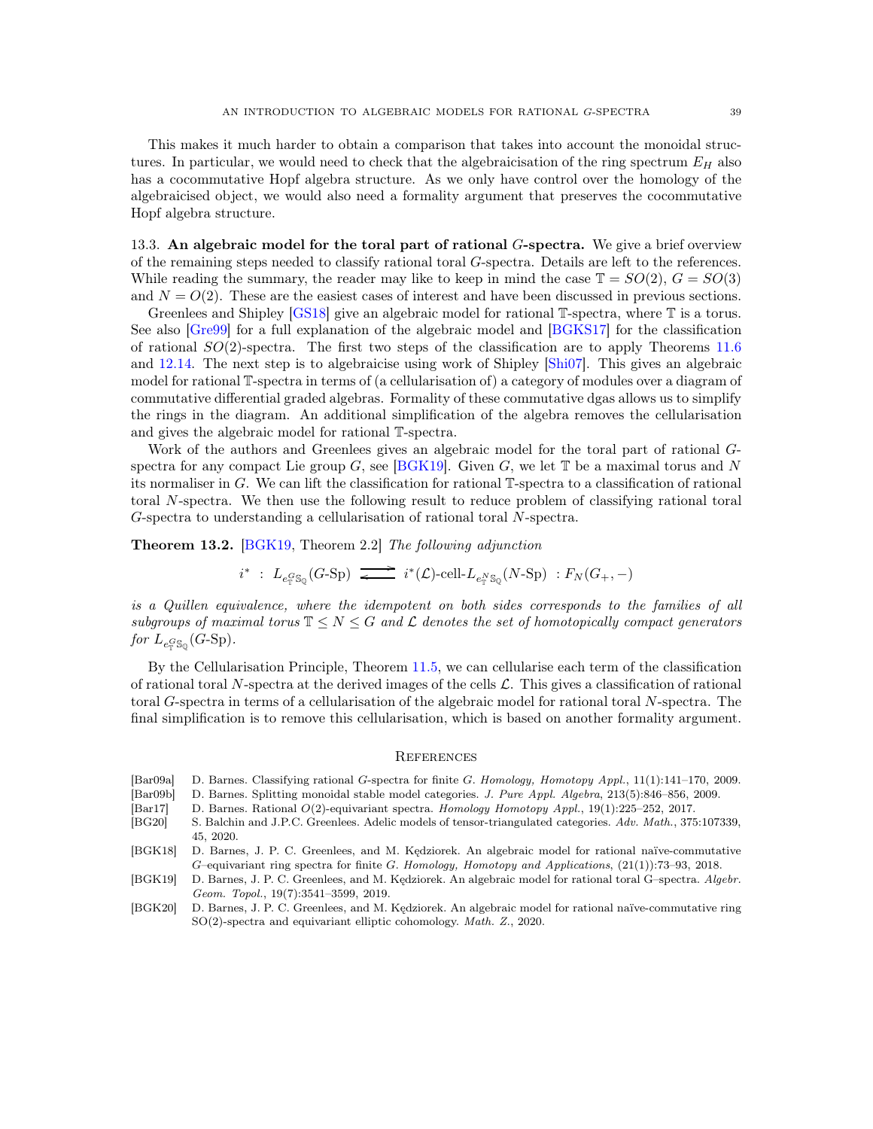This makes it much harder to obtain a comparison that takes into account the monoidal structures. In particular, we would need to check that the algebraicisation of the ring spectrum  $E_H$  also has a cocommutative Hopf algebra structure. As we only have control over the homology of the algebraicised object, we would also need a formality argument that preserves the cocommutative Hopf algebra structure.

13.3. An algebraic model for the toral part of rational  $G$ -spectra. We give a brief overview of the remaining steps needed to classify rational toral G-spectra. Details are left to the references. While reading the summary, the reader may like to keep in mind the case  $\mathbb{T} = SO(2)$ ,  $G = SO(3)$ and  $N = O(2)$ . These are the easiest cases of interest and have been discussed in previous sections.

Greenlees and Shipley [\[GS18\]](#page-39-3) give an algebraic model for rational T-spectra, where T is a torus. See also [\[Gre99\]](#page-39-0) for a full explanation of the algebraic model and [\[BGKS17\]](#page-39-22) for the classification of rational  $SO(2)$ -spectra. The first two steps of the classification are to apply Theorems [11.6](#page-31-1) and [12.14.](#page-36-1) The next step is to algebraicise using work of Shipley [\[Shi07\]](#page-40-21). This gives an algebraic model for rational T-spectra in terms of (a cellularisation of) a category of modules over a diagram of commutative differential graded algebras. Formality of these commutative dgas allows us to simplify the rings in the diagram. An additional simplification of the algebra removes the cellularisation and gives the algebraic model for rational T-spectra.

Work of the authors and Greenlees gives an algebraic model for the toral part of rational Gspectra for any compact Lie group  $G$ , see [\[BGK19\]](#page-38-5). Given  $G$ , we let  $T$  be a maximal torus and N its normaliser in G. We can lift the classification for rational T-spectra to a classification of rational toral N-spectra. We then use the following result to reduce problem of classifying rational toral G-spectra to understanding a cellularisation of rational toral N-spectra.

<span id="page-38-7"></span>Theorem 13.2. [\[BGK19,](#page-38-5) Theorem 2.2] *The following adjunction*

$$
i^* \ : \ L_{e_{{\mathbb T}}^G\mathbb{S}_{{\mathbb Q}}}(G\text{-}\mathrm{Sp}) \ \overrightarrow{\phantom{X}} \ \ i^*(\mathcal{L})\text{-}\mathrm{cell}\text{-}\ \ \, L_{e_{{\mathbb T}}^N\mathbb{S}_{{\mathbb Q}}}(N\text{-}\mathrm{Sp}) \ : F_N(G_+,-)
$$

*is a Quillen equivalence, where the idempotent on both sides corresponds to the families of all subgroups of maximal torus*  $\mathbb{T} \leq N \leq G$  *and*  $\mathcal{L}$  *denotes the set of homotopically compact generators* for  $L_{e_{\mathbb{T}}^G \mathbb{S}_{\mathbb{Q}}} (G\text{-}\mathrm{Sp}).$ 

By the Cellularisation Principle, Theorem [11.5,](#page-30-0) we can cellularise each term of the classification of rational toral N-spectra at the derived images of the cells  $\mathcal{L}$ . This gives a classification of rational toral G-spectra in terms of a cellularisation of the algebraic model for rational toral N-spectra. The final simplification is to remove this cellularisation, which is based on another formality argument.

#### <span id="page-38-0"></span>**REFERENCES**

<span id="page-38-8"></span>[Bar09a] D. Barnes. Classifying rational G-spectra for finite G. *Homology, Homotopy Appl.*, 11(1):141–170, 2009.

<span id="page-38-6"></span>[Bar09b] D. Barnes. Splitting monoidal stable model categories. *J. Pure Appl. Algebra*, 213(5):846–856, 2009.

- <span id="page-38-1"></span>[Bar17] D. Barnes. Rational O(2)-equivariant spectra. *Homology Homotopy Appl.*, 19(1):225–252, 2017.
- <span id="page-38-4"></span>[BG20] S. Balchin and J.P.C. Greenlees. Adelic models of tensor-triangulated categories. *Adv. Math.*, 375:107339, 45, 2020.
- <span id="page-38-2"></span>[BGK18] D. Barnes, J. P. C. Greenlees, and M. Kędziorek. An algebraic model for rational naïve-commutative G–equivariant ring spectra for finite G. *Homology, Homotopy and Applications*, (21(1)):73–93, 2018.
- <span id="page-38-5"></span>[BGK19] D. Barnes, J. P. C. Greenlees, and M. Kędziorek. An algebraic model for rational toral G–spectra. *Algebr. Geom. Topol.*, 19(7):3541–3599, 2019.
- <span id="page-38-3"></span>[BGK20] D. Barnes, J. P. C. Greenlees, and M. Kędziorek. An algebraic model for rational naïve-commutative ring SO(2)-spectra and equivariant elliptic cohomology. *Math. Z.*, 2020.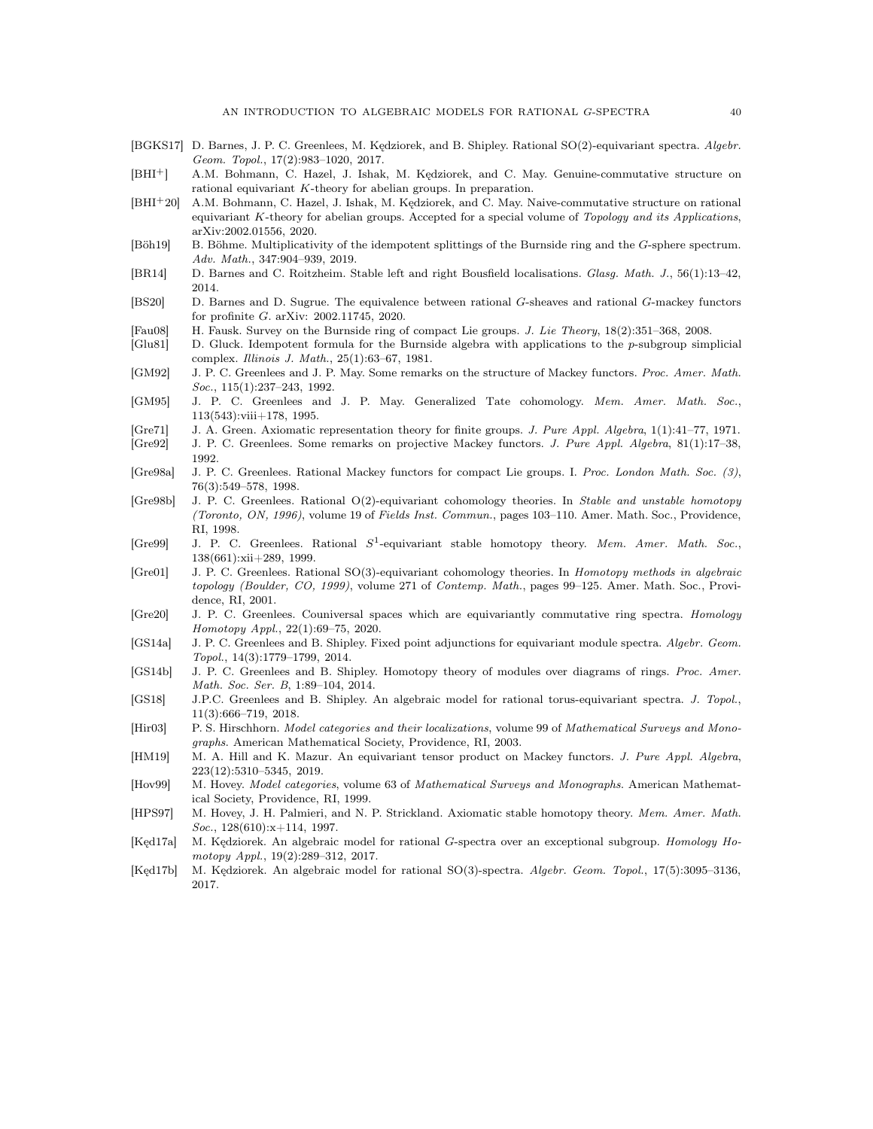- <span id="page-39-22"></span>[BGKS17] D. Barnes, J. P. C. Greenlees, M. Kędziorek, and B. Shipley. Rational SO(2)-equivariant spectra. *Algebr. Geom. Topol.*, 17(2):983–1020, 2017.
- <span id="page-39-6"></span>[BHI+] A.M. Bohmann, C. Hazel, J. Ishak, M. Kędziorek, and C. May. Genuine-commutative structure on rational equivariant K-theory for abelian groups. In preparation.
- <span id="page-39-5"></span>[BHI+20] A.M. Bohmann, C. Hazel, J. Ishak, M. Kędziorek, and C. May. Naive-commutative structure on rational equivariant K-theory for abelian groups. Accepted for a special volume of *Topology and its Applications*, arXiv:2002.01556, 2020.
- <span id="page-39-14"></span>[Böh19] B. Böhme. Multiplicativity of the idempotent splittings of the Burnside ring and the G-sphere spectrum. *Adv. Math.*, 347:904–939, 2019.
- <span id="page-39-20"></span>[BR14] D. Barnes and C. Roitzheim. Stable left and right Bousfield localisations. *Glasg. Math. J.*, 56(1):13–42, 2014.
- <span id="page-39-4"></span>[BS20] D. Barnes and D. Sugrue. The equivalence between rational G-sheaves and rational G-mackey functors for profinite G. arXiv: 2002.11745, 2020.
- <span id="page-39-16"></span>[Fau08] H. Fausk. Survey on the Burnside ring of compact Lie groups. *J. Lie Theory*, 18(2):351–368, 2008.
- <span id="page-39-10"></span>[Glu81] D. Gluck. Idempotent formula for the Burnside algebra with applications to the p-subgroup simplicial complex. *Illinois J. Math.*, 25(1):63–67, 1981.
- <span id="page-39-9"></span>[GM92] J. P. C. Greenlees and J. P. May. Some remarks on the structure of Mackey functors. *Proc. Amer. Math. Soc.*, 115(1):237–243, 1992.
- <span id="page-39-7"></span>[GM95] J. P. C. Greenlees and J. P. May. Generalized Tate cohomology. *Mem. Amer. Math. Soc.*, 113(543):viii+178, 1995.
- <span id="page-39-12"></span>[Gre71] J. A. Green. Axiomatic representation theory for finite groups. *J. Pure Appl. Algebra*, 1(1):41–77, 1971.
- <span id="page-39-8"></span>[Gre92] J. P. C. Greenlees. Some remarks on projective Mackey functors. *J. Pure Appl. Algebra*, 81(1):17–38, 1992.
- <span id="page-39-11"></span>[Gre98a] J. P. C. Greenlees. Rational Mackey functors for compact Lie groups. I. *Proc. London Math. Soc. (3)*, 76(3):549–578, 1998.
- <span id="page-39-1"></span>[Gre98b] J. P. C. Greenlees. Rational O(2)-equivariant cohomology theories. In *Stable and unstable homotopy (Toronto, ON, 1996)*, volume 19 of *Fields Inst. Commun.*, pages 103–110. Amer. Math. Soc., Providence, RI, 1998.
- <span id="page-39-0"></span>[Gre99] J. P. C. Greenlees. Rational  $S^1$ -equivariant stable homotopy theory. Mem. Amer. Math. Soc., 138(661):xii+289, 1999.
- <span id="page-39-2"></span>[Gre01] J. P. C. Greenlees. Rational SO(3)-equivariant cohomology theories. In *Homotopy methods in algebraic topology (Boulder, CO, 1999)*, volume 271 of *Contemp. Math.*, pages 99–125. Amer. Math. Soc., Providence, RI, 2001.
- <span id="page-39-23"></span>[Gre20] J. P. C. Greenlees. Couniversal spaces which are equivariantly commutative ring spectra. *Homology Homotopy Appl.*, 22(1):69–75, 2020.
- <span id="page-39-24"></span>[GS14a] J. P. C. Greenlees and B. Shipley. Fixed point adjunctions for equivariant module spectra. *Algebr. Geom. Topol.*, 14(3):1779–1799, 2014.
- <span id="page-39-21"></span>[GS14b] J. P. C. Greenlees and B. Shipley. Homotopy theory of modules over diagrams of rings. *Proc. Amer. Math. Soc. Ser. B*, 1:89–104, 2014.
- <span id="page-39-3"></span>[GS18] J.P.C. Greenlees and B. Shipley. An algebraic model for rational torus-equivariant spectra. *J. Topol.*, 11(3):666–719, 2018.
- <span id="page-39-18"></span>[Hir03] P. S. Hirschhorn. *Model categories and their localizations*, volume 99 of *Mathematical Surveys and Monographs*. American Mathematical Society, Providence, RI, 2003.
- <span id="page-39-13"></span>[HM19] M. A. Hill and K. Mazur. An equivariant tensor product on Mackey functors. *J. Pure Appl. Algebra*, 223(12):5310–5345, 2019.
- <span id="page-39-15"></span>[Hov99] M. Hovey. *Model categories*, volume 63 of *Mathematical Surveys and Monographs*. American Mathematical Society, Providence, RI, 1999.
- <span id="page-39-19"></span>[HPS97] M. Hovey, J. H. Palmieri, and N. P. Strickland. Axiomatic stable homotopy theory. *Mem. Amer. Math. Soc.*, 128(610):x+114, 1997.
- <span id="page-39-17"></span>[Kęd17a] M. Kędziorek. An algebraic model for rational G-spectra over an exceptional subgroup. *Homology Homotopy Appl.*, 19(2):289–312, 2017.
- [Kęd17b] M. Kędziorek. An algebraic model for rational SO(3)-spectra. *Algebr. Geom. Topol.*, 17(5):3095–3136, 2017.